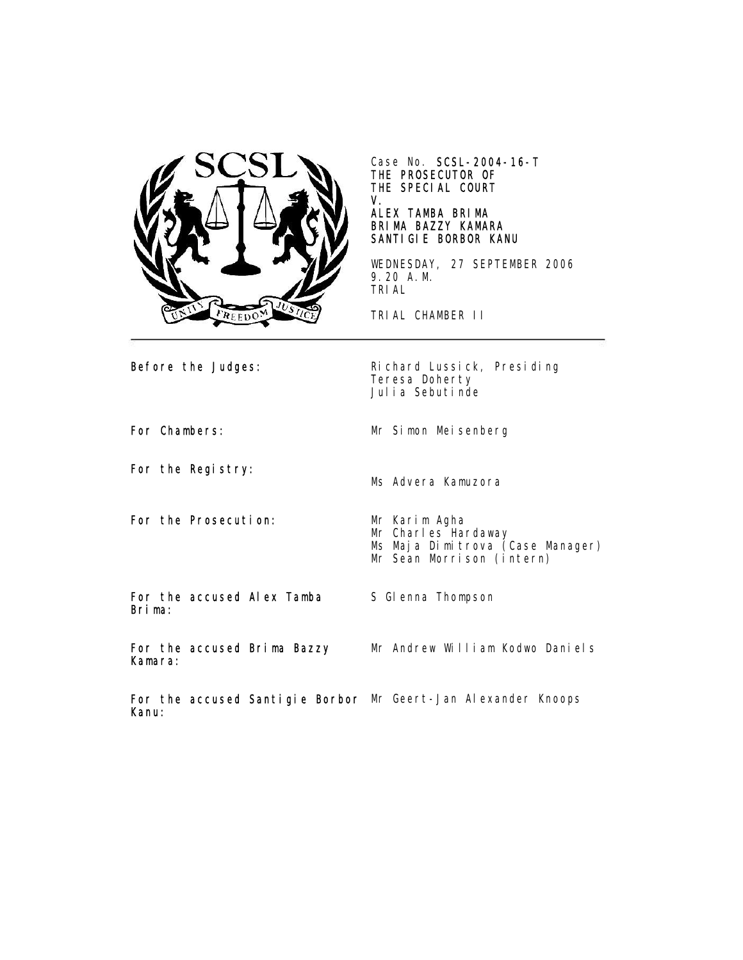

Case No. SCSL-2004-16-T THE PROSECUTOR OF THE SPECIAL COURT V.

## ALEX TAMBA BRIMA BRIMA BAZZY KAMARA SANTIGIE BORBOR KANU

WEDNESDAY, 27 SEPTEMBER 2006 9.20 A.M. TRIAL

TRIAL CHAMBER II

Before the Judges: Richard Lussick, Presiding Teresa Doherty Julia Sebutinde

For Chambers: Mr Simon Meisenberg

For the Registry:

For the Prosecution: Mr Karim Agha

Ms Advera Kamuzora

Mr Charles Hardaway Ms Maja Dimitrova (Case Manager) Mr Sean Morrison (intern)

For the accused Alex Tamba Brima:

S Glenna Thompson

For the accused Brima Bazzy Kamara: Mr Andrew William Kodwo Daniels

For the accused Santigie Borbor Mr Geert-Jan Alexander KnoopsKanu: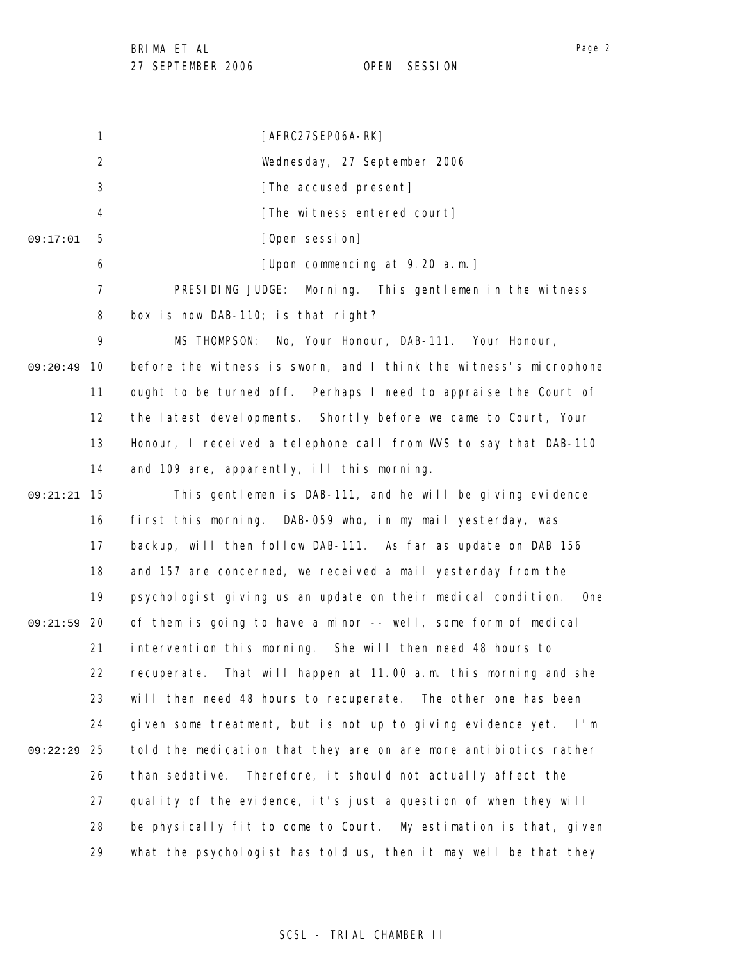BRIMA ET AL

27 SEPTEMBER 2006 OPEN SESSION

1 2 3 4 5 6 7 8 9 09:20:49 10 11 12 13 14 15 09:21:21 16 17 18 19 09:21:59 20 21 22 23 24 25 09:22:29 26 27 28 29 09:17:01 [AFRC27SEP06A-RK] Wednesday, 27 September 2006 [The accused present] [The witness entered court] [Open session] [Upon commencing at 9.20 a.m.] PRESIDING JUDGE: Morning. This gentlemen in the witness box is now DAB-110; is that right? MS THOMPSON: No, Your Honour, DAB-111. Your Honour, before the witness is sworn, and I think the witness's microphone ought to be turned off. Perhaps I need to appraise the Court of the latest developments. Shortly before we came to Court, Your Honour, I received a telephone call from WVS to say that DAB-110 and 109 are, apparently, ill this morning. This gentlemen is DAB-111, and he will be giving evidence first this morning. DAB-059 who, in my mail yesterday, was backup, will then follow DAB-111. As far as update on DAB 156 and 157 are concerned, we received a mail yesterday from the psychologist giving us an update on their medical condition. One of them is going to have a minor -- well, some form of medical intervention this morning. She will then need 48 hours to recuperate. That will happen at 11.00 a.m. this morning and she will then need 48 hours to recuperate. The other one has been given some treatment, but is not up to giving evidence yet. I'm told the medication that they are on are more antibiotics rather than sedative. Therefore, it should not actually affect the quality of the evidence, it's just a question of when they will be physically fit to come to Court. My estimation is that, given what the psychologist has told us, then it may well be that they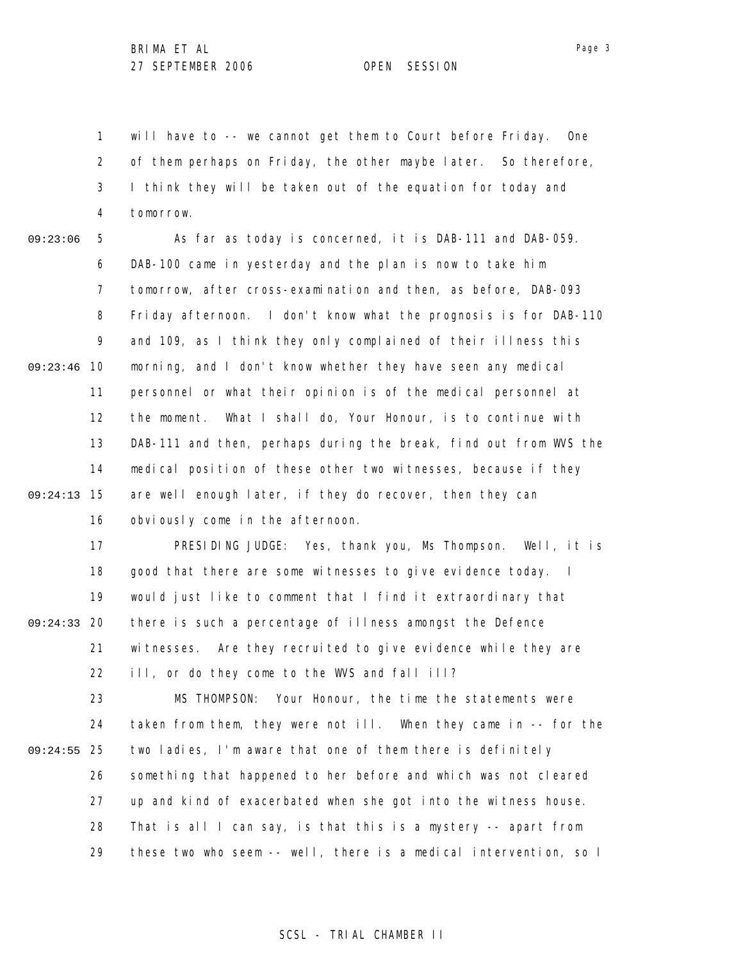1 2 3 4 will have to -- we cannot get them to Court before Friday. One of them perhaps on Friday, the other maybe later. So therefore, I think they will be taken out of the equation for today and tomorrow.

5 6 7 8 9 09:23:46 10 11 12 13 14 15 09:24:13 16 09:23:06 As far as today is concerned, it is DAB-111 and DAB-059. DAB-100 came in yesterday and the plan is now to take him tomorrow, after cross-examination and then, as before, DAB-093 Friday afternoon. I don't know what the prognosis is for DAB-110 and 109, as I think they only complained of their illness this morning, and I don't know whether they have seen any medical personnel or what their opinion is of the medical personnel at the moment. What I shall do, Your Honour, is to continue with DAB-111 and then, perhaps during the break, find out from WVS the medical position of these other two witnesses, because if they are well enough later, if they do recover, then they can obviously come in the afternoon.

17 18 19 09:24:33 20 21 22 23 24 25 09:24:55 26 27 28 29 PRESIDING JUDGE: Yes, thank you, Ms Thompson. Well, it is good that there are some witnesses to give evidence today. I would just like to comment that I find it extraordinary that there is such a percentage of illness amongst the Defence witnesses. Are they recruited to give evidence while they are ill, or do they come to the WVS and fall ill? MS THOMPSON: Your Honour, the time the statements were taken from them, they were not ill. When they came in -- for the two ladies, I'm aware that one of them there is definitely something that happened to her before and which was not cleared up and kind of exacerbated when she got into the witness house. That is all I can say, is that this is a mystery -- apart from these two who seem -- well, there is a medical intervention, so I

SCSL - TRIAL CHAMBER II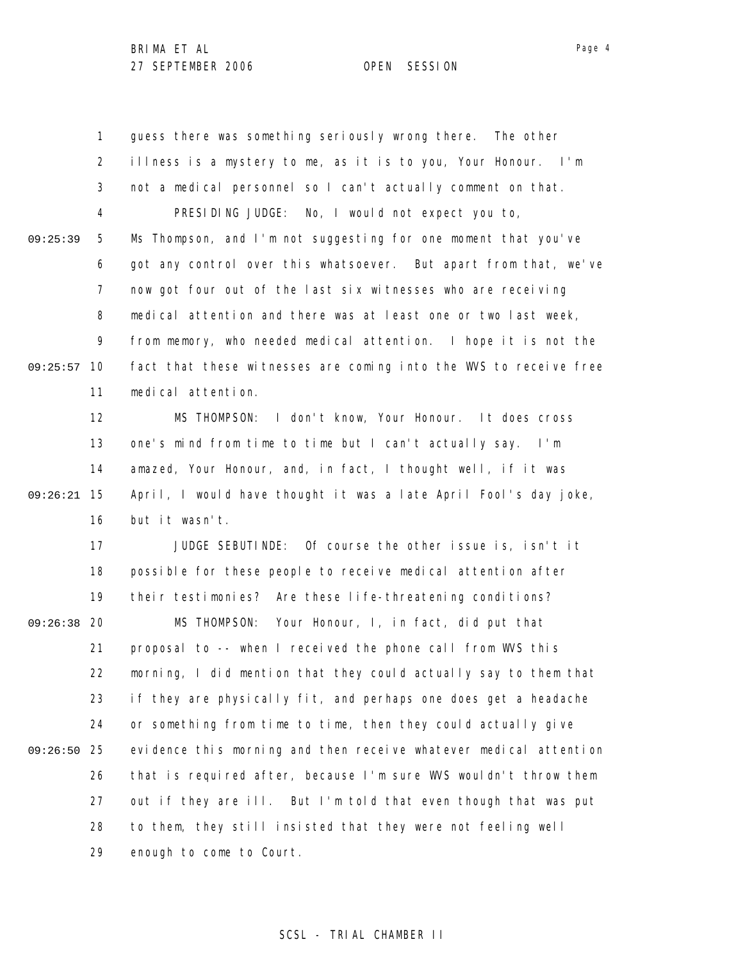1 2 3 4 5 6 7 8 9 09:25:57 10 11 12 13 14 15 09:26:21 16 17 18 19 09:26:38 20 21 22 23 24 25 09:26:50 26 27 28 29 09:25:39 guess there was something seriously wrong there. The other illness is a mystery to me, as it is to you, Your Honour. I'm not a medical personnel so I can't actually comment on that. PRESIDING JUDGE: No, I would not expect you to, Ms Thompson, and I'm not suggesting for one moment that you've got any control over this whatsoever. But apart from that, we've now got four out of the last six witnesses who are receiving medical attention and there was at least one or two last week, from memory, who needed medical attention. I hope it is not the fact that these witnesses are coming into the WVS to receive free medical attention. MS THOMPSON: I don't know, Your Honour. It does cross one's mind from time to time but I can't actually say. I'm amazed, Your Honour, and, in fact, I thought well, if it was April, I would have thought it was a late April Fool's day joke, but it wasn't. JUDGE SEBUTINDE: Of course the other issue is, isn't it possible for these people to receive medical attention after their testimonies? Are these life-threatening conditions? MS THOMPSON: Your Honour, I, in fact, did put that proposal to -- when I received the phone call from WVS this morning, I did mention that they could actually say to them that if they are physically fit, and perhaps one does get a headache or something from time to time, then they could actually give evidence this morning and then receive whatever medical attention that is required after, because I'm sure WVS wouldn't throw them out if they are ill. But I'm told that even though that was put to them, they still insisted that they were not feeling well enough to come to Court.

Page 4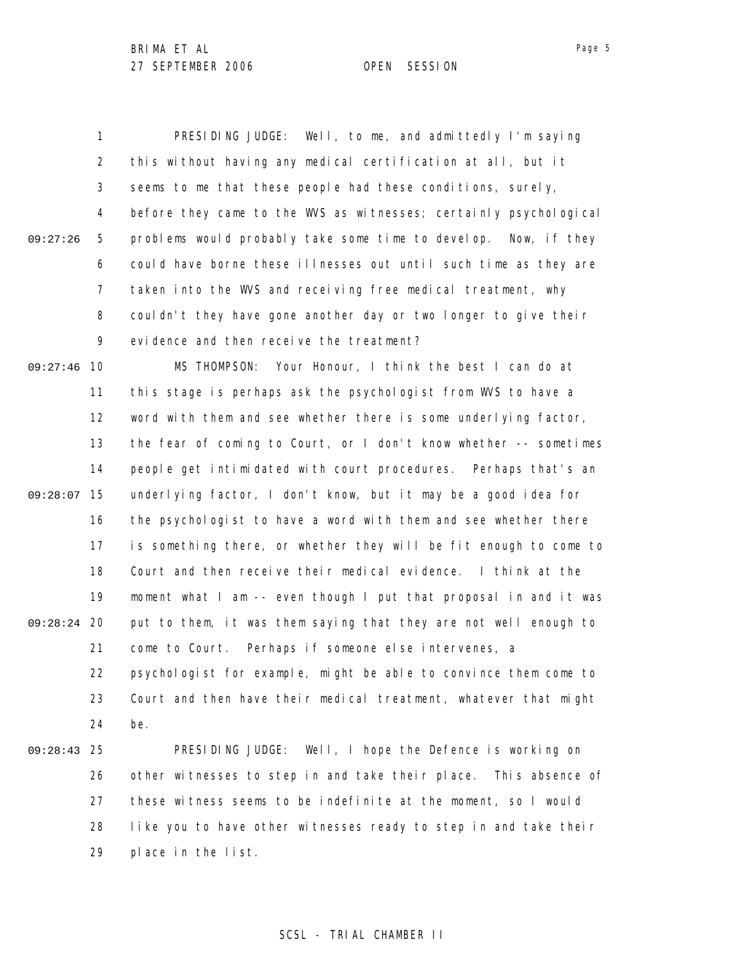1 2 3 4 5 6 7 8 9 09:27:46 10 11 12 13 14 09:28:07 15 16 17 18 19 09:28:24 20 21 22 23 24 25 09:28:43 26 27 28 09:27:26 PRESIDING JUDGE: Well, to me, and admittedly I'm saying this without having any medical certification at all, but it seems to me that these people had these conditions, surely, before they came to the WVS as witnesses; certainly psychological problems would probably take some time to develop. Now, if they could have borne these illnesses out until such time as they are taken into the WVS and receiving free medical treatment, why couldn't they have gone another day or two longer to give their evidence and then receive the treatment? MS THOMPSON: Your Honour, I think the best I can do at this stage is perhaps ask the psychologist from WVS to have a word with them and see whether there is some underlying factor, the fear of coming to Court, or I don't know whether -- sometimes people get intimidated with court procedures. Perhaps that's an underlying factor, I don't know, but it may be a good idea for the psychologist to have a word with them and see whether there is something there, or whether they will be fit enough to come to Court and then receive their medical evidence. I think at the moment what I am -- even though I put that proposal in and it was put to them, it was them saying that they are not well enough to come to Court. Perhaps if someone else intervenes, a psychologist for example, might be able to convince them come to Court and then have their medical treatment, whatever that might be. PRESIDING JUDGE: Well, I hope the Defence is working on other witnesses to step in and take their place. This absence of these witness seems to be indefinite at the moment, so I would like you to have other witnesses ready to step in and take their

> 29 place in the list.

## SCSL - TRIAL CHAMBER II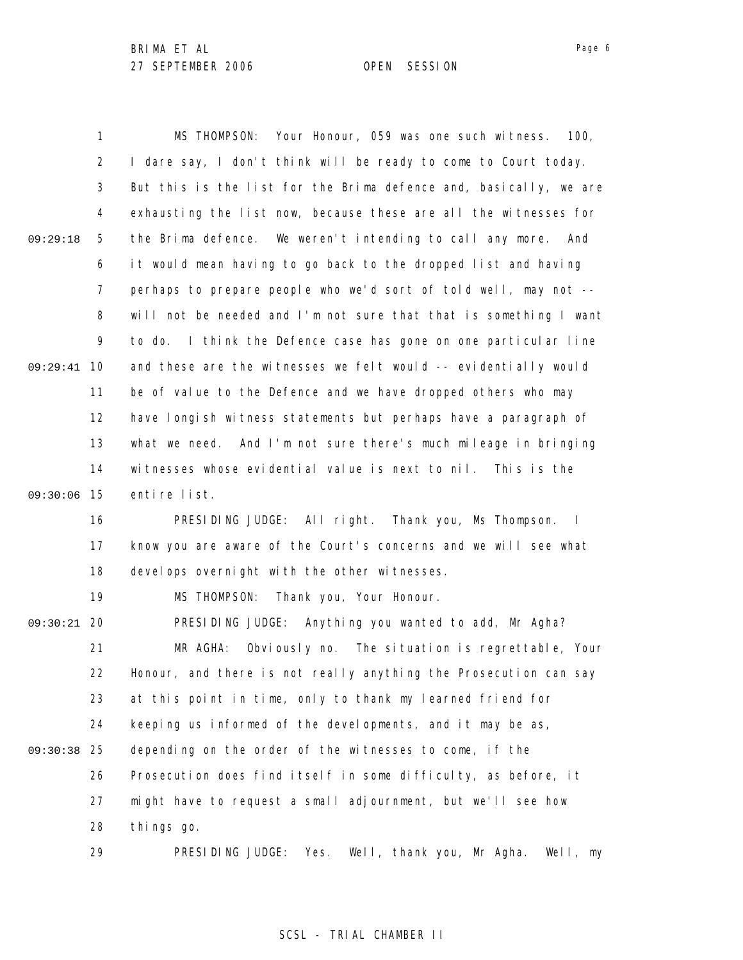1 2 3 4 5 6 7 8 9 09:29:41 10 11 12 13 14 09:30:06 15 16 17 18 19 09:30:21 20 21 22 23 24 25 09:30:38 26 27 28 29 09:29:18 MS THOMPSON: Your Honour, 059 was one such witness. 100, I dare say, I don't think will be ready to come to Court today. But this is the list for the Brima defence and, basically, we are exhausting the list now, because these are all the witnesses for the Brima defence. We weren't intending to call any more. And it would mean having to go back to the dropped list and having perhaps to prepare people who we'd sort of told well, may not - will not be needed and I'm not sure that that is something I want to do. I think the Defence case has gone on one particular line and these are the witnesses we felt would -- evidentially would be of value to the Defence and we have dropped others who may have longish witness statements but perhaps have a paragraph of what we need. And I'm not sure there's much mileage in bringing witnesses whose evidential value is next to nil. This is the entire list. PRESIDING JUDGE: All right. Thank you, Ms Thompson. I know you are aware of the Court's concerns and we will see what devel ops overnight with the other witnesses. MS THOMPSON: Thank you, Your Honour. PRESIDING JUDGE: Anything you wanted to add, Mr Agha? MR AGHA: Obviously no. The situation is regrettable, Your Honour, and there is not really anything the Prosecution can say at this point in time, only to thank my learned friend for keeping us informed of the developments, and it may be as, depending on the order of the witnesses to come, if the Prosecution does find itself in some difficulty, as before, it might have to request a small adjournment, but we'll see how things go.

PRESIDING JUDGE: Yes. Well, thank you, Mr Agha. Well, my

#### SCSL - TRIAL CHAMBER II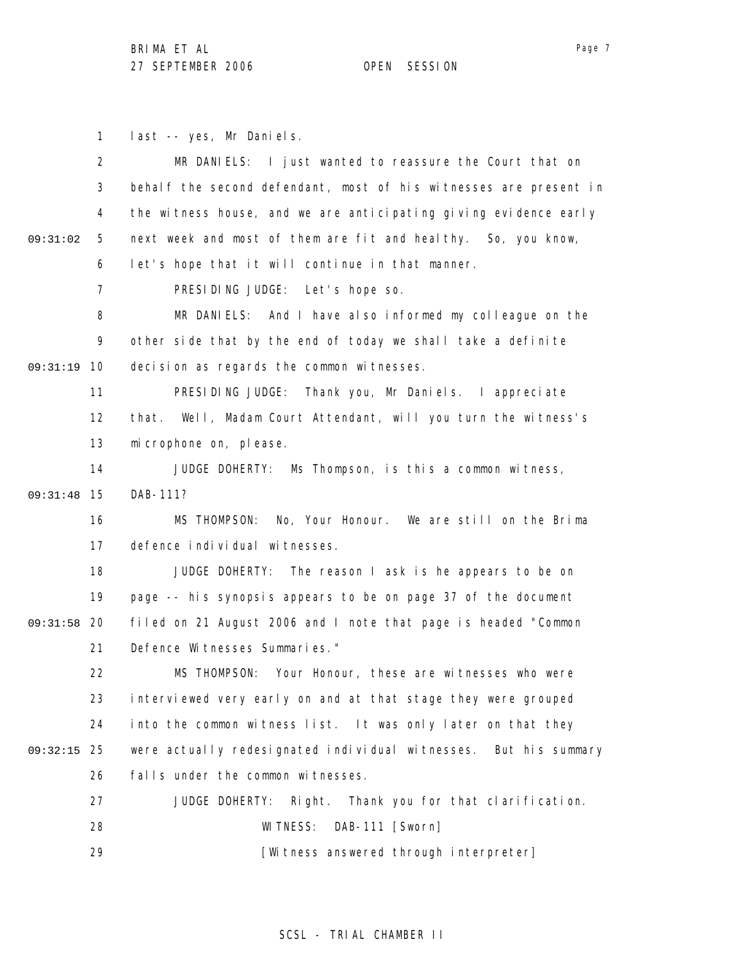1 last -- yes, Mr Daniels.

|          | $\overline{2}$ | MR DANIELS: I just wanted to reassure the Court that on           |
|----------|----------------|-------------------------------------------------------------------|
|          | 3              | behalf the second defendant, most of his witnesses are present in |
|          | 4              | the witness house, and we are anticipating giving evidence early  |
| 09:31:02 | 5              | next week and most of them are fit and heal thy. So, you know,    |
|          | 6              | let's hope that it will continue in that manner.                  |
|          | $\overline{7}$ | PRESIDING JUDGE: Let's hope so.                                   |
|          | 8              | MR DANIELS: And I have also informed my colleague on the          |
|          | 9              | other side that by the end of today we shall take a definite      |
| 09:31:19 | 10             | decision as regards the common witnesses.                         |
|          | 11             | PRESIDING JUDGE: Thank you, Mr Daniels. I appreciate              |
|          | 12             | that. Well, Madam Court Attendant, will you turn the witness's    |
|          | 13             | mi crophone on, please.                                           |
|          | 14             | JUDGE DOHERTY: Ms Thompson, is this a common witness,             |
| 09:31:48 | 15             | DAB-111?                                                          |
|          | 16             | No, Your Honour. We are still on the Brima<br>MS THOMPSON:        |
|          | 17             | defence individual witnesses.                                     |
|          | 18             | JUDGE DOHERTY: The reason I ask is he appears to be on            |
|          | 19             | page -- his synopsis appears to be on page 37 of the document     |
| 09:31:58 | 20             | filed on 21 August 2006 and I note that page is headed "Common    |
|          | 21             | Defence Witnesses Summaries."                                     |
|          | 22             | MS THOMPSON: Your Honour, these are witnesses who were            |
|          | 23             | interviewed very early on and at that stage they were grouped     |
|          | 24             | into the common witness list. It was only later on that they      |
| 09:32:15 | 25             | were actually redesignated individual witnesses. But his summary  |
|          | 26             | falls under the common witnesses.                                 |
|          | 27             | JUDGE DOHERTY:<br>Right. Thank you for that clarification.        |
|          | 28             | WI TNESS:<br>DAB-111 [Sworn]                                      |
|          | 29             | [Witness answered through interpreter]                            |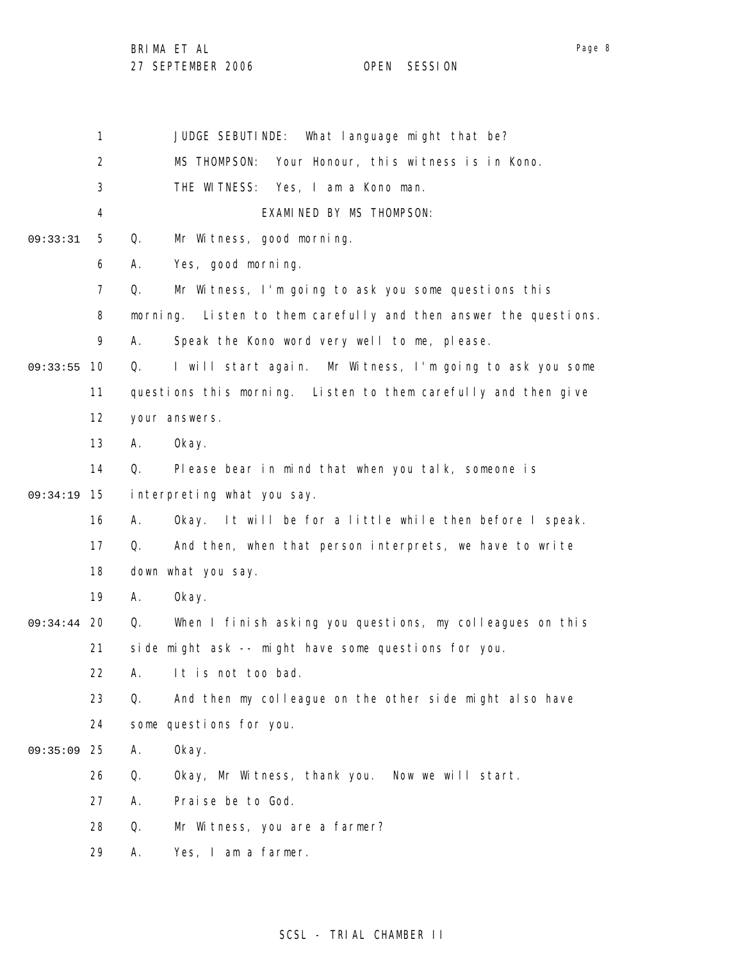BRIMA ET AL

27 SEPTEMBER 2006 OPEN SESSION

1 2 3 4 5 6 7 8 9 09:33:55 10 11 12 13 14 15 09:34:19 16 17 18 19 09:34:44 20 21 22 23 24 25 09:35:09 26 27 28 29 09:33:31 JUDGE SEBUTINDE: What language might that be? MS THOMPSON: Your Honour, this witness is in Kono. THE WITNESS: Yes, I am a Kono man. EXAMINED BY MS THOMPSON: Q. Mr Witness, good morning. A. Yes, good morning. Q. Mr Witness, I'm going to ask you some questions this morning. Listen to them carefully and then answer the questions. A. Speak the Kono word very well to me, please. Q. I will start again. Mr Witness, I'm going to ask you some questions this morning. Listen to them carefully and then give your answers. A. Okay. Q. Please bear in mind that when you talk, someone is interpreting what you say. A. Okay. It will be for a little while then before I speak. Q. And then, when that person interprets, we have to write down what you say. A. Okay. Q. When I finish asking you questions, my colleagues on this side might ask -- might have some questions for you. A. It is not too bad. Q. And then my colleague on the other side might also have some questions for you. A. Okay. Q. Okay, Mr Witness, thank you. Now we will start. A. Praise be to God. Q. Mr Witness, you are a farmer? A. Yes, I am a farmer.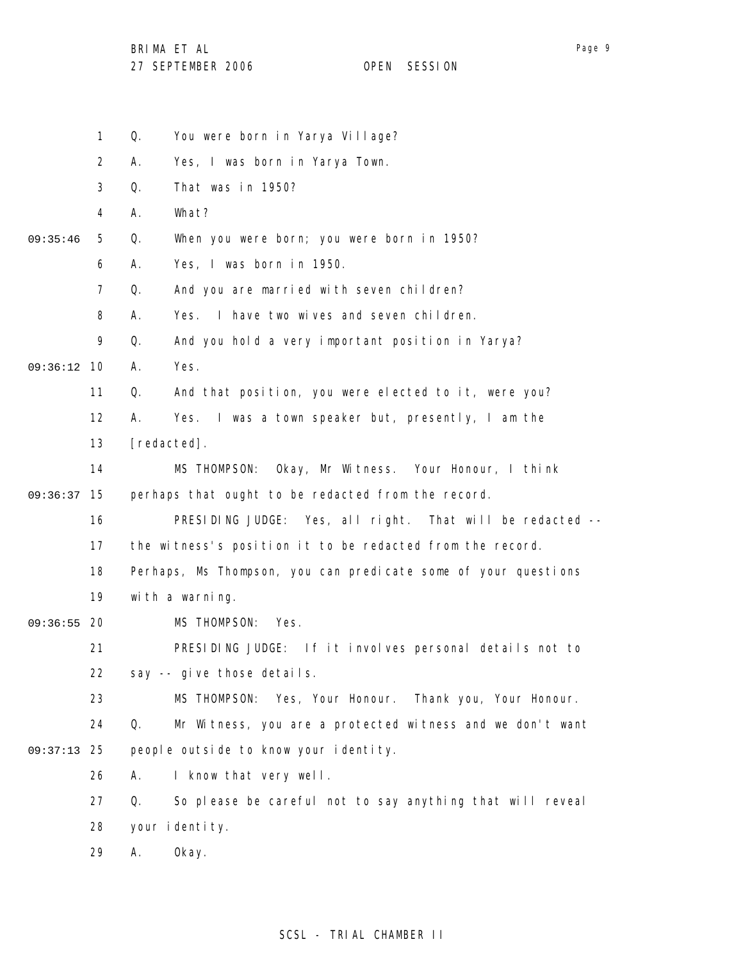BRIMA ET AL

|          | $\mathbf{1}$   | You were born in Yarya Village?<br>Q.                           |
|----------|----------------|-----------------------------------------------------------------|
|          | $\overline{2}$ | Yes, I was born in Yarya Town.<br>А.                            |
|          | 3              | Q.<br>That was in 1950?                                         |
|          | 4              | А.<br>What?                                                     |
| 09:35:46 | 5              | Q.<br>When you were born; you were born in 1950?                |
|          | 6              | Yes, I was born in 1950.<br>А.                                  |
|          | $\overline{7}$ | And you are married with seven children?<br>Q.                  |
|          | 8              | Yes. I have two wives and seven children.<br>А.                 |
|          | 9              | Q.<br>And you hold a very important position in Yarya?          |
| 09:36:12 | 10             | Yes.<br>А.                                                      |
|          | 11             | And that position, you were elected to it, were you?<br>Q.      |
|          | 12             | Yes. I was a town speaker but, presently, I am the<br>А.        |
|          | 13             | [redacted].                                                     |
|          | 14             | Okay, Mr Witness. Your Honour, I think<br>MS THOMPSON:          |
| 09:36:37 | 15             | perhaps that ought to be redacted from the record.              |
|          | 16             | PRESIDING JUDGE: Yes, all right. That will be redacted --       |
|          | 17             | the witness's position it to be redacted from the record.       |
|          | 18             | Perhaps, Ms Thompson, you can predicate some of your questions  |
|          | 19             | with a warning.                                                 |
| 09:36:55 | 20             | MS THOMPSON:<br>Yes.                                            |
|          | 21             | PRESIDING JUDGE: If it involves personal details not to         |
|          | 22             | say -- give those details.                                      |
|          | 23             | MS THOMPSON: Yes, Your Honour. Thank you, Your Honour.          |
|          | 24             | Mr Witness, you are a protected witness and we don't want<br>Q. |
| 09:37:13 | 25             | people outside to know your identity.                           |
|          | 26             | I know that very well.<br>А.                                    |
|          | 27             | So please be careful not to say anything that will reveal<br>Q. |
|          | 28             | your identity.                                                  |
|          | 29             | Α.<br>0kay.                                                     |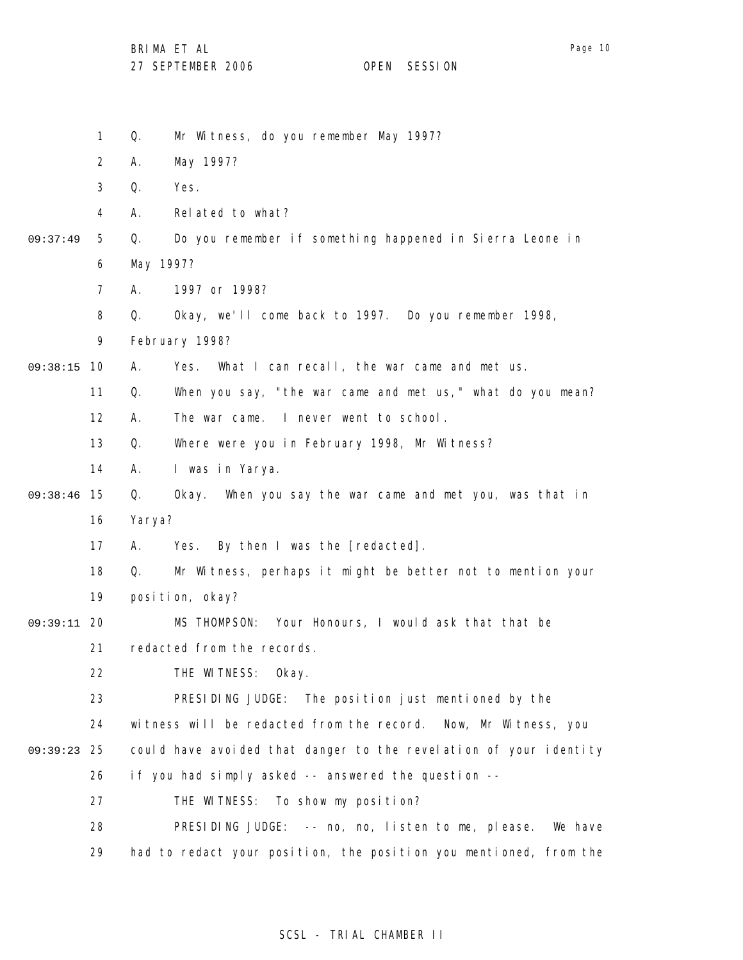Page 10

- 1 Q. Mr Witness, do you remember May 1997?
- 2 A. May 1997?
- 3 Q. Yes.
- 4 A. Related to what?
- 5 09:37:49 Q. Do you remember if something happened in Sierra Leone in
	- 6 May 1997?
	- 7 A. 1997 or 1998?
	- 8 Q. Okay, we'll come back to 1997. Do you remember 1998,
	- 9 February 1998?
- 09:38:15 10 A. Yes. What I can recall, the war came and met us.
	- 11 Q. When you say, "the war came and met us," what do you mean?
		- 12 A. The war came. I never went to school.
		- 13 Q. Where were you in February 1998, Mr Witness?
		- 14 A. I was in Yarya.
- 09:38:46 15 16 Q. Okay. When you say the war came and met you, was that in Yarya?
	- 17 A. Yes. By then I was the [redacted].
	- 18 19 Q. Mr Witness, perhaps it might be better not to mention your position, okay?
- 09:39:11 20 MS THOMPSON: Your Honours, I would ask that that be
	- 21 redacted from the records.
	- 22 THE WITNESS: Okay.
	- 23 PRESIDING JUDGE: The position just mentioned by the
	- 24 witness will be redacted from the record. Now, Mr Witness, you
- 25 09:39:23 could have avoided that danger to the revelation of your identity
	- 26 if you had simply asked -- answered the question --
		- 27 THE WITNESS: To show my position?
		- 28 29 PRESIDING JUDGE: -- no, no, listen to me, please. We have had to redact your position, the position you mentioned, from the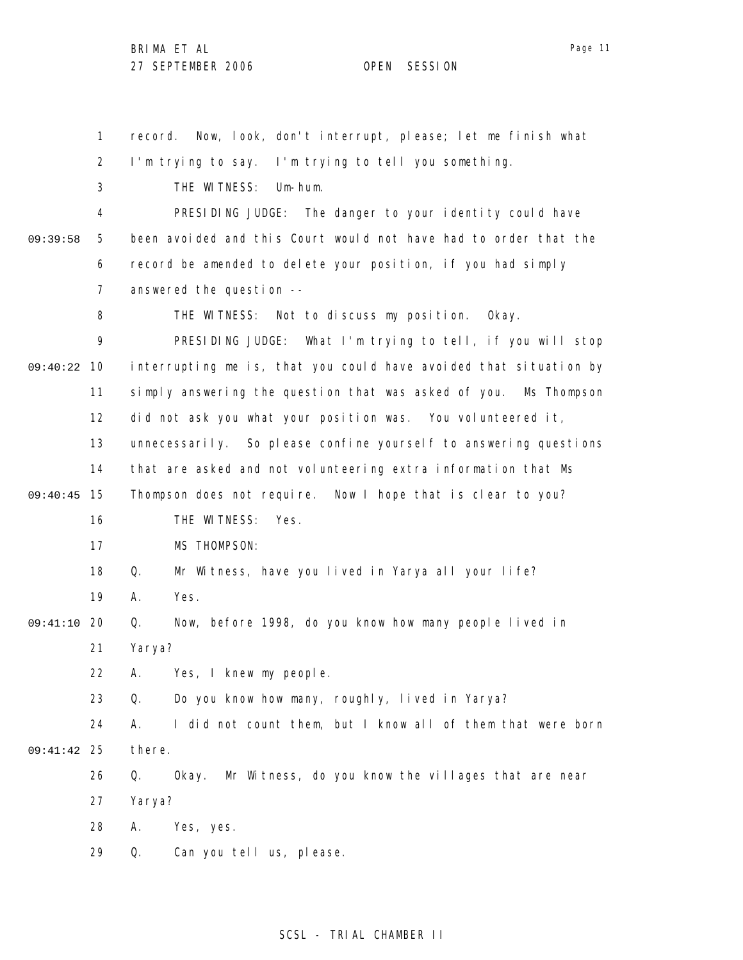1 2 3 4 5 6 7 8 9 09:40:22 10 11 12 13 14 15 09:40:45 16 17 18 19 09:41:10 20 21 22 23 24 25 09:41:42 26 27 28 29 09:39:58 record. Now, look, don't interrupt, please; let me finish what I'm trying to say. I'm trying to tell you something. THE WITNESS: Um-hum. PRESIDING JUDGE: The danger to your identity could have been avoided and this Court would not have had to order that the record be amended to delete your position, if you had simply answered the question -- THE WITNESS: Not to discuss my position. Okay. PRESIDING JUDGE: What I'm trying to tell, if you will stop interrupting me is, that you could have avoided that situation by simply answering the question that was asked of you. Ms Thompson did not ask you what your position was. You volunteered it, unnecessarily. So please confine yourself to answering questions that are asked and not volunteering extra information that Ms Thompson does not require. Now I hope that is clear to you? THE WITNESS: Yes. MS THOMPSON: Q. Mr Witness, have you lived in Yarya all your life? A. Yes. Q. Now, before 1998, do you know how many people lived in Yarya? A. Yes, I knew my people. Q. Do you know how many, roughly, lived in Yarya? A. I did not count them, but I know all of them that were born there. Q. Okay. Mr Witness, do you know the villages that are near Yarya? A. Yes, yes. Q. Can you tell us, please.

### SCSL - TRIAL CHAMBER II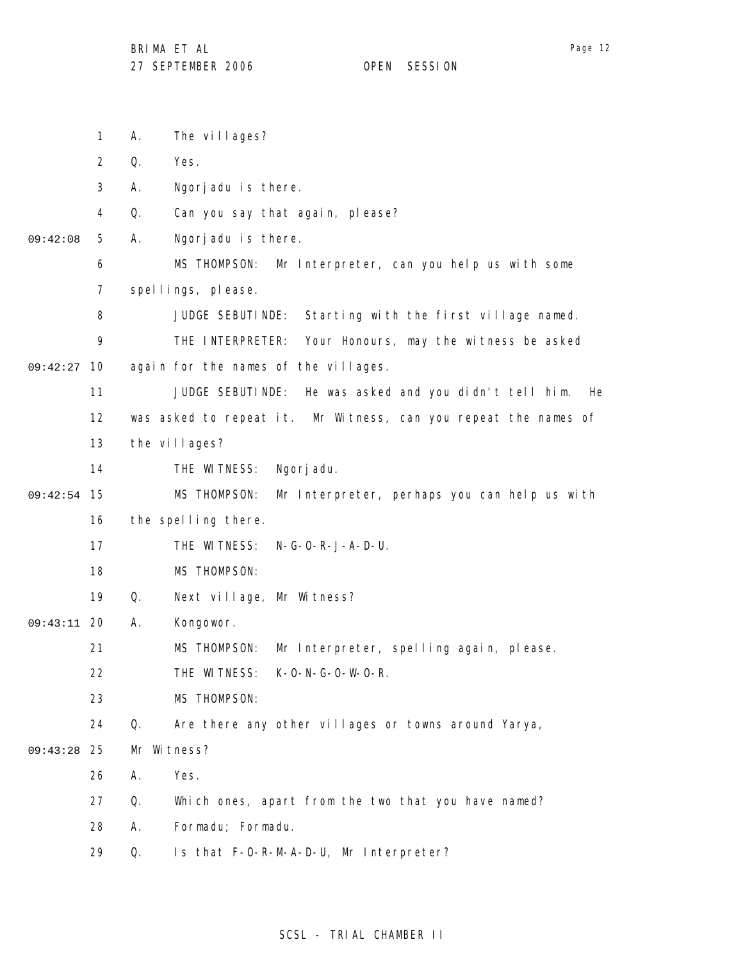1 2 3 4 5 6 7 8 9 09:42:27 10 11 12 13 14 15 09:42:54 16 17 18 19 09:43:11 20 21 22 23 24 25 09:43:28 26 27 28 09:42:08 A. The villages? Q. Yes. A. Ngorjadu is there. Q. Can you say that again, please? A. Ngorjadu is there. MS THOMPSON: Mr Interpreter, can you help us with some spellings, please. JUDGE SEBUTINDE: Starting with the first village named. THE INTERPRETER: Your Honours, may the witness be asked again for the names of the villages. JUDGE SEBUTINDE: He was asked and you didn't tell him. He was asked to repeat it. Mr Witness, can you repeat the names of the villages? THE WITNESS: Ngorjadu. MS THOMPSON: Mr Interpreter, perhaps you can help us with the spelling there. THE WITNESS: N-G-O-R-J-A-D-U. MS THOMPSON: Q. Next village, Mr Witness? A. Kongowor. MS THOMPSON: Mr Interpreter, spelling again, please. THE WITNESS: K-O-N-G-O-W-O-R. MS THOMPSON: Q. Are there any other villages or towns around Yarya, Mr Witness? A. Yes. Q. Which ones, apart from the two that you have named? A. Formadu; Formadu.

> 29 Q. Is that F-O-R-M-A-D-U, Mr Interpreter?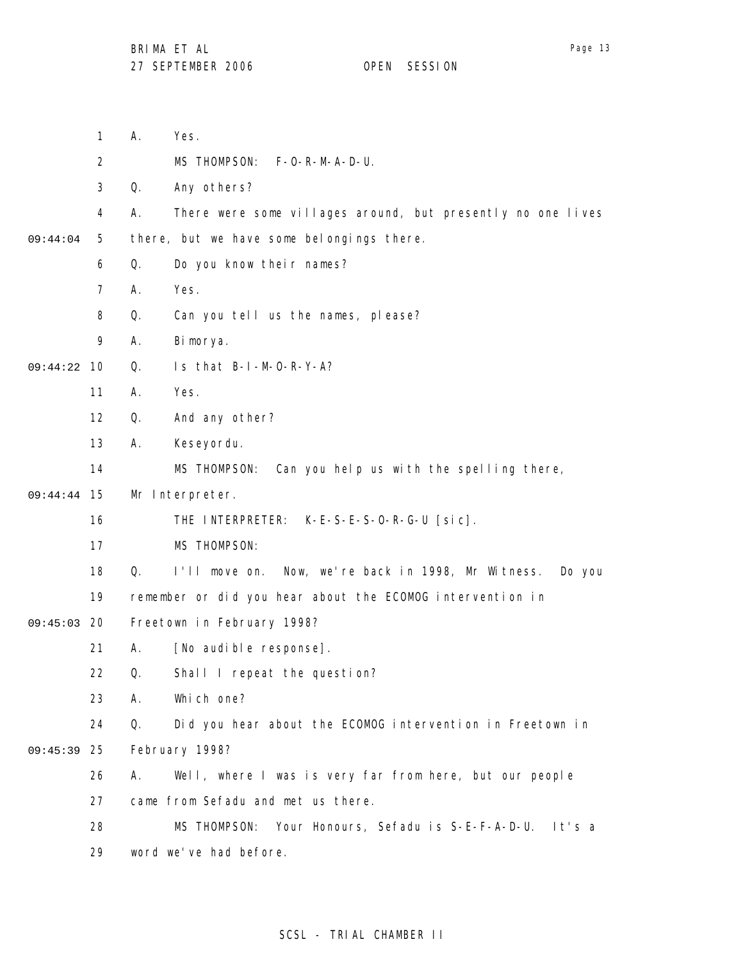|          | 1              | А. | Yes.                                                         |
|----------|----------------|----|--------------------------------------------------------------|
|          | $\overline{2}$ |    | MS THOMPSON:<br>$F-O-R-M-A-D-U.$                             |
|          | 3              | Q. | Any others?                                                  |
|          | 4              | Α. | There were some villages around, but presently no one lives  |
| 09:44:04 | 5              |    | there, but we have some belongings there.                    |
|          | 6              | Q. | Do you know their names?                                     |
|          | 7              | А. | Yes.                                                         |
|          | 8              | Q. | Can you tell us the names, please?                           |
|          | 9              | А. | Bimorya.                                                     |
| 09:44:22 | 10             | Q. | Is that B-I-M-O-R-Y-A?                                       |
|          | 11             | Α. | Yes.                                                         |
|          | 12             | Q. | And any other?                                               |
|          | 13             | Α. | Keseyordu.                                                   |
|          | 14             |    | MS THOMPSON:<br>Can you help us with the spelling there,     |
| 09:44:44 | 15             |    | Mr Interpreter.                                              |
|          | 16             |    | THE INTERPRETER:<br>$K-E-S-E-S-O-R-G-U$ [sic].               |
|          | 17             |    | MS THOMPSON:                                                 |
|          | 18             | Q. | I'll move on. Now, we're back in 1998, Mr Witness.<br>Do you |
|          | 19             |    | remember or did you hear about the ECOMOG intervention in    |
| 09:45:03 | 20             |    | Freetown in February 1998?                                   |
|          | 21             | Α. | [No audible response].                                       |
|          | 22             | Q. | Shall I repeat the question?                                 |
|          | 23             | Α. | Which one?                                                   |
|          | 24             | Q. | Did you hear about the ECOMOG intervention in Freetown in    |
| 09:45:39 | 25             |    | February 1998?                                               |
|          | 26             | Α. | Well, where I was is very far from here, but our people      |
|          | 27             |    | came from Sefadu and met us there.                           |
|          | 28             |    | MS THOMPSON: Your Honours, Sefadu is S-E-F-A-D-U. It's a     |
|          | 29             |    | word we've had before.                                       |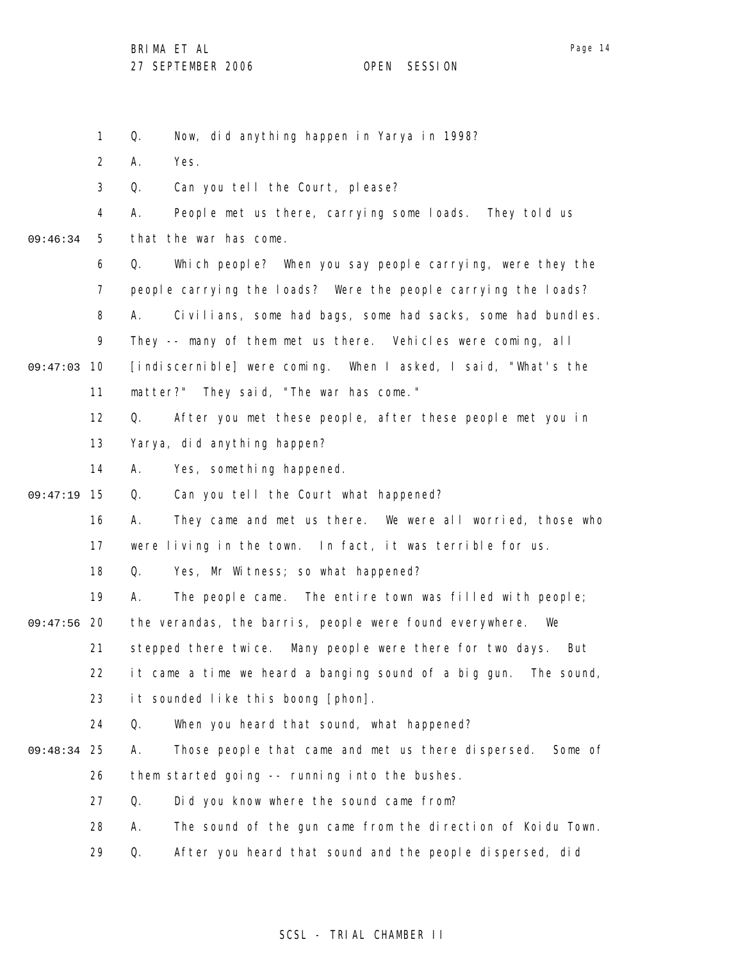Page 14

1 2 3 4 5 6 7 8 9 09:47:03 10 11 12 13 14 15 09:47:19 16 17 18 19 09:47:56 20 21 22 23 24 25 09:48:34 26 27 28 29 09:46:34 Q. Now, did anything happen in Yarya in 1998? A. Yes. Q. Can you tell the Court, please? A. People met us there, carrying some loads. They told us that the war has come. Q. Which people? When you say people carrying, were they the people carrying the loads? Were the people carrying the loads? A. Civilians, some had bags, some had sacks, some had bundles. They -- many of them met us there. Vehicles were coming, all [indiscernible] were coming. When I asked, I said, "What's the matter?" They said, "The war has come." Q. After you met these people, after these people met you in Yarya, did anything happen? A. Yes, something happened. Q. Can you tell the Court what happened? A. They came and met us there. We were all worried, those who were living in the town. In fact, it was terrible for us. Q. Yes, Mr Witness; so what happened? A. The people came. The entire town was filled with people; the verandas, the barris, people were found everywhere. We stepped there twice. Many people were there for two days. But it came a time we heard a banging sound of a big gun. The sound, it sounded like this boong [phon]. Q. When you heard that sound, what happened? A. Those people that came and met us there dispersed. Some of them started going -- running into the bushes. Q. Did you know where the sound came from? A. The sound of the gun came from the direction of Koidu Town. Q. After you heard that sound and the people dispersed, did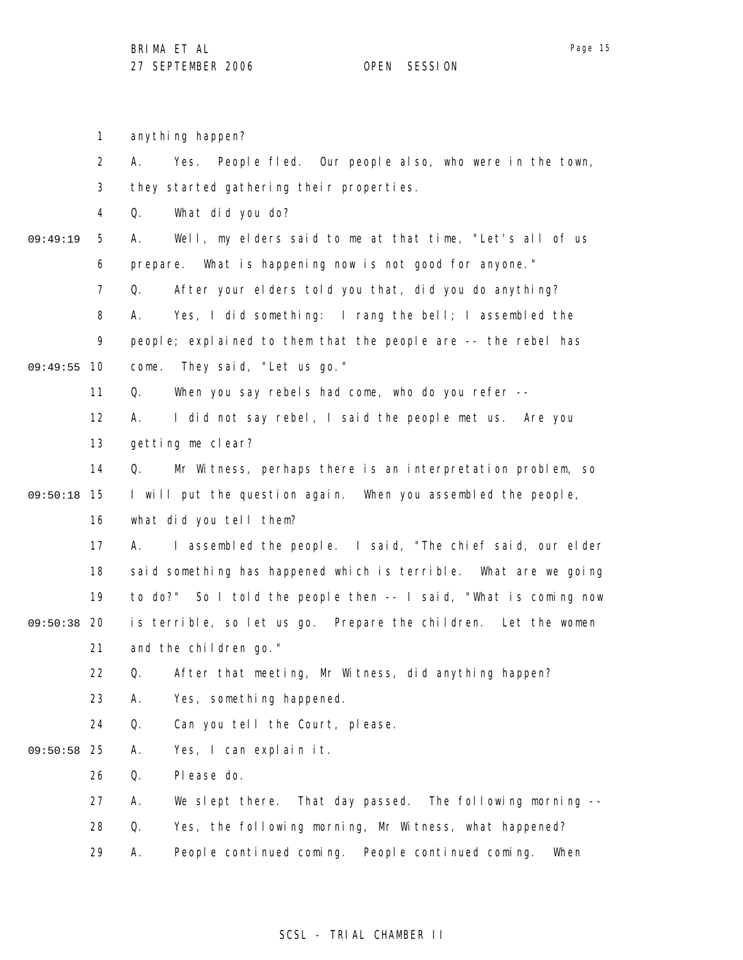1 2 3 4 5 6 7 8 9 09:49:55 10 11 12 13 14 15 09:50:18 16 17 18 19 09:50:38 20 21 22 23 24 09:50:58 25 26 27 28 29 09:49:19 anything happen? A. Yes. People fled. Our people also, who were in the town, they started gathering their properties. Q. What did you do? A. Well, my elders said to me at that time, "Let's all of us prepare. What is happening now is not good for anyone." Q. After your elders told you that, did you do anything? A. Yes, I did something: I rang the bell; I assembled the people; explained to them that the people are -- the rebel has come. They said, "Let us go." Q. When you say rebels had come, who do you refer -- A. I did not say rebel, I said the people met us. Are you getting me clear? Q. Mr Witness, perhaps there is an interpretation problem, so I will put the question again. When you assembled the people, what did you tell them? A. I assembled the people. I said, "The chief said, our elder said something has happened which is terrible. What are we going to do?" So I told the people then -- I said, "What is coming now is terrible, so let us go. Prepare the children. Let the women and the children go." Q. After that meeting, Mr Witness, did anything happen? A. Yes, something happened. Q. Can you tell the Court, please. A. Yes, I can explain it. Q. Please do. A. We slept there. That day passed. The following morning -- Q. Yes, the following morning, Mr Witness, what happened? A. People continued coming. People continued coming. When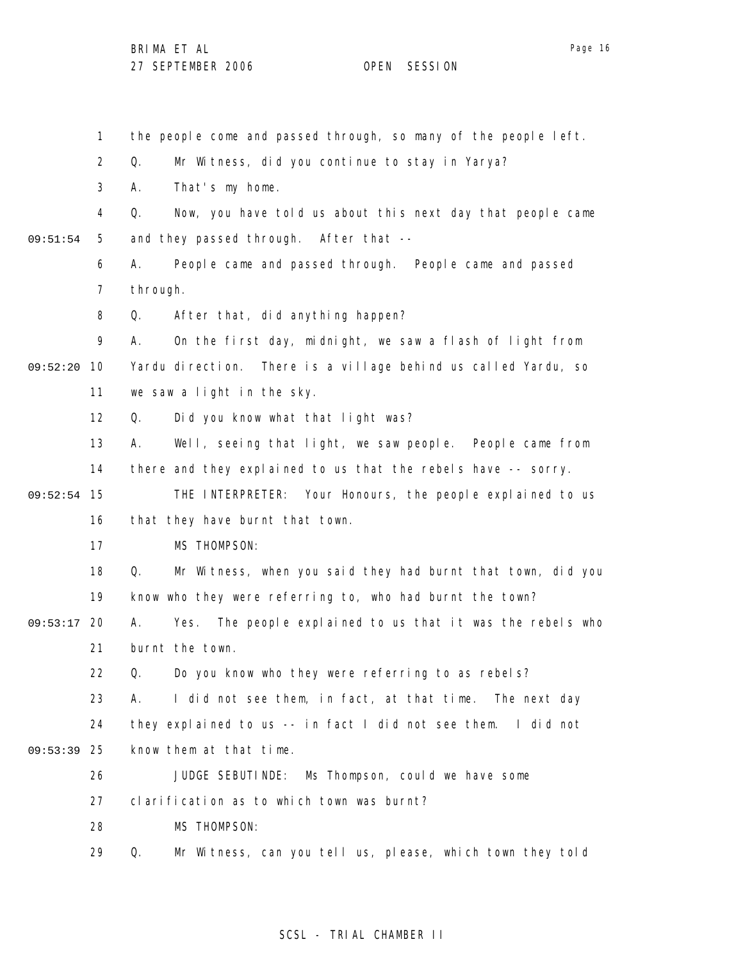1 2 3 4 5 6 7 8 9 09:52:20 10 11 12 13 14 09:52:54 15 16 17 18 19 09:53:17 20 21 22 23 24 09:53:39 25 26 27 28 29 09:51:54 the people come and passed through, so many of the people left. Q. Mr Witness, did you continue to stay in Yarya? A. That's my home. Q. Now, you have told us about this next day that people came and they passed through. After that -- A. People came and passed through. People came and passed through. Q. After that, did anything happen? A. On the first day, midnight, we saw a flash of light from Yardu direction. There is a village behind us called Yardu, so we saw a light in the sky. Q. Did you know what that light was? A. Well, seeing that light, we saw people. People came from there and they explained to us that the rebels have -- sorry. THE INTERPRETER: Your Honours, the people explained to us that they have burnt that town. MS THOMPSON: Q. Mr Witness, when you said they had burnt that town, did you know who they were referring to, who had burnt the town? A. Yes. The people explained to us that it was the rebels who burnt the town. Q. Do you know who they were referring to as rebels? A. I did not see them, in fact, at that time. The next day they explained to us -- in fact I did not see them. I did not know them at that time. JUDGE SEBUTINDE: Ms Thompson, could we have some clarification as to which town was burnt? MS THOMPSON: Q. Mr Witness, can you tell us, please, which town they told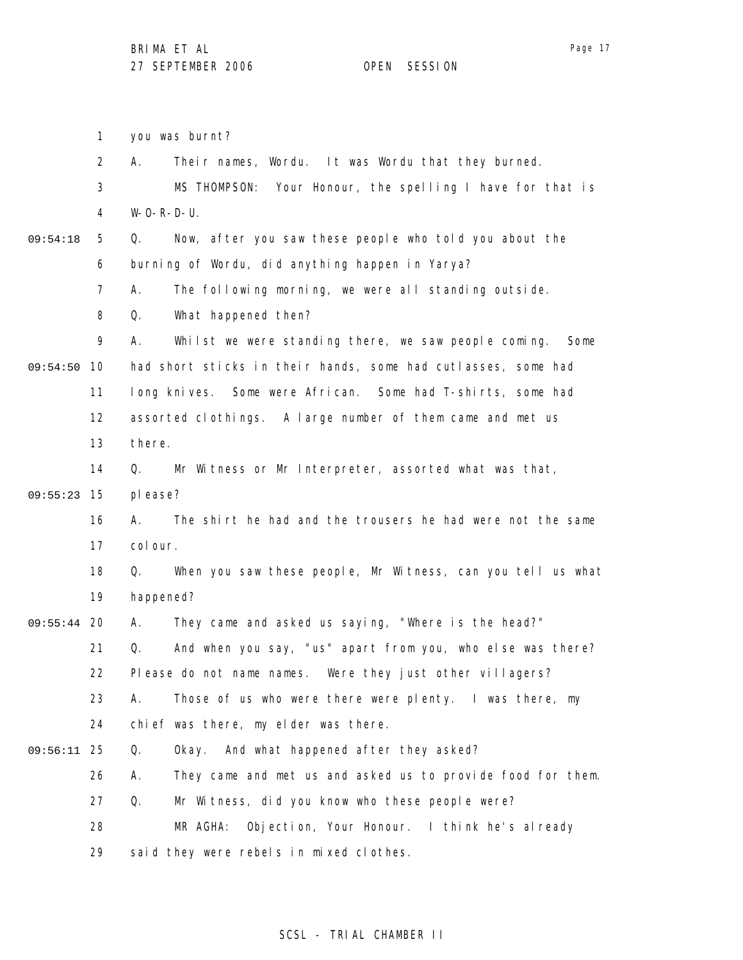1 2 3 4 5 6 7 8 9 09:54:50 10 11 12 13 14 15 09:55:23 16 17 18 19 09:55:44 20 21 22 23 24 25 09:56:11 26 27 28 29 09:54:18 you was burnt? A. Their names, Wordu. It was Wordu that they burned. MS THOMPSON: Your Honour, the spelling I have for that is  $W-O-R-D-U.$ Q. Now, after you saw these people who told you about the burning of Wordu, did anything happen in Yarya? A. The following morning, we were all standing outside. Q. What happened then? A. Whilst we were standing there, we saw people coming. Some had short sticks in their hands, some had cutlasses, some had long knives. Some were African. Some had T-shirts, some had assorted clothings. A large number of them came and met us there. Q. Mr Witness or Mr Interpreter, assorted what was that, please? A. The shirt he had and the trousers he had were not the same col our. Q. When you saw these people, Mr Witness, can you tell us what happened? A. They came and asked us saying, "Where is the head?" Q. And when you say, "us" apart from you, who else was there? Please do not name names. Were they just other villagers? A. Those of us who were there were plenty. I was there, my chief was there, my elder was there. Q. Okay. And what happened after they asked? A. They came and met us and asked us to provide food for them. Q. Mr Witness, did you know who these people were? MR AGHA: Objection, Your Honour. I think he's already said they were rebels in mixed clothes.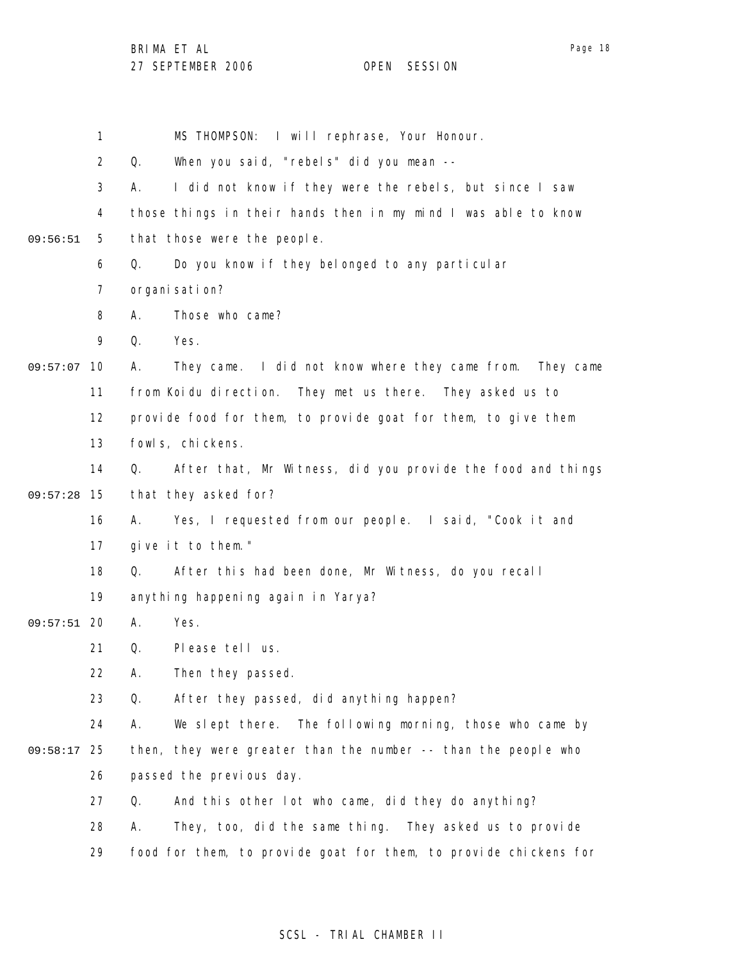|          | $\mathbf{1}$   | MS THOMPSON: I will rephrase, Your Honour.                        |
|----------|----------------|-------------------------------------------------------------------|
|          | $\overline{2}$ | When you said, "rebels" did you mean --<br>Q.                     |
|          | 3              | I did not know if they were the rebels, but since I saw<br>А.     |
|          | 4              | those things in their hands then in my mind I was able to know    |
| 09:56:51 | 5              | that those were the people.                                       |
|          | 6              | Do you know if they belonged to any particular<br>Q.              |
|          | 7              | organi sati on?                                                   |
|          | 8              | Those who came?<br>А.                                             |
|          | 9              | Yes.<br>Q.                                                        |
| 09:57:07 | 10             | They came. I did not know where they came from. They came<br>Α.   |
|          | 11             | from Koidu direction. They met us there. They asked us to         |
|          | 12             | provide food for them, to provide goat for them, to give them     |
|          | 13             | fowl s, chickens.                                                 |
|          | 14             | After that, Mr Witness, did you provide the food and things<br>Q. |
| 09:57:28 | 15             | that they asked for?                                              |
|          | 16             | Yes, I requested from our people. I said, "Cook it and<br>А.      |
|          | 17             | give it to them."                                                 |
|          | 18             | After this had been done, Mr Witness, do you recall<br>Q.         |
|          | 19             | anything happening again in Yarya?                                |
| 09:57:51 | -20            | Α.<br>Yes.                                                        |
|          | 21             | Q.<br>Please tell us.                                             |
|          | 22             | Then they passed.<br>Α.                                           |
|          | 23             | After they passed, did anything happen?<br>Q.                     |
|          | 24             | We slept there.<br>The following morning, those who came by<br>А. |
| 09:58:17 | 25             | then, they were greater than the number -- than the people who    |
|          | 26             | passed the previous day.                                          |
|          | 27             | And this other lot who came, did they do anything?<br>Q.          |
|          | 28             | They, too, did the same thing. They asked us to provide<br>А.     |
|          | 29             | food for them, to provide goat for them, to provide chickens for  |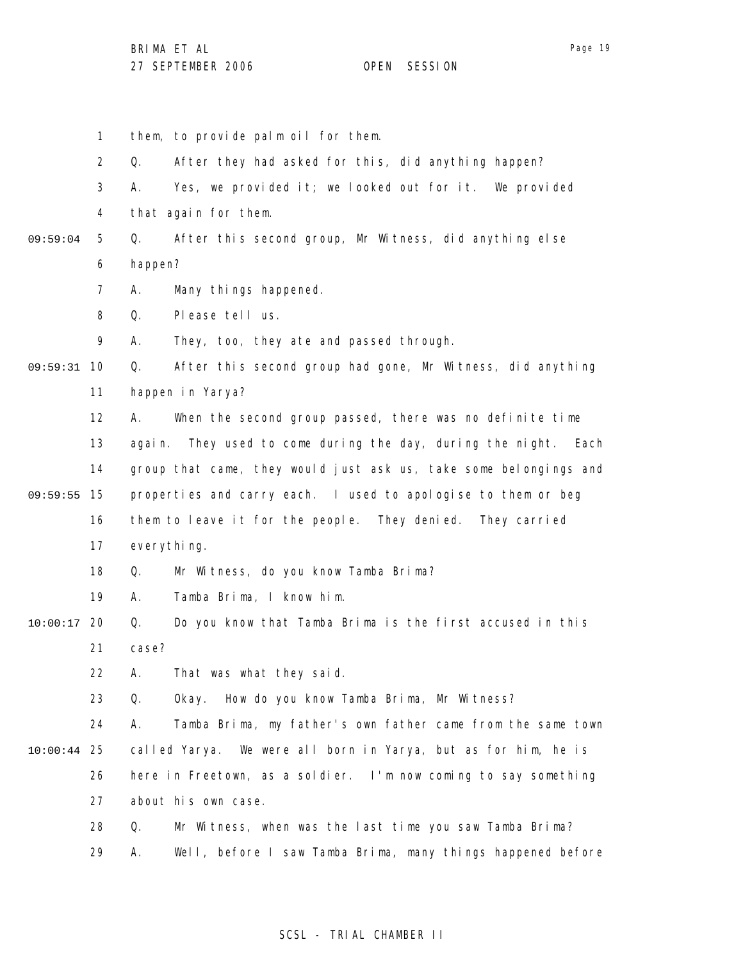1 2 3 4 5 6 7 8 9 09:59:31 10 11 12 13 14 09:59:55 15 16 17 18 19 20 10:00:17 21 22 23 24 25 10:00:44 26 27 28 29 09:59:04 them, to provide palm oil for them. Q. After they had asked for this, did anything happen? A. Yes, we provided it; we looked out for it. We provided that again for them. Q. After this second group, Mr Witness, did anything else happen? A. Many things happened. Q. Please tell us. A. They, too, they ate and passed through. Q. After this second group had gone, Mr Witness, did anything happen in Yarya? A. When the second group passed, there was no definite time again. They used to come during the day, during the night. Each group that came, they would just ask us, take some belongings and properties and carry each. I used to apologise to them or beg them to leave it for the people. They denied. They carried everything. Q. Mr Witness, do you know Tamba Brima? A. Tamba Brima, I know him. Q. Do you know that Tamba Brima is the first accused in this case? A. That was what they said. Q. Okay. How do you know Tamba Brima, Mr Witness? A. Tamba Brima, my father's own father came from the same town called Yarya. We were all born in Yarya, but as for him, he is here in Freetown, as a soldier. I'm now coming to say something about his own case. Q. Mr Witness, when was the last time you saw Tamba Brima? A. Well, before I saw Tamba Brima, many things happened before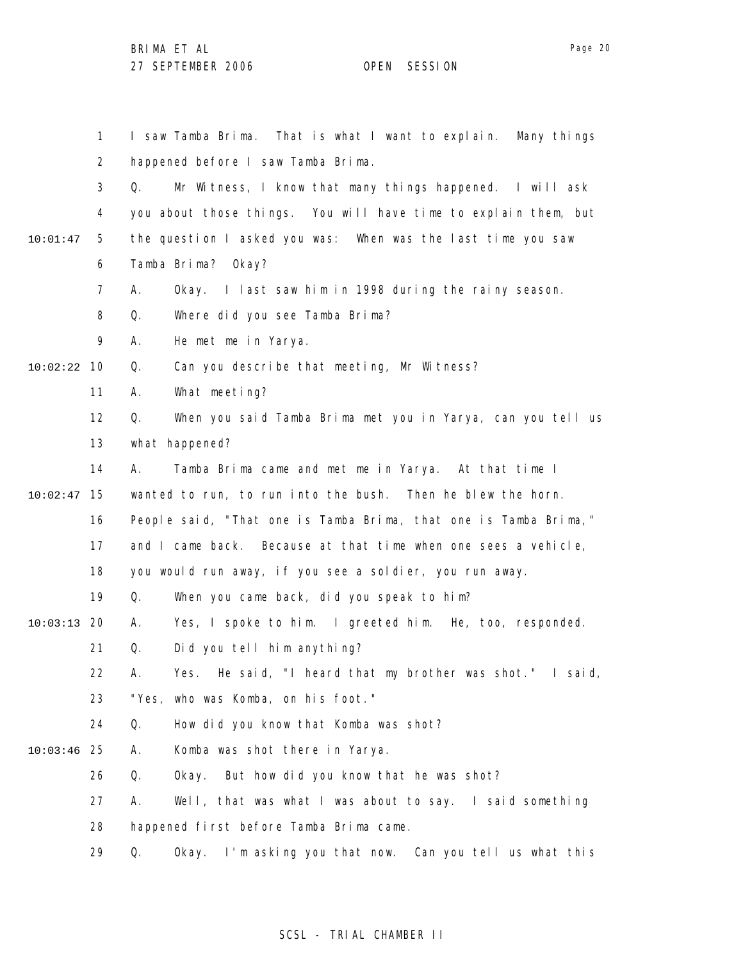1 2 3 4 5 6 7 8 9 10 10:02:22 11 12 13 14 15 10:02:47 16 17 18 19 20 10:03:13 21 22 23 24 25 10:03:46 26 27 28 29 10:01:47 I saw Tamba Brima. That is what I want to explain. Many things happened before I saw Tamba Brima. Q. Mr Witness, I know that many things happened. I will ask you about those things. You will have time to explain them, but the question I asked you was: When was the last time you saw Tamba Brima? Okay? A. Okay. I last saw him in 1998 during the rainy season. Q. Where did you see Tamba Brima? A. He met me in Yarya. Q. Can you describe that meeting, Mr Witness? A. What meeting? Q. When you said Tamba Brima met you in Yarya, can you tell us what happened? A. Tamba Brima came and met me in Yarya. At that time I wanted to run, to run into the bush. Then he blew the horn. People said, "That one is Tamba Brima, that one is Tamba Brima," and I came back. Because at that time when one sees a vehicle, you would run away, if you see a soldier, you run away. Q. When you came back, did you speak to him? A. Yes, I spoke to him. I greeted him. He, too, responded. Q. Did you tell him anything? A. Yes. He said, "I heard that my brother was shot." I said, "Yes, who was Komba, on his foot." Q. How did you know that Komba was shot? A. Komba was shot there in Yarya. Q. Okay. But how did you know that he was shot? A. Well, that was what I was about to say. I said something happened first before Tamba Brima came. Q. Okay. I'm asking you that now. Can you tell us what this

### SCSL - TRIAL CHAMBER II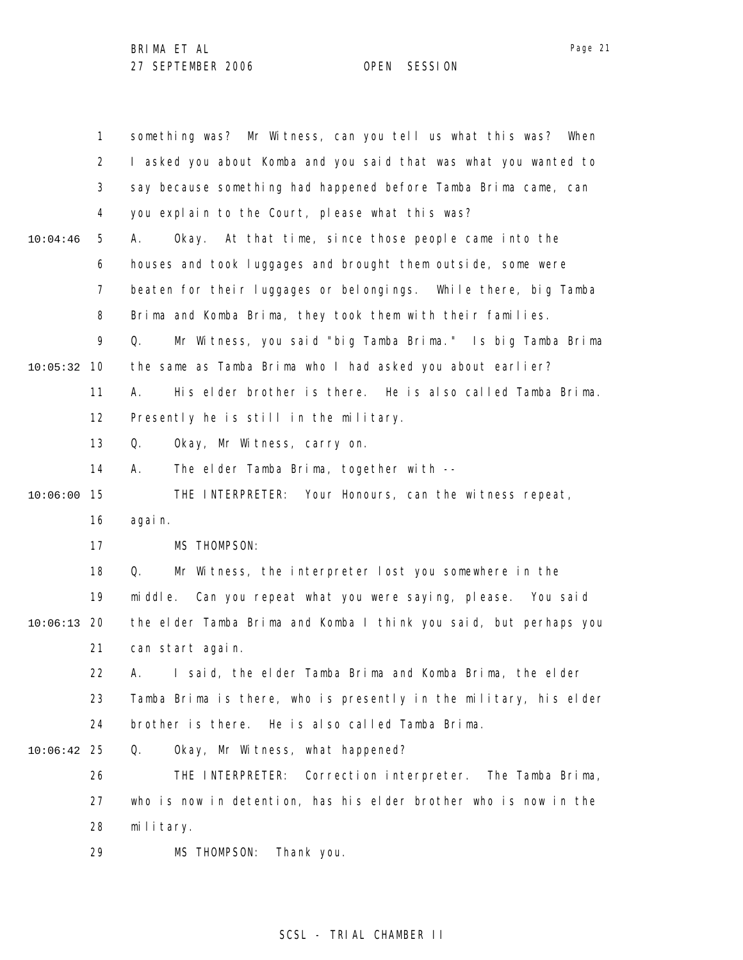1 2 3 4 5 6 7 8 9 10 10:05:32 11 12 13 14 15 10:06:00 16 17 18 19 20 10:06:13 21 22 23 24 25 10:06:42 26 27 28 29 10:04:46 something was? Mr Witness, can you tell us what this was? When I asked you about Komba and you said that was what you wanted to say because something had happened before Tamba Brima came, can you explain to the Court, please what this was? A. Okay. At that time, since those people came into the houses and took luggages and brought them outside, some were beaten for their luggages or belongings. While there, big Tamba Brima and Komba Brima, they took them with their families. Q. Mr Witness, you said "big Tamba Brima." Is big Tamba Brima the same as Tamba Brima who I had asked you about earlier? A. His elder brother is there. He is also called Tamba Brima. Presently he is still in the military. Q. Okay, Mr Witness, carry on. A. The elder Tamba Brima, together with -- THE INTERPRETER: Your Honours, can the witness repeat, again. MS THOMPSON: Q. Mr Witness, the interpreter lost you somewhere in the middle. Can you repeat what you were saying, please. You said the elder Tamba Brima and Komba I think you said, but perhaps you can start again. A. I said, the elder Tamba Brima and Komba Brima, the elder Tamba Brima is there, who is presently in the military, his elder brother is there. He is also called Tamba Brima. Q. Okay, Mr Witness, what happened? THE INTERPRETER: Correction interpreter. The Tamba Brima, who is now in detention, has his elder brother who is now in the military. MS THOMPSON: Thank you.

### SCSL - TRIAL CHAMBER II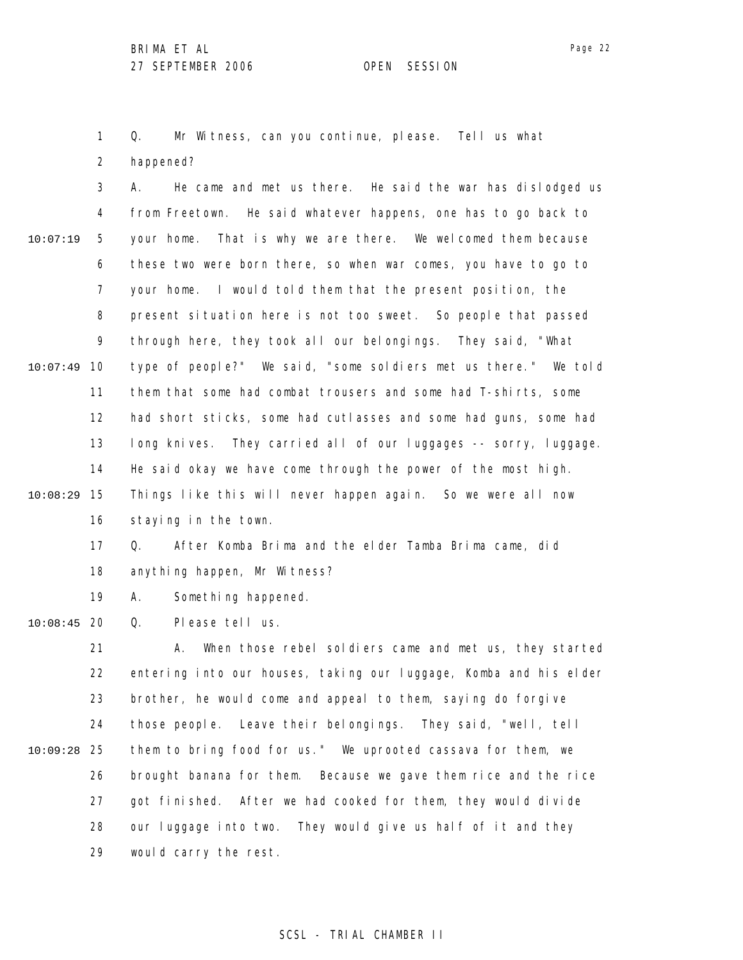Q. Mr Witness, can you continue, please. Tell us what

2 happened?

1

3 4 5 6 7 8 9 10 10:07:49 11 12 13 14 15 10:08:29 16 17 10:07:19 A. He came and met us there. He said the war has dislodged us from Freetown. He said whatever happens, one has to go back to your home. That is why we are there. We welcomed them because these two were born there, so when war comes, you have to go to your home. I would told them that the present position, the present situation here is not too sweet. So people that passed through here, they took all our belongings. They said, "What type of people?" We said, "some soldiers met us there." We told them that some had combat trousers and some had T-shirts, some had short sticks, some had cutlasses and some had guns, some had long knives. They carried all of our luggages -- sorry, luggage. He said okay we have come through the power of the most high. Things like this will never happen again. So we were all now staying in the town. Q. After Komba Brima and the elder Tamba Brima came, did

- 18 anything happen, Mr Witness?
- 19 A. Something happened.

20 10:08:45 Q. Please tell us.

21 22 23 24 25 10:09:28 26 27 28 29 A. When those rebel soldiers came and met us, they started entering into our houses, taking our luggage, Komba and his elder brother, he would come and appeal to them, saying do forgive those people. Leave their belongings. They said, "well, tell them to bring food for us." We uprooted cassava for them, we brought banana for them. Because we gave them rice and the rice got finished. After we had cooked for them, they would divide our luggage into two. They would give us half of it and they would carry the rest.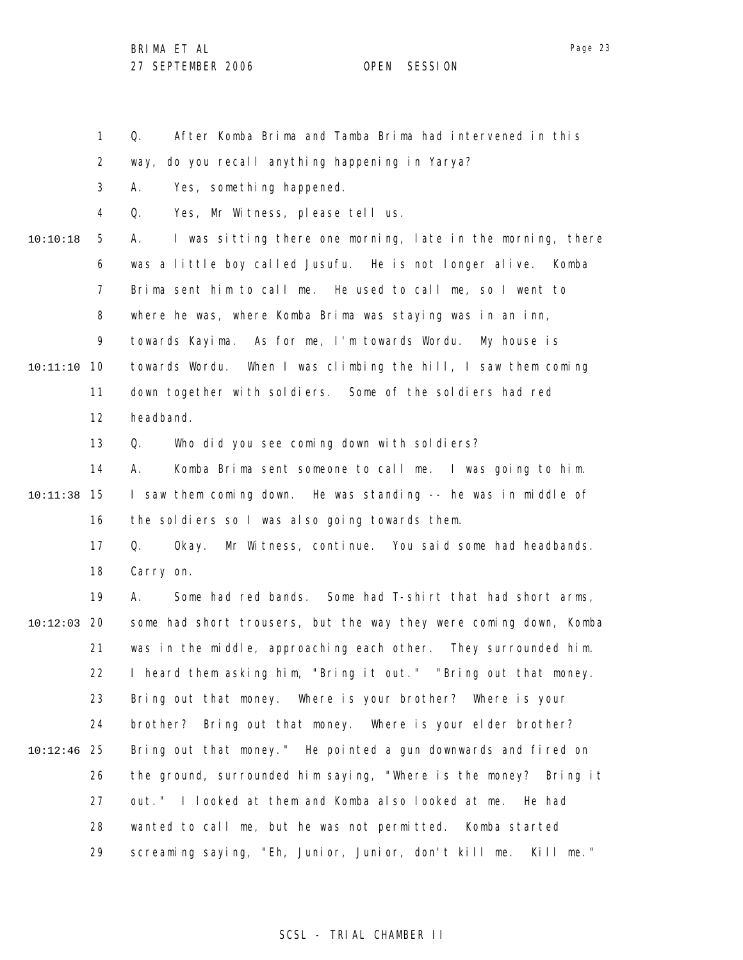1

Q. After Komba Brima and Tamba Brima had intervened in this

Page 23

2 3 4 5 6 7 8 9 10 10:11:10 11 12 13 14 15 10:11:38 16 17 18 19 20 10:12:03 21 22 23 24 25 10:12:46 26 27 28 29 10:10:18 way, do you recall anything happening in Yarya? A. Yes, something happened. Q. Yes, Mr Witness, please tell us. A. I was sitting there one morning, late in the morning, there was a little boy called Jusufu. He is not longer alive. Komba Brima sent him to call me. He used to call me, so I went to where he was, where Komba Brima was staying was in an inn, towards Kayima. As for me, I'm towards Wordu. My house is towards Wordu. When I was climbing the hill, I saw them coming down together with soldiers. Some of the soldiers had red headband. Q. Who did you see coming down with soldiers? A. Komba Brima sent someone to call me. I was going to him. I saw them coming down. He was standing -- he was in middle of the soldiers so I was also going towards them. Q. Okay. Mr Witness, continue. You said some had headbands. Carry on. A. Some had red bands. Some had T-shirt that had short arms, some had short trousers, but the way they were coming down, Komba was in the middle, approaching each other. They surrounded him. I heard them asking him, "Bring it out." "Bring out that money. Bring out that money. Where is your brother? Where is your brother? Bring out that money. Where is your elder brother? Bring out that money." He pointed a gun downwards and fired on the ground, surrounded him saying, "Where is the money? Bring it out." I looked at them and Komba also looked at me. He had wanted to call me, but he was not permitted. Komba started screaming saying, "Eh, Junior, Junior, don't kill me. Kill me."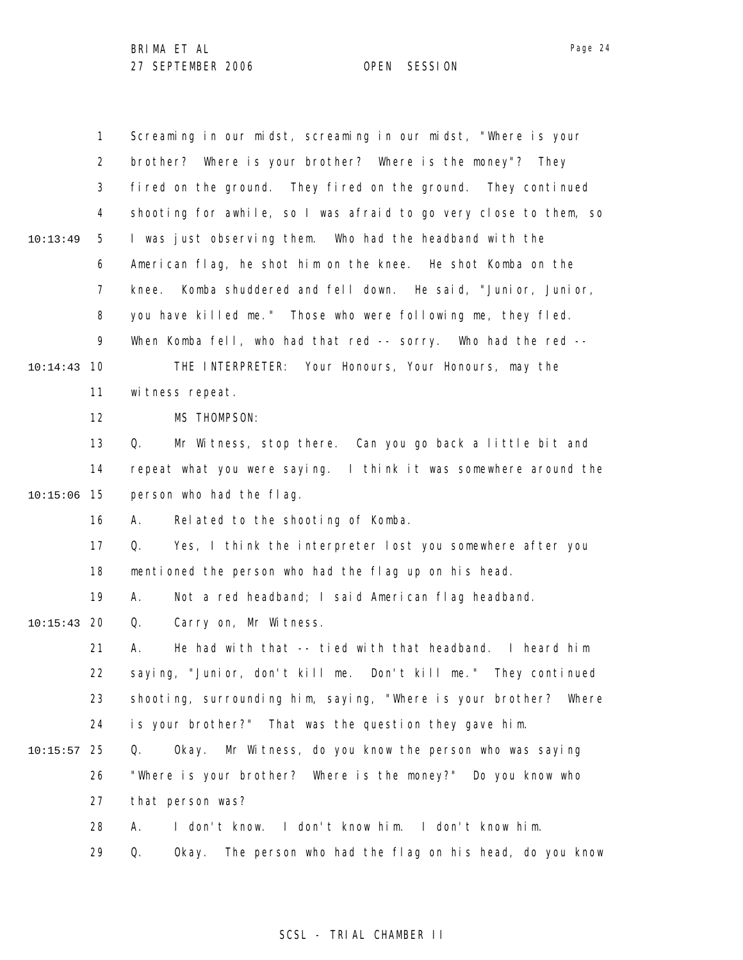|          | 1              | Screaming in our midst, screaming in our midst, "Where is your      |
|----------|----------------|---------------------------------------------------------------------|
|          | $\overline{2}$ | brother? Where is your brother? Where is the money"? They           |
|          | 3              | fired on the ground. They fired on the ground. They continued       |
|          | 4              | shooting for awhile, so I was afraid to go very close to them, so   |
| 10:13:49 | 5              | I was just observing them. Who had the headband with the            |
|          | 6              | American flag, he shot him on the knee. He shot Komba on the        |
|          | 7              | Komba shuddered and fell down. He said, "Junior, Junior,<br>knee.   |
|          | 8              | you have killed me." Those who were following me, they fled.        |
|          | 9              | When Komba fell, who had that red -- sorry. Who had the red --      |
| 10:14:43 | 10             | THE INTERPRETER: Your Honours, Your Honours, may the                |
|          | 11             | witness repeat.                                                     |
|          | 12             | MS THOMPSON:                                                        |
|          | 13             | Mr Witness, stop there. Can you go back a little bit and<br>Q.      |
|          | 14             | repeat what you were saying. I think it was somewhere around the    |
| 10:15:06 | 15             | person who had the flag.                                            |
|          | 16             | Related to the shooting of Komba.<br>А.                             |
|          | 17             | Yes, I think the interpreter lost you somewhere after you<br>Q.     |
|          | 18             | mentioned the person who had the flag up on his head.               |
|          | 19             | Not a red headband; I said American flag headband.<br>А.            |
| 10:15:43 | 20             | Carry on, Mr Witness.<br>Q.                                         |
|          | 21             | He had with that -- tied with that headband. I heard him<br>А.      |
|          | 22             | saying, "Junior, don't kill me. Don't kill me." They continued      |
|          | 23             | shooting, surrounding him, saying, "Where is your brother? Where    |
|          | 24             | is your brother?" That was the question they gave him.              |
| 10:15:57 | 25             | Okay. Mr Witness, do you know the person who was saying<br>Q.       |
|          | 26             | "Where is your brother? Where is the money?" Do you know who        |
|          | 27             | that person was?                                                    |
|          | 28             | I don't know. I don't know him. I don't know him.<br>А.             |
|          | 29             | The person who had the flag on his head, do you know<br>Q.<br>0kay. |

# SCSL - TRIAL CHAMBER II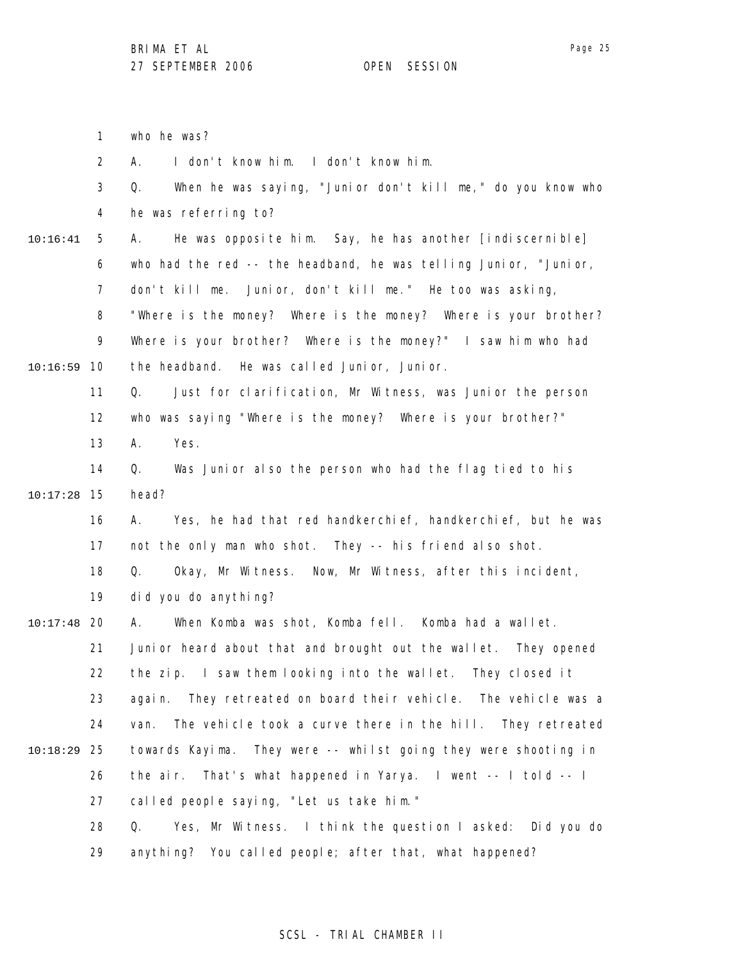|          | $\mathbf{1}$   | who he was?                                                        |
|----------|----------------|--------------------------------------------------------------------|
|          | $\overline{2}$ | I don't know him. I don't know him.<br>А.                          |
|          | 3              | When he was saying, "Junior don't kill me," do you know who<br>Q.  |
|          | 4              | he was referring to?                                               |
| 10:16:41 | 5              | He was opposite him. Say, he has another [indiscernible]<br>А.     |
|          | 6              | who had the red -- the headband, he was telling Junior, "Junior,   |
|          | $\overline{7}$ | don't kill me. Junior, don't kill me." He too was asking,          |
|          | 8              | "Where is the money? Where is the money? Where is your brother?    |
|          | 9              | Where is your brother? Where is the money?" I saw him who had      |
| 10:16:59 | 10             | the headband. He was called Junior, Junior.                        |
|          | 11             | Just for clarification, Mr Witness, was Junior the person<br>Q.    |
|          | 12             | who was saying "Where is the money? Where is your brother?"        |
|          | 13             | Α.<br>Yes.                                                         |
|          | 14             | Q.<br>Was Junior also the person who had the flag tied to his      |
| 10:17:28 | 15             | head?                                                              |
|          | 16             | Yes, he had that red handkerchief, handkerchief, but he was<br>А.  |
|          | 17             | not the only man who shot. They -- his friend also shot.           |
|          | 18             | Okay, Mr Witness. Now, Mr Witness, after this incident,<br>Q.      |
|          | 19             | did you do anything?                                               |
| 10:17:48 | 20             | When Komba was shot, Komba fell. Komba had a wallet.<br>А.         |
|          | 21             | Junior heard about that and brought out the wallet. They opened    |
|          | 22             | the zip. I saw them looking into the wallet. They closed it        |
|          | 23             | again. They retreated on board their vehicle. The vehicle was a    |
|          | 24             | The vehicle took a curve there in the hill. They retreated<br>van. |
| 10:18:29 | 25             | towards Kayima. They were -- whilst going they were shooting in    |
|          | 26             | the air. That's what happened in Yarya. I went -- I told -- I      |
|          | 27             | called people saying, "Let us take him."                           |
|          | 28             | Yes, Mr Witness. I think the question I asked: Did you do<br>Q.    |
|          | 29             | anything? You called people; after that, what happened?            |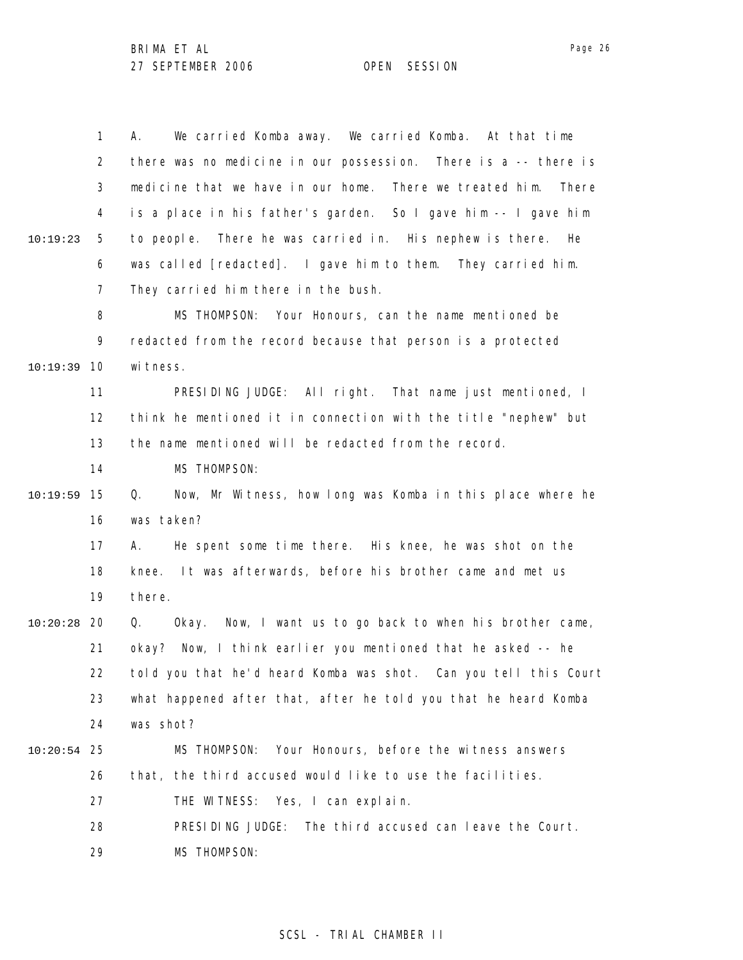|               | 1              | We carried Komba away. We carried Komba. At that time<br>А.       |
|---------------|----------------|-------------------------------------------------------------------|
|               | $\overline{2}$ | there was no medicine in our possession. There is a -- there is   |
|               | 3              | medicine that we have in our home. There we treated him.<br>There |
|               | 4              | is a place in his father's garden. So I gave him -- I gave him    |
| 10:19:23      | 5              | There he was carried in. His nephew is there. He<br>to people.    |
|               | 6              | was called [redacted]. I gave him to them. They carried him.      |
|               | 7              | They carried him there in the bush.                               |
|               | 8              | MS THOMPSON: Your Honours, can the name mentioned be              |
|               | 9              | redacted from the record because that person is a protected       |
| 10:19:39      | 10             | wi tness.                                                         |
|               | 11             | PRESIDING JUDGE: All right. That name just mentioned, I           |
|               | 12             | think he mentioned it in connection with the title "nephew" but   |
|               | 13             | the name mentioned will be redacted from the record.              |
|               | 14             | MS THOMPSON:                                                      |
| 10:19:59      | 15             | Now, Mr Witness, how long was Komba in this place where he<br>Q.  |
|               | 16             | was taken?                                                        |
|               | 17             | He spent some time there. His knee, he was shot on the<br>А.      |
|               | 18             | It was afterwards, before his brother came and met us<br>knee.    |
|               | 19             | there.                                                            |
| 10:20:28      | -20            | Q.<br>Okay. Now, I want us to go back to when his brother came,   |
|               | 21             | Now, I think earlier you mentioned that he asked -- he<br>okay?   |
|               | 22             | told you that he'd heard Komba was shot. Can you tell this Court  |
|               | 23             | what happened after that, after he told you that he heard Komba   |
|               | 24             | was shot?                                                         |
| $10:20:54$ 25 |                | Your Honours, before the witness answers<br>MS THOMPSON:          |
|               | 26             | that, the third accused would like to use the facilities.         |
|               | 27             | THE WITNESS:<br>Yes, I can explain.                               |
|               | 28             | PRESIDING JUDGE:<br>The third accused can leave the Court.        |
|               | 29             | <b>MS THOMPSON:</b>                                               |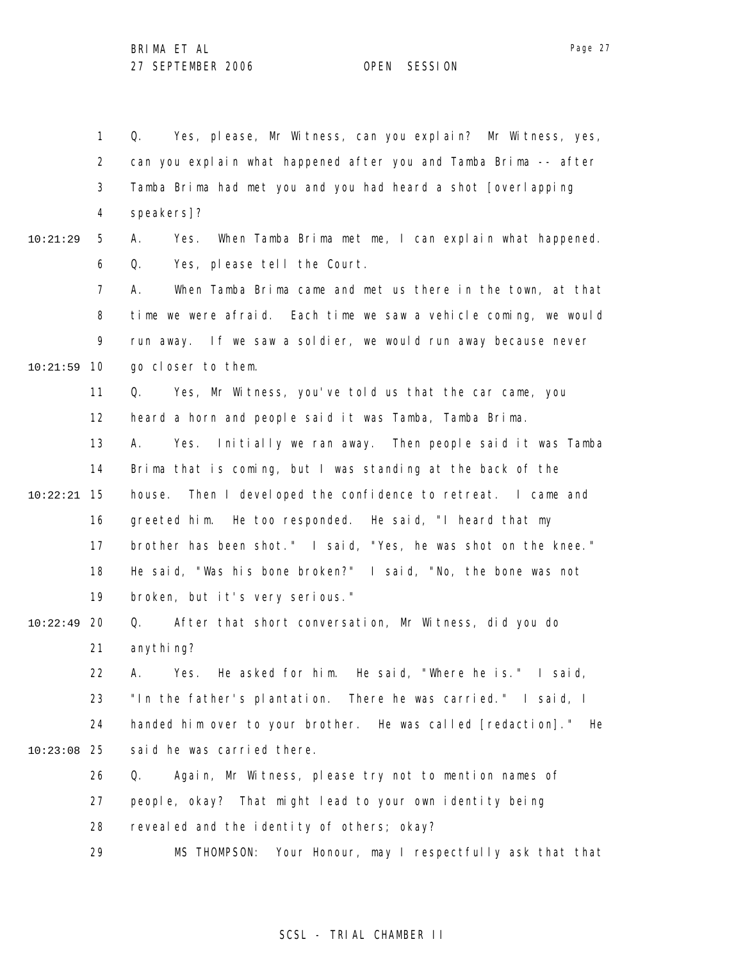1 2 3 4 5 6 7 8 9 10 10:21:59 11 12 13 14 15 10:22:21 16 17 18 19 20 10:22:49 21 22 23 24 25 10:23:08 26 27 28 29 10:21:29 Q. Yes, please, Mr Witness, can you explain? Mr Witness, yes, can you explain what happened after you and Tamba Brima -- after Tamba Brima had met you and you had heard a shot [overlapping speakers]? A. Yes. When Tamba Brima met me, I can explain what happened. Q. Yes, please tell the Court. A. When Tamba Brima came and met us there in the town, at that time we were afraid. Each time we saw a vehicle coming, we would run away. If we saw a soldier, we would run away because never go closer to them. Q. Yes, Mr Witness, you've told us that the car came, you heard a horn and people said it was Tamba, Tamba Brima. A. Yes. Initially we ran away. Then people said it was Tamba Brima that is coming, but I was standing at the back of the house. Then I developed the confidence to retreat. I came and greeted him. He too responded. He said, "I heard that my brother has been shot." I said, "Yes, he was shot on the knee." He said, "Was his bone broken?" I said, "No, the bone was not broken, but it's very serious." Q. After that short conversation, Mr Witness, did you do anything? A. Yes. He asked for him. He said, "Where he is." I said, "In the father's plantation. There he was carried." I said, I handed him over to your brother. He was called [redaction]." He said he was carried there. Q. Again, Mr Witness, please try not to mention names of people, okay? That might lead to your own identity being revealed and the identity of others; okay? MS THOMPSON: Your Honour, may I respectfully ask that that

### SCSL - TRIAL CHAMBER II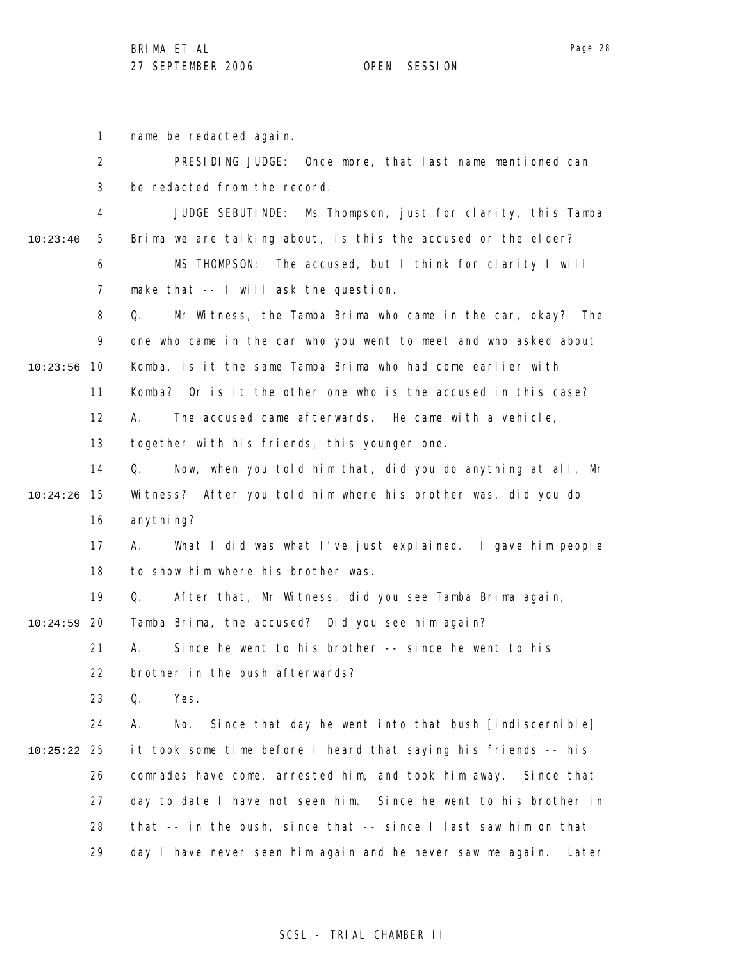Page 28

1 2 3 4 5 6 7 8 9 10 10:23:56 11 12 13 14 15 10:24:26 16 17 18 19 20 10:24:59 21 22 23 24 25 10:25:22 26 27 28 29 10:23:40 name be redacted again. PRESIDING JUDGE: Once more, that last name mentioned can be redacted from the record. JUDGE SEBUTINDE: Ms Thompson, just for clarity, this Tamba Brima we are talking about, is this the accused or the elder? MS THOMPSON: The accused, but I think for clarity I will make that -- I will ask the question. Q. Mr Witness, the Tamba Brima who came in the car, okay? The one who came in the car who you went to meet and who asked about Komba, is it the same Tamba Brima who had come earlier with Komba? Or is it the other one who is the accused in this case? A. The accused came afterwards. He came with a vehicle, together with his friends, this younger one. Q. Now, when you told him that, did you do anything at all, Mr Witness? After you told him where his brother was, did you do anything? A. What I did was what I've just explained. I gave him people to show him where his brother was. Q. After that, Mr Witness, did you see Tamba Brima again, Tamba Brima, the accused? Did you see him again? A. Since he went to his brother -- since he went to his brother in the bush afterwards? Q. Yes. A. No. Since that day he went into that bush [indiscernible] it took some time before I heard that saying his friends -- his comrades have come, arrested him, and took him away. Since that day to date I have not seen him. Since he went to his brother in that -- in the bush, since that -- since I last saw him on that day I have never seen him again and he never saw me again. Later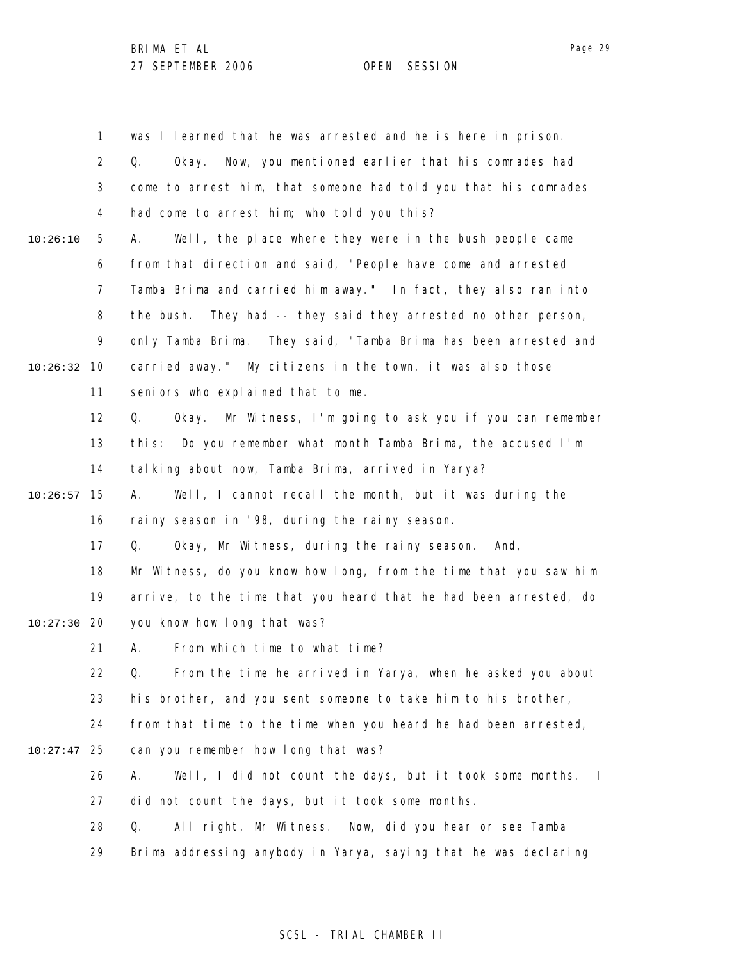|          | 1              | was I learned that he was arrested and he is here in prison.      |
|----------|----------------|-------------------------------------------------------------------|
|          | $\overline{2}$ | Now, you mentioned earlier that his comrades had<br>Q.<br>0kay.   |
|          | 3              | come to arrest him, that someone had told you that his comrades   |
|          | 4              | had come to arrest him; who told you this?                        |
| 10:26:10 | 5              | Well, the place where they were in the bush people came<br>А.     |
|          | 6              | from that direction and said, "People have come and arrested      |
|          | 7              | Tamba Brima and carried him away." In fact, they also ran into    |
|          | 8              | the bush. They had -- they said they arrested no other person,    |
|          | 9              | only Tamba Brima. They said, "Tamba Brima has been arrested and   |
| 10:26:32 | 10             | carried away." My citizens in the town, it was also those         |
|          | 11             | seniors who explained that to me.                                 |
|          | 12             | Okay. Mr Witness, I'm going to ask you if you can remember<br>Q.  |
|          | 13             | Do you remember what month Tamba Brima, the accused I'm<br>thi s: |
|          | 14             | talking about now, Tamba Brima, arrived in Yarya?                 |
| 10:26:57 | 15             | Well, I cannot recall the month, but it was during the<br>А.      |
|          | 16             | rainy season in '98, during the rainy season.                     |
|          | 17             | Okay, Mr Witness, during the rainy season.<br>Q.<br>And,          |
|          | 18             | Mr Witness, do you know how long, from the time that you saw him  |
|          | 19             | arrive, to the time that you heard that he had been arrested, do  |
| 10:27:30 | -20            | you know how long that was?                                       |
|          | 21             | From which time to what time?<br>А.                               |
|          | 22             | From the time he arrived in Yarya, when he asked you about<br>Q.  |
|          | 23             | his brother, and you sent someone to take him to his brother,     |
|          | 24             | from that time to the time when you heard he had been arrested,   |
| 10:27:47 | 25             | can you remember how long that was?                               |
|          | 26             | Well, I did not count the days, but it took some months. I<br>А.  |
|          | 27             | did not count the days, but it took some months.                  |
|          | 28             | All right, Mr Witness. Now, did you hear or see Tamba<br>Q.       |
|          | 29             | Brima addressing anybody in Yarya, saying that he was declaring   |

# SCSL - TRIAL CHAMBER II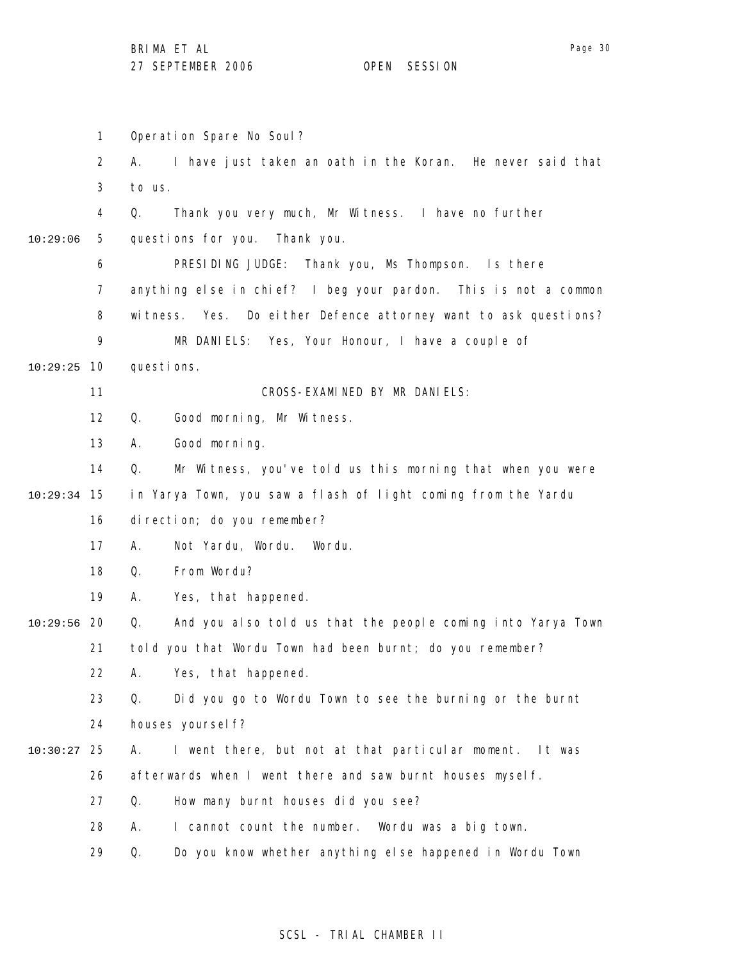1 2 3 4 5 6 7 8 9 10 10:29:25 11 12 13 14 15 10:29:34 16 17 18 19 20 10:29:56 21 22 23 24 25 10:30:27 26 27 28 29 10:29:06 Operation Spare No Soul? A. I have just taken an oath in the Koran. He never said that to us. Q. Thank you very much, Mr Witness. I have no further questions for you. Thank you. PRESIDING JUDGE: Thank you, Ms Thompson. Is there anything else in chief? I beg your pardon. This is not a common witness. Yes. Do either Defence attorney want to ask questions? MR DANIELS: Yes, Your Honour, I have a couple of questions. CROSS-EXAMINED BY MR DANIELS: Q. Good morning, Mr Witness. A. Good morning. Q. Mr Witness, you've told us this morning that when you were in Yarya Town, you saw a flash of light coming from the Yardu direction; do you remember? A. Not Yardu, Wordu. Wordu. Q. From Wordu? A. Yes, that happened. Q. And you also told us that the people coming into Yarya Town told you that Wordu Town had been burnt; do you remember? A. Yes, that happened. Q. Did you go to Wordu Town to see the burning or the burnt houses yoursel f? A. I went there, but not at that particular moment. It was afterwards when I went there and saw burnt houses myself. Q. How many burnt houses did you see? A. I cannot count the number. Wordu was a big town. Q. Do you know whether anything else happened in Wordu Town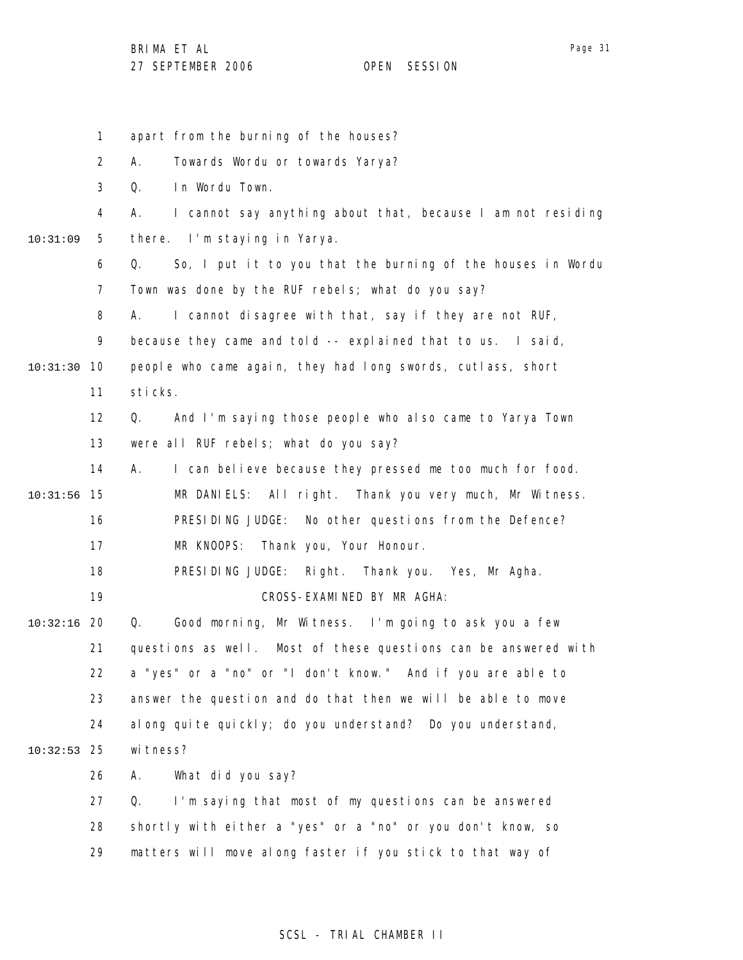1 2 3 4 5 6 7 8 9 10 10:31:30 11 12 13 14 15 10:31:56 16 17 18 19 20 10:32:16 21 22 23 24 25 10:32:53 26 27 28 29 10:31:09 apart from the burning of the houses? A. Towards Wordu or towards Yarya? Q. In Wordu Town. A. I cannot say anything about that, because I am not residing there. I'm staying in Yarya. Q. So, I put it to you that the burning of the houses in Wordu Town was done by the RUF rebels; what do you say? A. I cannot disagree with that, say if they are not RUF, because they came and told -- explained that to us. I said, people who came again, they had long swords, cutlass, short sticks. Q. And I'm saying those people who also came to Yarya Town were all RUF rebels; what do you say? A. I can believe because they pressed me too much for food. MR DANIELS: All right. Thank you very much, Mr Witness. PRESIDING JUDGE: No other questions from the Defence? MR KNOOPS: Thank you, Your Honour. PRESIDING JUDGE: Right. Thank you. Yes, Mr Agha. CROSS-EXAMINED BY MR AGHA: Q. Good morning, Mr Witness. I'm going to ask you a few questions as well. Most of these questions can be answered with a "yes" or a "no" or "I don't know." And if you are able to answer the question and do that then we will be able to move along quite quickly; do you understand? Do you understand, wi tness? A. What did you say? Q. I'm saying that most of my questions can be answered shortly with either a "yes" or a "no" or you don't know, so matters will move along faster if you stick to that way of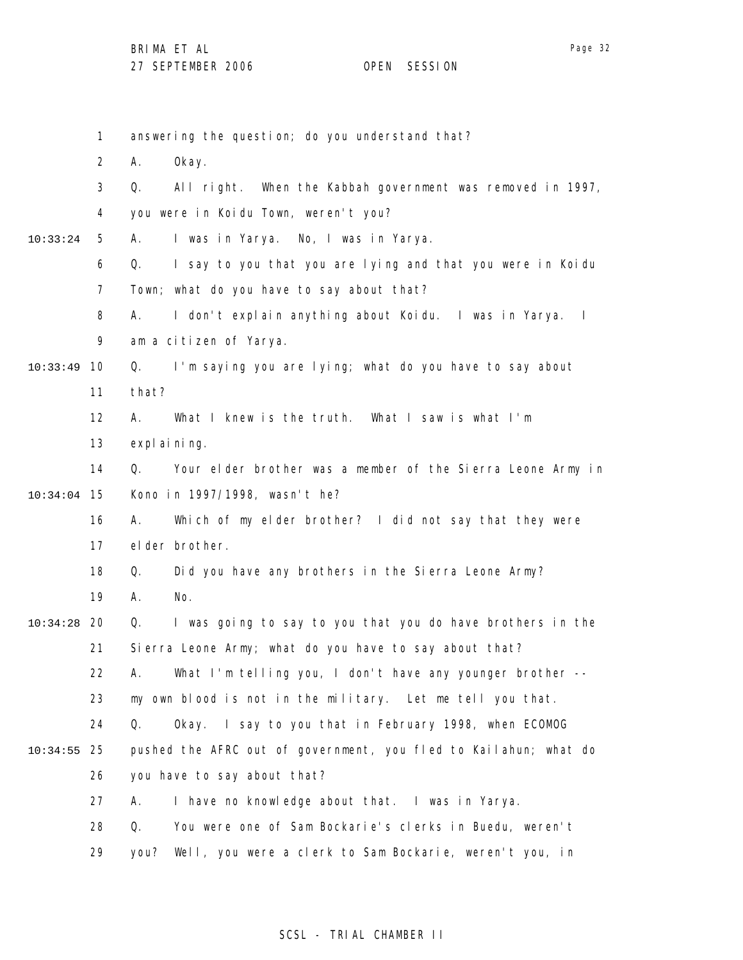1 2 3 4 5 6 7 8 9 10 10:33:49 11 12 13 14 15 10:34:04 16 17 18 19 20 10:34:28 21 22 23 24 25 10:34:55 26 27 28 29 10:33:24 answering the question; do you understand that? A. Okay. Q. All right. When the Kabbah government was removed in 1997, you were in Koidu Town, weren't you? A. I was in Yarya. No, I was in Yarya. Q. I say to you that you are lying and that you were in Koidu Town; what do you have to say about that? A. I don't explain anything about Koidu. I was in Yarya. I am a citizen of Yarya. Q. I'm saying you are lying; what do you have to say about that? A. What I knew is the truth. What I saw is what I'm expl ai ni ng. Q. Your elder brother was a member of the Sierra Leone Army in Kono in 1997/1998, wasn't he? A. Which of my elder brother? I did not say that they were elder brother. Q. Did you have any brothers in the Sierra Leone Army? A. No. Q. I was going to say to you that you do have brothers in the Sierra Leone Army; what do you have to say about that? A. What I'm telling you, I don't have any younger brother - my own blood is not in the military. Let me tell you that. Q. Okay. I say to you that in February 1998, when ECOMOG pushed the AFRC out of government, you fled to Kailahun; what do you have to say about that? A. I have no knowledge about that. I was in Yarya. Q. You were one of Sam Bockarie's clerks in Buedu, weren't you? Well, you were a clerk to Sam Bockarie, weren't you, in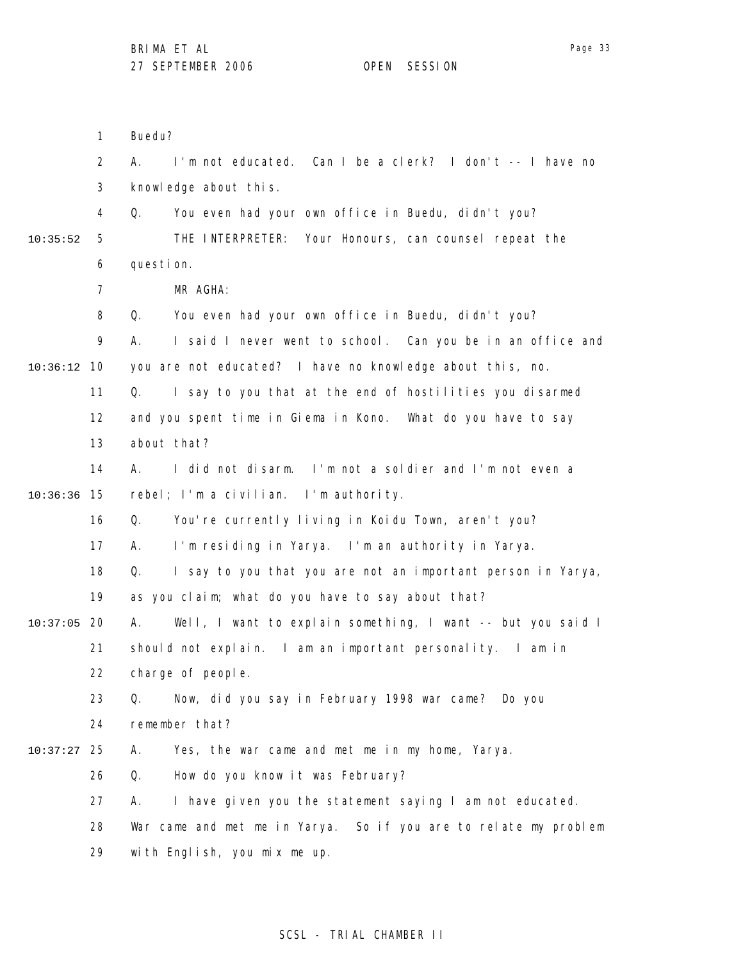Buedu?

1 2 3 4 5 6 7 8 9 10 10:36:12 11 12 13 14 15 10:36:36 16 17 18 19 20 10:37:05 21 22 23 24 25 10:37:27 26 27 28 29 10:35:52 A. I'm not educated. Can I be a clerk? I don't -- I have no knowledge about this. Q. You even had your own office in Buedu, didn't you? THE INTERPRETER: Your Honours, can counsel repeat the question. MR AGHA: Q. You even had your own office in Buedu, didn't you? A. I said I never went to school. Can you be in an office and you are not educated? I have no knowledge about this, no. Q. I say to you that at the end of hostilities you disarmed and you spent time in Giema in Kono. What do you have to say about that? A. I did not disarm. I'm not a soldier and I'm not even a rebel; I'm a civilian. I'm authority. Q. You're currently living in Koidu Town, aren't you? A. I'm residing in Yarya. I'm an authority in Yarya. Q. I say to you that you are not an important person in Yarya, as you claim; what do you have to say about that? A. Well, I want to explain something, I want -- but you said I should not explain. I am an important personality. I am in charge of people. Q. Now, did you say in February 1998 war came? Do you remember that? A. Yes, the war came and met me in my home, Yarya. Q. How do you know it was February? A. I have given you the statement saying I am not educated. War came and met me in Yarya. So if you are to relate my problem with English, you mix me up.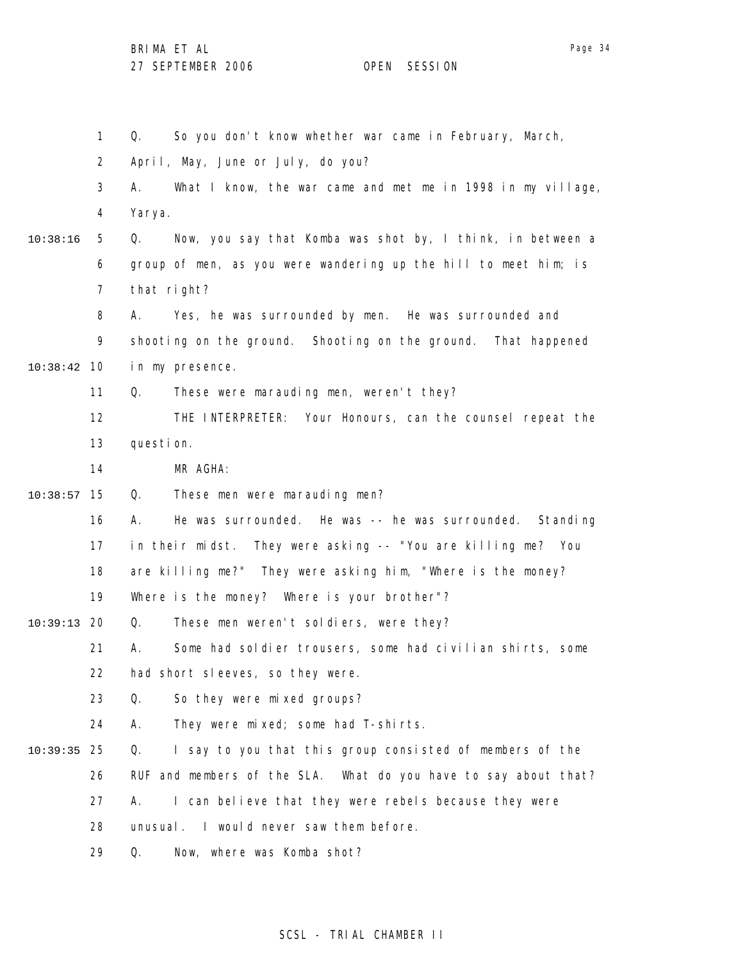1 2 3 4 5 6 7 8 9 10 10:38:42 11 12 13 14 15 10:38:57 16 17 18 19 20 10:39:13 21 22 23 24 25 10:39:35 26 27 28 29 10:38:16 Q. So you don't know whether war came in February, March, April, May, June or July, do you? A. What I know, the war came and met me in 1998 in my village, Yarya. Q. Now, you say that Komba was shot by, I think, in between a group of men, as you were wandering up the hill to meet him; is that right? A. Yes, he was surrounded by men. He was surrounded and shooting on the ground. Shooting on the ground. That happened in my presence. Q. These were marauding men, weren't they? THE INTERPRETER: Your Honours, can the counsel repeat the question. MR AGHA: Q. These men were marauding men? A. He was surrounded. He was -- he was surrounded. Standing in their midst. They were asking -- "You are killing me? You are killing me?" They were asking him, "Where is the money? Where is the money? Where is your brother"? Q. These men weren't soldiers, were they? A. Some had soldier trousers, some had civilian shirts, some had short sleeves, so they were. Q. So they were mixed groups? A. They were mixed; some had T-shirts. Q. I say to you that this group consisted of members of the RUF and members of the SLA. What do you have to say about that? A. I can believe that they were rebels because they were unusual. I would never saw them before. Q. Now, where was Komba shot?

### SCSL - TRIAL CHAMBER II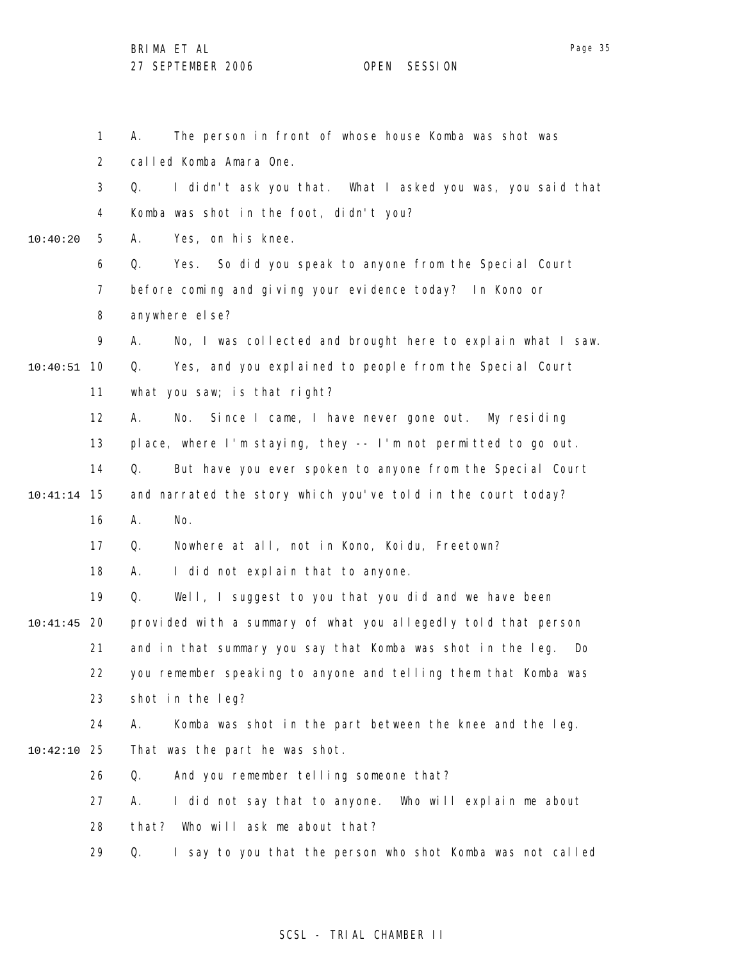1 2 3 4 5 6 7 8 9 10 10:40:51 11 12 13 14 15 10:41:14 16 17 18 19 20 10:41:45 21 22 23 24 25 10:42:10 26 27 28 29 10:40:20 A. The person in front of whose house Komba was shot was called Komba Amara One. Q. I didn't ask you that. What I asked you was, you said that Komba was shot in the foot, didn't you? A. Yes, on his knee. Q. Yes. So did you speak to anyone from the Special Court before coming and giving your evidence today? In Kono or anywhere else? A. No, I was collected and brought here to explain what I saw. Q. Yes, and you explained to people from the Special Court what you saw; is that right? A. No. Since I came, I have never gone out. My residing place, where I'm staying, they -- I'm not permitted to go out. Q. But have you ever spoken to anyone from the Special Court and narrated the story which you've told in the court today? A. No. Q. Nowhere at all, not in Kono, Koidu, Freetown? A. I did not explain that to anyone. Q. Well, I suggest to you that you did and we have been provided with a summary of what you allegedly told that person and in that summary you say that Komba was shot in the leg. Do you remember speaking to anyone and telling them that Komba was shot in the leg? A. Komba was shot in the part between the knee and the leg. That was the part he was shot. Q. And you remember telling someone that? A. I did not say that to anyone. Who will explain me about that? Who will ask me about that? Q. I say to you that the person who shot Komba was not called

### SCSL - TRIAL CHAMBER II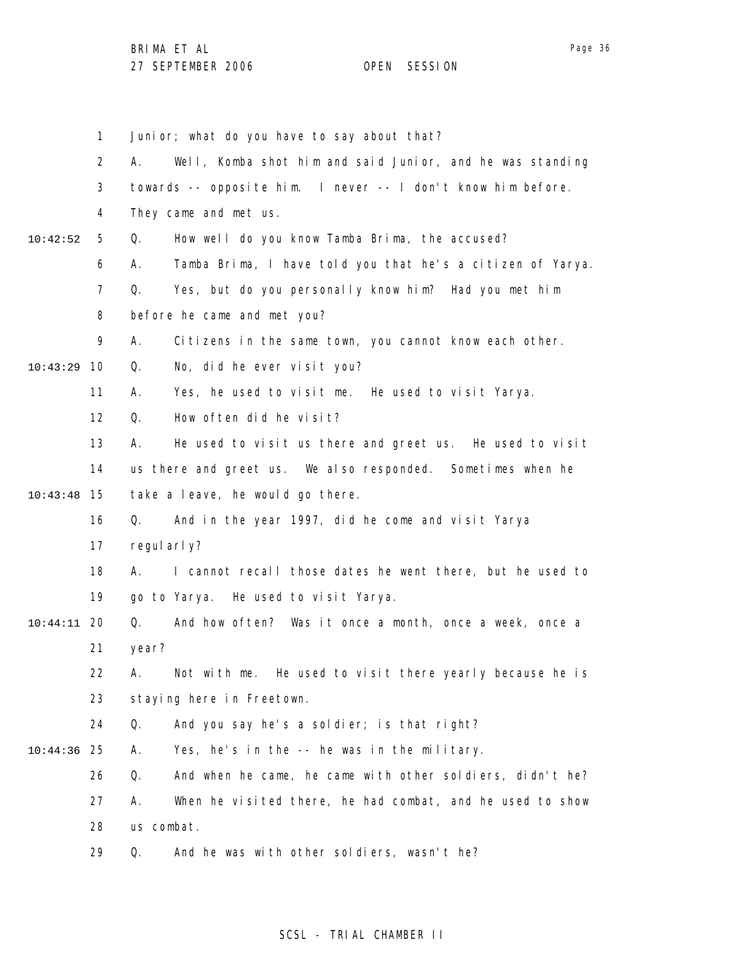|          | 1              | Junior; what do you have to say about that?                      |
|----------|----------------|------------------------------------------------------------------|
|          |                |                                                                  |
|          | $\overline{2}$ | Well, Komba shot him and said Junior, and he was standing<br>А.  |
|          | 3              | towards -- opposite him. I never -- I don't know him before.     |
|          | 4              | They came and met us.                                            |
| 10:42:52 | 5              | How well do you know Tamba Brima, the accused?<br>Q.             |
|          | 6              | Tamba Brima, I have told you that he's a citizen of Yarya.<br>А. |
|          | $\overline{7}$ | Q.<br>Yes, but do you personally know him? Had you met him       |
|          | 8              | before he came and met you?                                      |
|          | 9              | Α.<br>Citizens in the same town, you cannot know each other.     |
| 10:43:29 | 10             | No, did he ever visit you?<br>Q.                                 |
|          | 11             | А.<br>Yes, he used to visit me. He used to visit Yarya.          |
|          | 12             | Q.<br>How often did he visit?                                    |
|          | 13             | Α.<br>He used to visit us there and greet us. He used to visit   |
|          | 14             | us there and greet us. We also responded. Sometimes when he      |
| 10:43:48 | 15             | take a leave, he would go there.                                 |
|          | 16             | Q.<br>And in the year 1997, did he come and visit Yarya          |
|          | 17             | regul arl y?                                                     |
|          | 18             | I cannot recall those dates he went there, but he used to<br>А.  |
|          | 19             | go to Yarya. He used to visit Yarya.                             |
| 10:44:11 | 20             | And how often? Was it once a month, once a week, once a<br>Q.    |
|          | 21             | year?                                                            |
|          | 22             | А.<br>Not with me. He used to visit there yearly because he is   |
|          | 23             | staying here in Freetown.                                        |
|          | 24             | And you say he's a soldier; is that right?<br>Q.                 |
| 10:44:36 | 25             | Yes, he's in the -- he was in the military.<br>Α.                |
|          | 26             | And when he came, he came with other soldiers, didn't he?<br>Q.  |
|          | 27             | When he visited there, he had combat, and he used to show<br>А.  |
|          | 28             | us combat.                                                       |
|          | 29             | And he was with other soldiers, wasn't he?<br>Q.                 |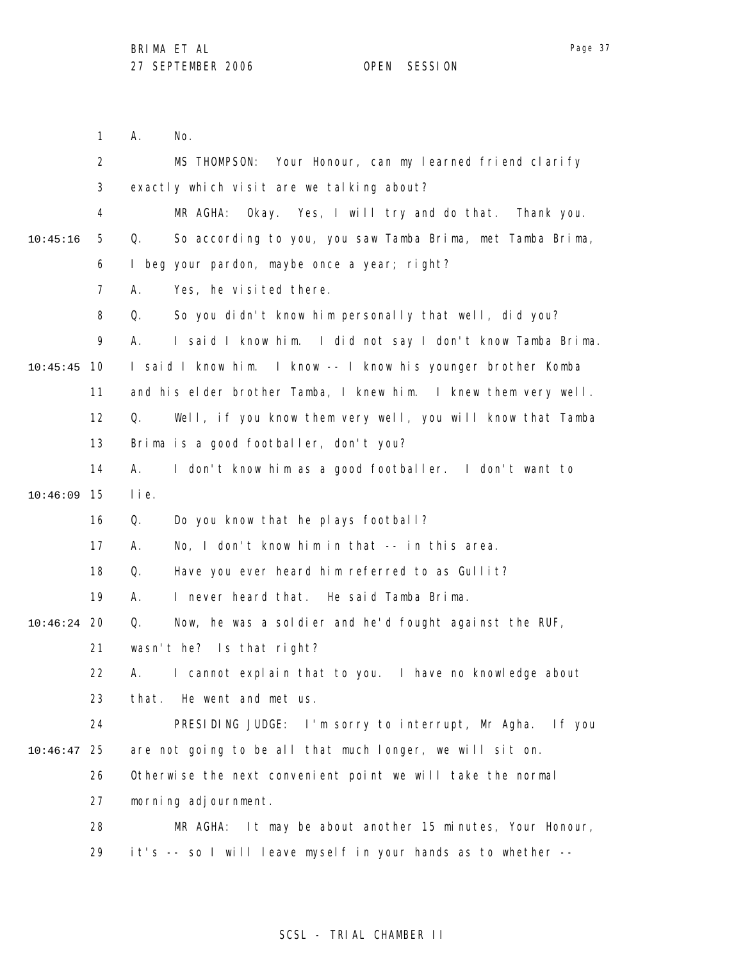1 2 3 4 5 6 7 8 9 10 10:45:45 11 12 13 14 15 10:46:09 16 17 18 19 20 10:46:24 21 22 23 24 25 10:46:47 26 27 28 29 10:45:16 A. No. MS THOMPSON: Your Honour, can my learned friend clarify exactly which visit are we talking about? MR AGHA: Okay. Yes, I will try and do that. Thank you. Q. So according to you, you saw Tamba Brima, met Tamba Brima, I beg your pardon, maybe once a year; right? A. Yes, he visited there. Q. So you didn't know him personally that well, did you? A. I said I know him. I did not say I don't know Tamba Brima. I said I know him. I know -- I know his younger brother Komba and his elder brother Tamba, I knew him. I knew them very well. Q. Well, if you know them very well, you will know that Tamba Brima is a good footballer, don't you? A. I don't know him as a good footballer. I don't want to lie. Q. Do you know that he plays football? A. No, I don't know him in that -- in this area. Q. Have you ever heard him referred to as Gullit? A. I never heard that. He said Tamba Brima. Q. Now, he was a soldier and he'd fought against the RUF, wasn't he? Is that right? A. I cannot explain that to you. I have no knowledge about that. He went and met us. PRESIDING JUDGE: I'm sorry to interrupt, Mr Agha. If you are not going to be all that much longer, we will sit on. Otherwise the next convenient point we will take the normal morning adjournment. MR AGHA: It may be about another 15 minutes, Your Honour, it's -- so I will leave myself in your hands as to whether --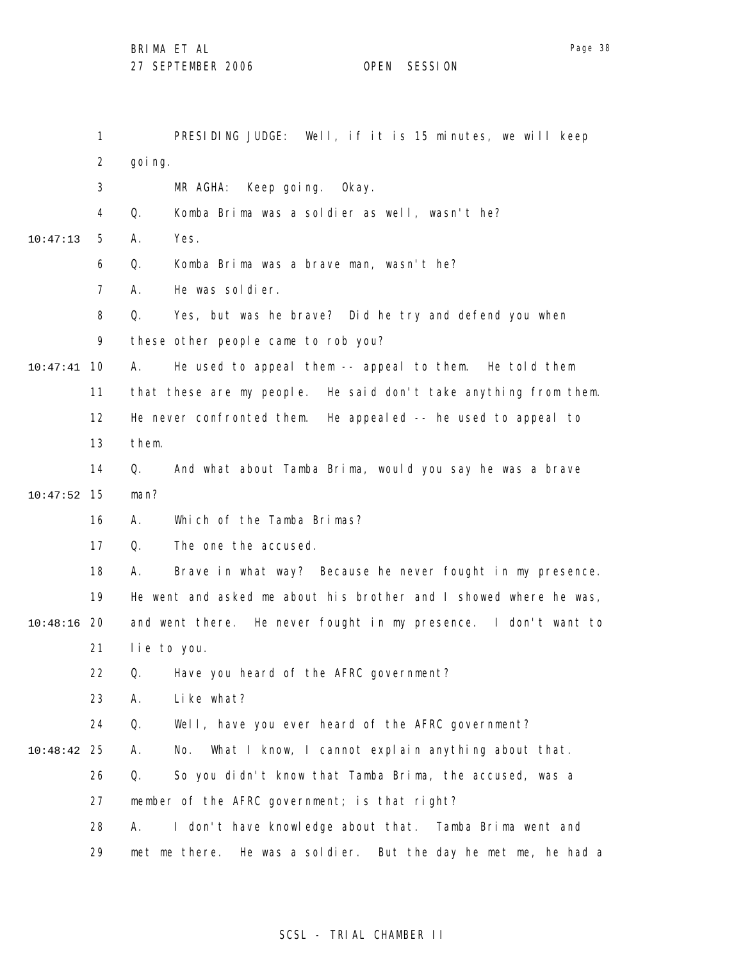1 2 3 4 5 6 7 8 9 10 10:47:41 11 12 13 14 15 10:47:52 16 17 18 19 20 10:48:16 21 22 23 24 25 10:48:42 26 27 28 29 10:47:13 PRESIDING JUDGE: Well, if it is 15 minutes, we will keep goi ng. MR AGHA: Keep going. Okay. Q. Komba Brima was a soldier as well, wasn't he? A. Yes. Q. Komba Brima was a brave man, wasn't he? A. He was soldier. Q. Yes, but was he brave? Did he try and defend you when these other people came to rob you? A. He used to appeal them -- appeal to them. He told them that these are my people. He said don't take anything from them. He never confronted them. He appealed -- he used to appeal to them. Q. And what about Tamba Brima, would you say he was a brave man? A. Which of the Tamba Brimas? Q. The one the accused. A. Brave in what way? Because he never fought in my presence. He went and asked me about his brother and I showed where he was, and went there. He never fought in my presence. I don't want to lie to you. Q. Have you heard of the AFRC government? A. Like what? Q. Well, have you ever heard of the AFRC government? A. No. What I know, I cannot explain anything about that. Q. So you didn't know that Tamba Brima, the accused, was a member of the AFRC government; is that right? A. I don't have knowledge about that. Tamba Brima went and met me there. He was a soldier. But the day he met me, he had a

## SCSL - TRIAL CHAMBER II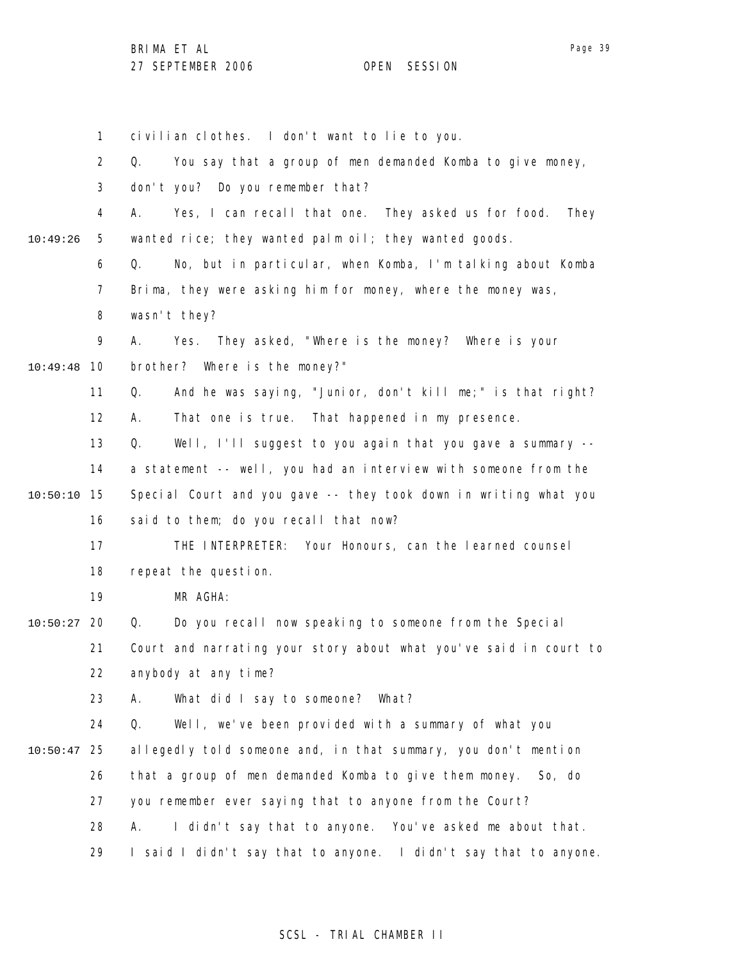1 2 3 4 5 6 7 8 9 10 10:49:48 11 12 13 14 15 10:50:10 16 17 18 19 20 10:50:27 21 22 23 24 25 10:50:47 26 27 28 29 10:49:26 civilian clothes. I don't want to lie to you. Q. You say that a group of men demanded Komba to give money, don't you? Do you remember that? A. Yes, I can recall that one. They asked us for food. They wanted rice; they wanted palm oil; they wanted goods. Q. No, but in particular, when Komba, I'm talking about Komba Brima, they were asking him for money, where the money was, wasn't they? A. Yes. They asked, "Where is the money? Where is your brother? Where is the money?" Q. And he was saying, "Junior, don't kill me;" is that right? A. That one is true. That happened in my presence. Q. Well, I'll suggest to you again that you gave a summary - a statement -- well, you had an interview with someone from the Special Court and you gave -- they took down in writing what you said to them; do you recall that now? THE INTERPRETER: Your Honours, can the learned counsel repeat the question. MR AGHA: Q. Do you recall now speaking to someone from the Special Court and narrating your story about what you've said in court to anybody at any time? A. What did I say to someone? What? Q. Well, we've been provided with a summary of what you allegedly told someone and, in that summary, you don't mention that a group of men demanded Komba to give them money. So, do you remember ever saying that to anyone from the Court? A. I didn't say that to anyone. You've asked me about that. I said I didn't say that to anyone. I didn't say that to anyone.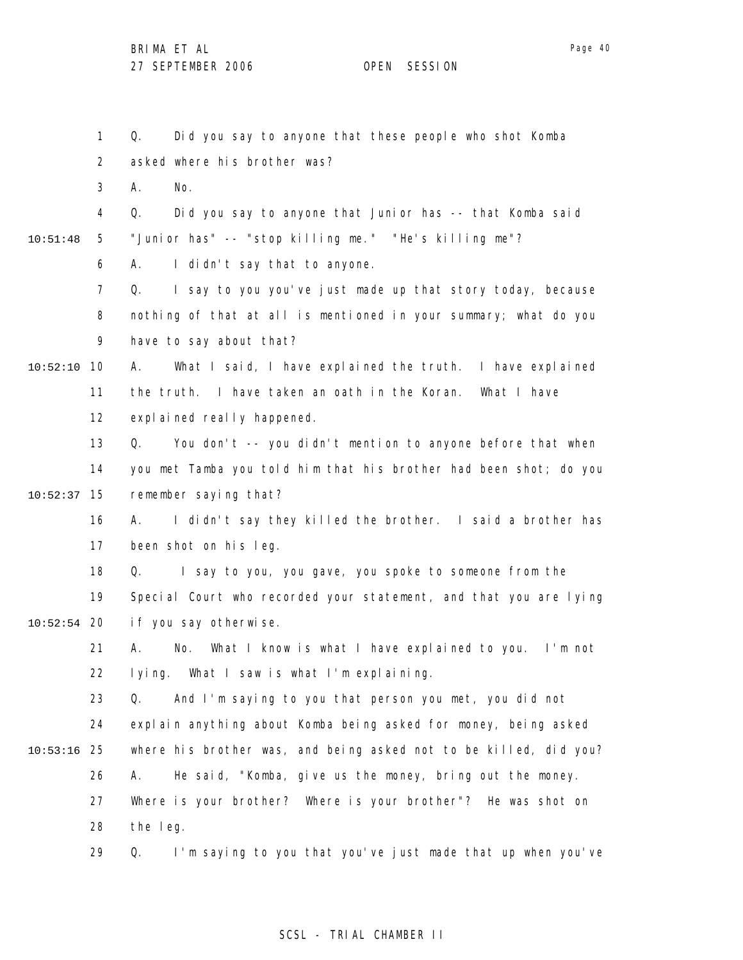1 2 3 4 5 6 7 8 9 10 10:52:10 11 12 13 14 15 10:52:37 16 17 18 19 20 10:52:54 21 22 23 24 25 10:53:16 26 27 28 10:51:48 Q. Did you say to anyone that these people who shot Komba asked where his brother was? A. No. Q. Did you say to anyone that Junior has -- that Komba said "Junior has" -- "stop killing me." "He's killing me"? A. I didn't say that to anyone. Q. I say to you you've just made up that story today, because nothing of that at all is mentioned in your summary; what do you have to say about that? A. What I said, I have explained the truth. I have explained the truth. I have taken an oath in the Koran. What I have expl ai ned really happened. Q. You don't -- you didn't mention to anyone before that when you met Tamba you told him that his brother had been shot; do you remember saying that? A. I didn't say they killed the brother. I said a brother has been shot on his leg. Q. I say to you, you gave, you spoke to someone from the Special Court who recorded your statement, and that you are lying if you say otherwise. A. No. What I know is what I have explained to you. I'm not lying. What I saw is what I'm explaining. Q. And I'm saying to you that person you met, you did not explain anything about Komba being asked for money, being asked where his brother was, and being asked not to be killed, did you? A. He said, "Komba, give us the money, bring out the money. Where is your brother? Where is your brother"? He was shot on the leg.

> 29 Q. I'm saying to you that you've just made that up when you've

## SCSL - TRIAL CHAMBER II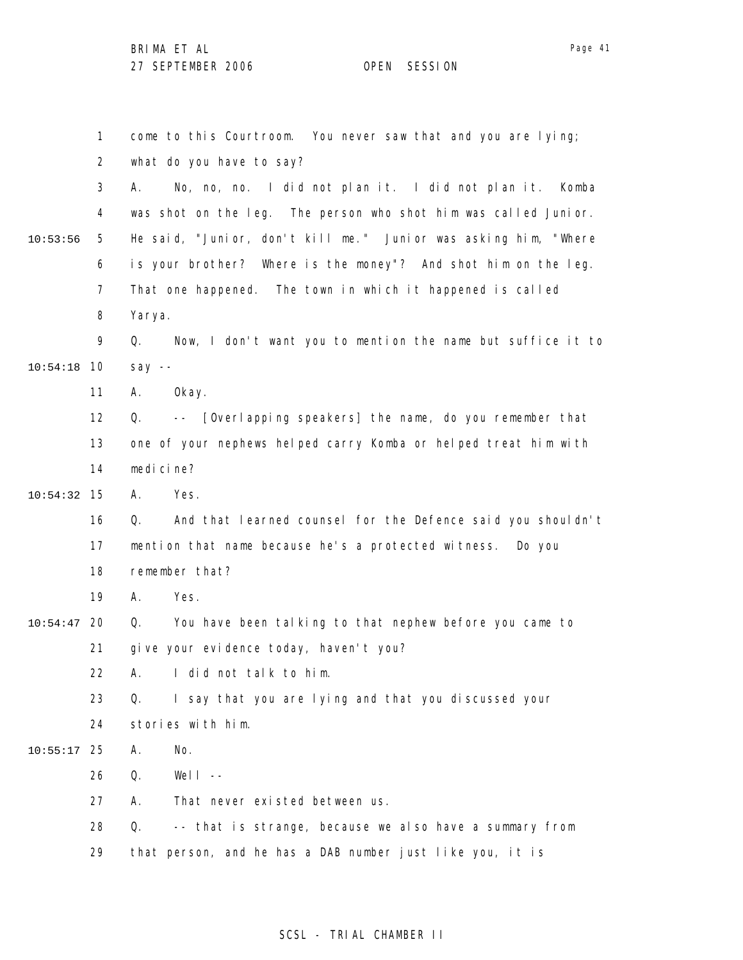1 2 3 4 5 6 7 8 9 10 10:54:18 11 12 13 14 15 10:54:32 16 17 18 19 20 10:54:47 21 22 23 24 25 10:55:17 26 27 28 29 10:53:56 come to this Courtroom. You never saw that and you are lying; what do you have to say? A. No, no, no. I did not plan it. I did not plan it. Komba was shot on the leg. The person who shot him was called Junior. He said, "Junior, don't kill me." Junior was asking him, "Where is your brother? Where is the money"? And shot him on the leg. That one happened. The town in which it happened is called Yarya. Q. Now, I don't want you to mention the name but suffice it to say -- A. Okay. Q. -- [Overlapping speakers] the name, do you remember that one of your nephews helped carry Komba or helped treat him with medicine? A. Yes. Q. And that learned counsel for the Defence said you shouldn't mention that name because he's a protected witness. Do you remember that? A. Yes. Q. You have been talking to that nephew before you came to give your evidence today, haven't you? A. I did not talk to him. Q. I say that you are lying and that you discussed your stories with him. A. No. Q. Well -- A. That never existed between us. Q. -- that is strange, because we also have a summary from that person, and he has a DAB number just like you, it is

## SCSL - TRIAL CHAMBER II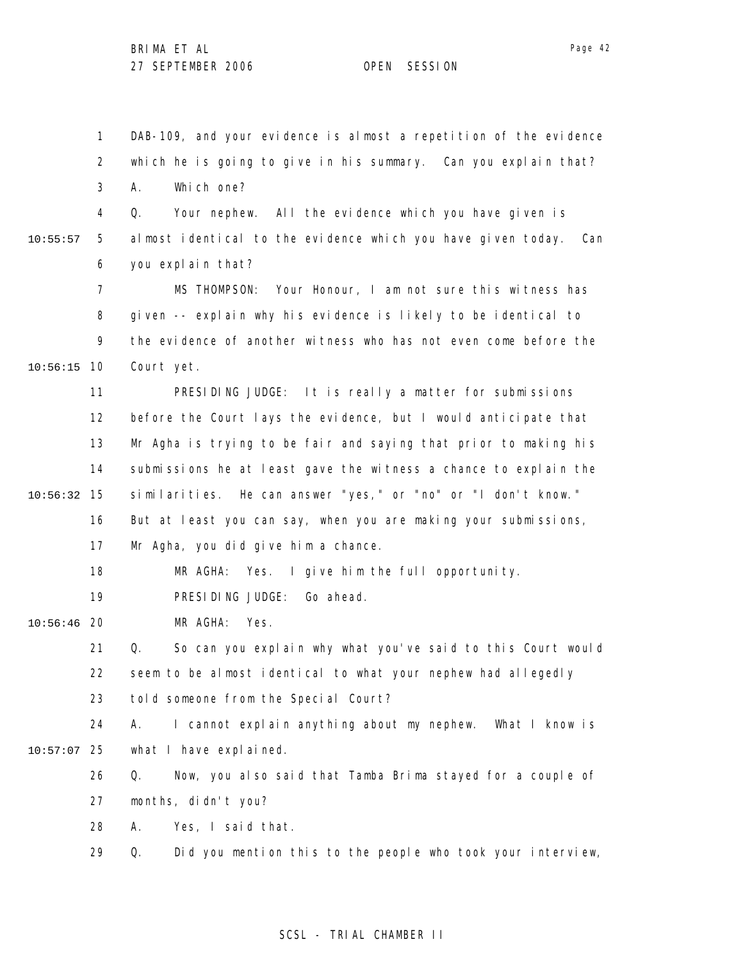1 2 3 4 5 6 7 8 9 10 10:56:15 11 12 13 14 15 10:56:32 16 17 18 19 20 10:56:46 21 22 23 24 25 10:57:07 26 27 28 29 10:55:57 DAB-109, and your evidence is almost a repetition of the evidence which he is going to give in his summary. Can you explain that? A. Which one? Q. Your nephew. All the evidence which you have given is almost identical to the evidence which you have given today. Can you explain that? MS THOMPSON: Your Honour, I am not sure this witness has given -- explain why his evidence is likely to be identical to the evidence of another witness who has not even come before the Court yet. PRESIDING JUDGE: It is really a matter for submissions before the Court lays the evidence, but I would anticipate that Mr Agha is trying to be fair and saying that prior to making his submissions he at least gave the witness a chance to explain the similarities. He can answer "yes," or "no" or "I don't know." But at least you can say, when you are making your submissions, Mr Agha, you did give him a chance. MR AGHA: Yes. I give him the full opportunity. PRESIDING JUDGE: Go ahead. MR AGHA: Yes. Q. So can you explain why what you've said to this Court would seem to be almost identical to what your nephew had allegedly told someone from the Special Court? A. I cannot explain anything about my nephew. What I know is what I have explained. Q. Now, you also said that Tamba Brima stayed for a couple of months, didn't you? A. Yes, I said that. Q. Did you mention this to the people who took your interview,

## SCSL - TRIAL CHAMBER II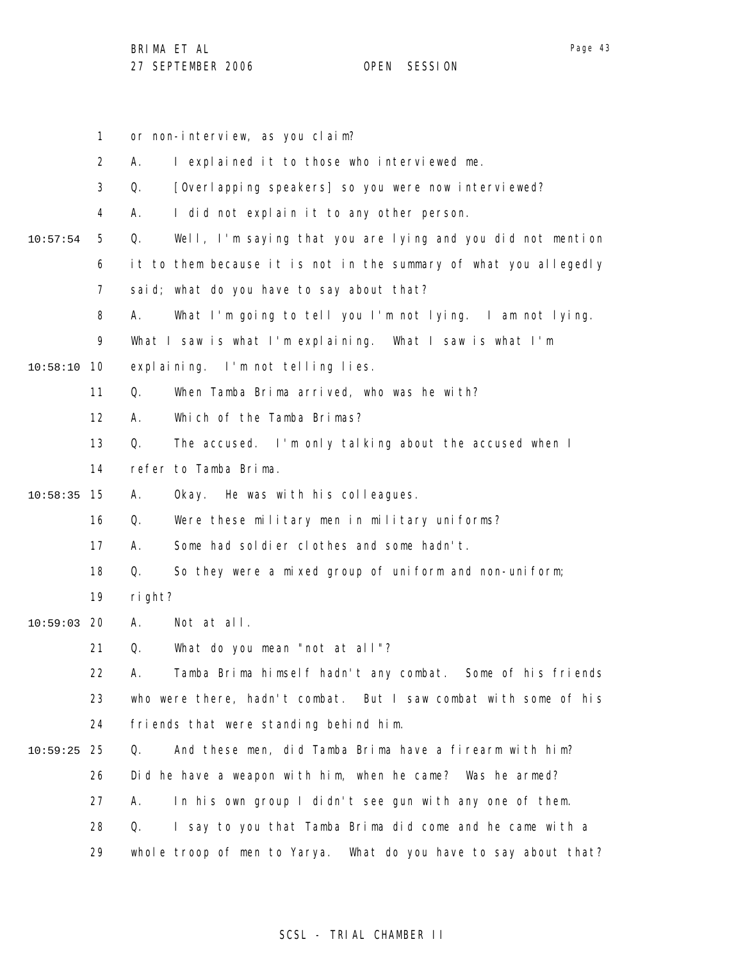1 2 3 4 5 6 7 8 9 10 10:58:10 11 12 13 14 15 10:58:35 16 17 18 19 20 10:59:03 21 22 23 24 25 10:59:25 26 27 28 29 10:57:54 or non-interview, as you claim? A. I explained it to those who interviewed me. Q. [Overlapping speakers] so you were now interviewed? A. I did not explain it to any other person. Q. Well, I'm saying that you are lying and you did not mention it to them because it is not in the summary of what you allegedly said; what do you have to say about that? A. What I'm going to tell you I'm not lying. I am not lying. What I saw is what I'm explaining. What I saw is what I'm explaining. I'm not telling lies. Q. When Tamba Brima arrived, who was he with? A. Which of the Tamba Brimas? Q. The accused. I'm only talking about the accused when I refer to Tamba Brima. A. Okay. He was with his colleagues. Q. Were these military men in military uniforms? A. Some had soldier clothes and some hadn't. Q. So they were a mixed group of uniform and non-uniform; right? A. Not at all. Q. What do you mean "not at all"? A. Tamba Brima himself hadn't any combat. Some of his friends who were there, hadn't combat. But I saw combat with some of his friends that were standing behind him. Q. And these men, did Tamba Brima have a firearm with him? Did he have a weapon with him, when he came? Was he armed? A. In his own group I didn't see gun with any one of them. Q. I say to you that Tamba Brima did come and he came with a whole troop of men to Yarya. What do you have to say about that?

## SCSL - TRIAL CHAMBER II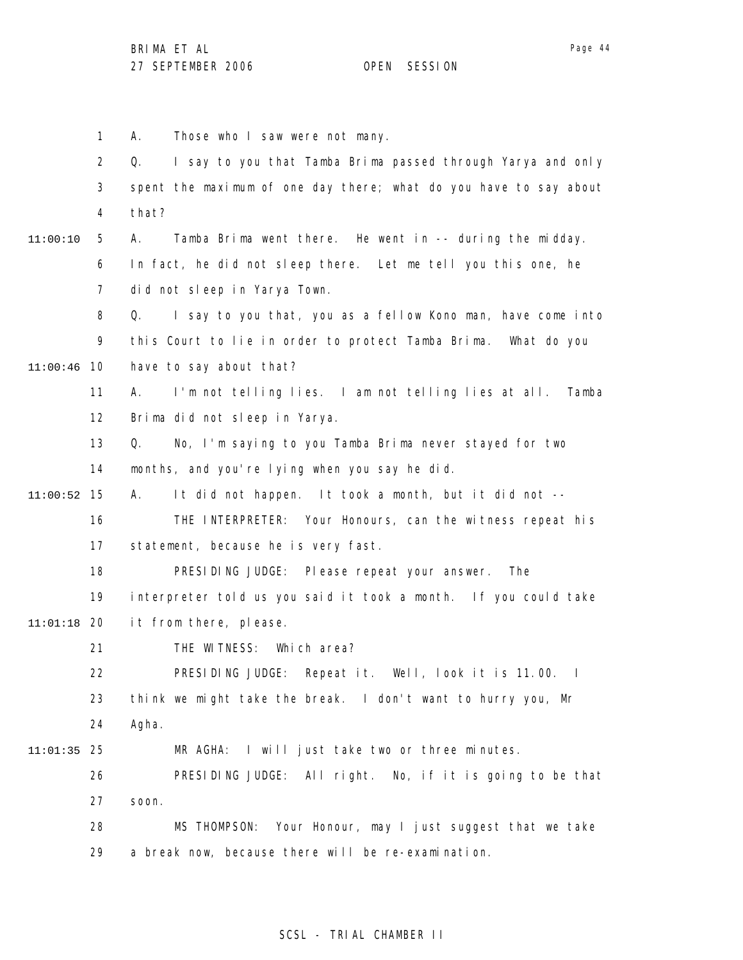1 2 3 4 5 6 7 8 9 10 11:00:46 11 12 13 14 15 11:00:52 16 17 18 19 20 11:01:18 21 22 23 24 25 11:01:35 26 27 28 29 11:00:10 A. Those who I saw were not many. Q. I say to you that Tamba Brima passed through Yarya and only spent the maximum of one day there; what do you have to say about that? A. Tamba Brima went there. He went in -- during the midday. In fact, he did not sleep there. Let me tell you this one, he did not sleep in Yarya Town. Q. I say to you that, you as a fellow Kono man, have come into this Court to lie in order to protect Tamba Brima. What do you have to say about that? A. I'm not telling lies. I am not telling lies at all. Tamba Brima did not sleep in Yarya. Q. No, I'm saying to you Tamba Brima never stayed for two months, and you're lying when you say he did. A. It did not happen. It took a month, but it did not -- THE INTERPRETER: Your Honours, can the witness repeat his statement, because he is very fast. PRESIDING JUDGE: Please repeat your answer. The interpreter told us you said it took a month. If you could take it from there, please. THE WITNESS: Which area? PRESIDING JUDGE: Repeat it. Well, look it is 11.00. I think we might take the break. I don't want to hurry you, Mr Agha. MR AGHA: I will just take two or three minutes. PRESIDING JUDGE: All right. No, if it is going to be that soon. MS THOMPSON: Your Honour, may I just suggest that we take a break now, because there will be re-examination.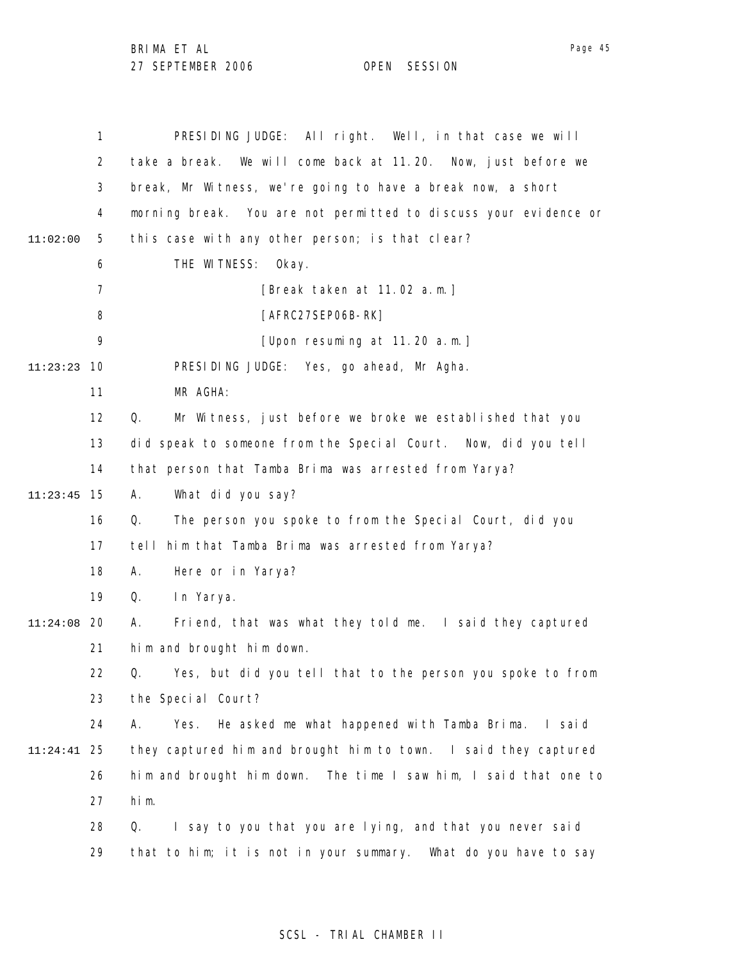|          | 1              | PRESIDING JUDGE: All right. Well, in that case we will           |
|----------|----------------|------------------------------------------------------------------|
|          | $\overline{2}$ | take a break. We will come back at 11.20. Now, just before we    |
|          | 3              | break, Mr Witness, we're going to have a break now, a short      |
|          | 4              | morning break. You are not permitted to discuss your evidence or |
| 11:02:00 | 5              | this case with any other person; is that clear?                  |
|          | 6              | THE WITNESS:<br>Okay.                                            |
|          | $\overline{7}$ | [Break taken at 11.02 a.m.]                                      |
|          | 8              | [AFRC27SEP06B-RK]                                                |
|          | 9              | [Upon resuming at 11.20 a.m.]                                    |
| 11:23:23 | 10             | PRESIDING JUDGE: Yes, go ahead, Mr Agha.                         |
|          | 11             | MR AGHA:                                                         |
|          | 12             | Mr Witness, just before we broke we established that you<br>Q.   |
|          | 13             | did speak to someone from the Special Court. Now, did you tell   |
|          | 14             | that person that Tamba Brima was arrested from Yarya?            |
| 11:23:45 | 15             | What did you say?<br>А.                                          |
|          | 16             | The person you spoke to from the Special Court, did you<br>Q.    |
|          | 17             | him that Tamba Brima was arrested from Yarya?<br>tell            |
|          | 18             | А.<br>Here or in Yarya?                                          |
|          | 19             | Q.<br>In Yarya.                                                  |
| 11:24:08 | 20             | Friend, that was what they told me. I said they captured<br>Α.   |
|          | 21             | him and brought him down.                                        |
|          | 22             | Q. Yes, but did you tell that to the person you spoke to from    |
|          | 23             | the Special Court?                                               |
|          | 24             | Yes.<br>He asked me what happened with Tamba Brima. I said<br>Α. |
| 11:24:41 | 25             | they captured him and brought him to town. I said they captured  |
|          | 26             | him and brought him down. The time I saw him, I said that one to |
|          | 27             | him.                                                             |
|          | 28             | I say to you that you are lying, and that you never said<br>Q.   |
|          | 29             | that to him; it is not in your summary. What do you have to say  |

Page 45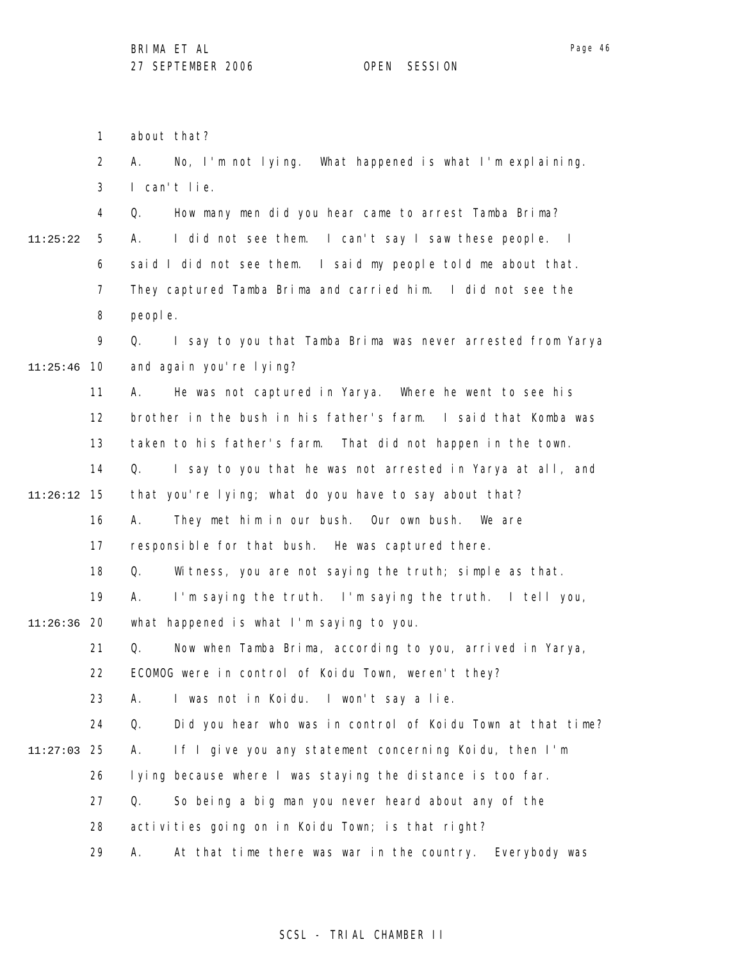about that?

1

2 3 4 5 6 7 8 9 10 11:25:46 11 12 13 14 15 11:26:12 16 17 18 19 20 11:26:36 21 22 23 24 25 11:27:03 26 27 28 29 11:25:22 A. No, I'm not lying. What happened is what I'm explaining. I can't lie. Q. How many men did you hear came to arrest Tamba Brima? A. I did not see them. I can't say I saw these people. I said I did not see them. I said my people told me about that. They captured Tamba Brima and carried him. I did not see the people. Q. I say to you that Tamba Brima was never arrested from Yarya and again you're lying? A. He was not captured in Yarya. Where he went to see his brother in the bush in his father's farm. I said that Komba was taken to his father's farm. That did not happen in the town. Q. I say to you that he was not arrested in Yarya at all, and that you're lying; what do you have to say about that? A. They met him in our bush. Our own bush. We are responsible for that bush. He was captured there. Q. Witness, you are not saying the truth; simple as that. A. I'm saying the truth. I'm saying the truth. I tell you, what happened is what I'm saying to you. Q. Now when Tamba Brima, according to you, arrived in Yarya, ECOMOG were in control of Koidu Town, weren't they? A. I was not in Koidu. I won't say a lie. Q. Did you hear who was in control of Koidu Town at that time? A. If I give you any statement concerning Koidu, then I'm lying because where I was staying the distance is too far. Q. So being a big man you never heard about any of the activities going on in Koidu Town; is that right? A. At that time there was war in the country. Everybody was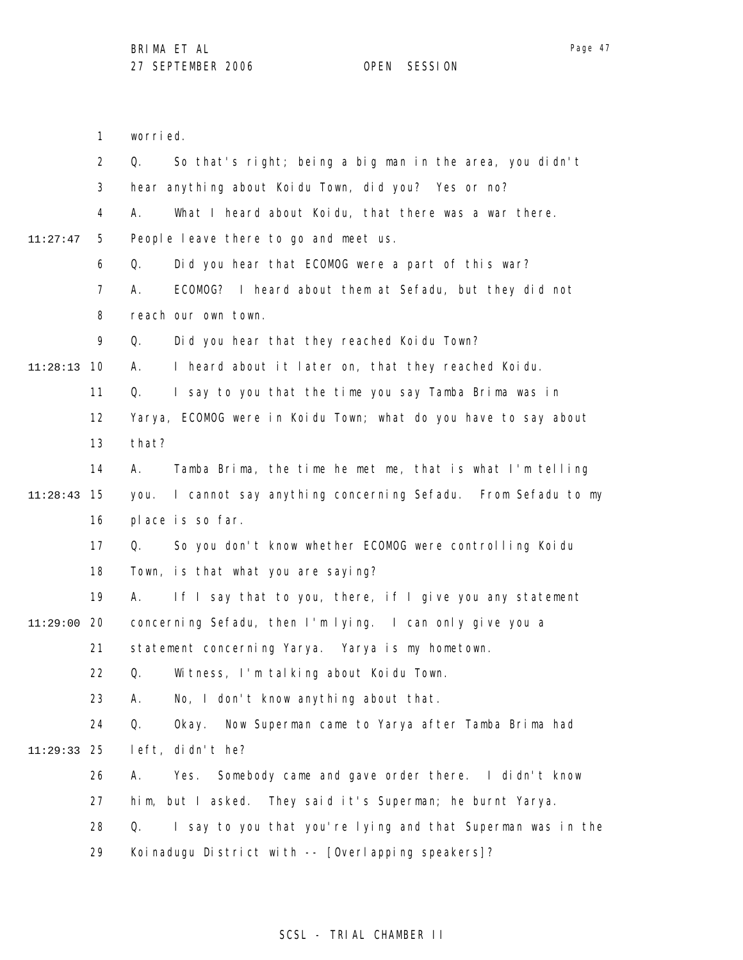Page 47

1 2 3 4 5 6 7 8 9 10 11:28:13 11 12 13 14 15 11:28:43 16 17 18 19 20 11:29:00 21 22 23 24 25 11:29:33 26 27 28 29 11:27:47 worried. Q. So that's right; being a big man in the area, you didn't hear anything about Koidu Town, did you? Yes or no? A. What I heard about Koidu, that there was a war there. People leave there to go and meet us. Q. Did you hear that ECOMOG were a part of this war? A. ECOMOG? I heard about them at Sefadu, but they did not reach our own town. Q. Did you hear that they reached Koidu Town? A. I heard about it later on, that they reached Koidu. Q. I say to you that the time you say Tamba Brima was in Yarya, ECOMOG were in Koidu Town; what do you have to say about that? A. Tamba Brima, the time he met me, that is what I'm telling you. I cannot say anything concerning Sefadu. From Sefadu to my place is so far. Q. So you don't know whether ECOMOG were controlling Koidu Town, is that what you are saying? A. If I say that to you, there, if I give you any statement concerning Sefadu, then I'm lying. I can only give you a statement concerning Yarya. Yarya is my hometown. Q. Witness, I'm talking about Koidu Town. A. No, I don't know anything about that. Q. Okay. Now Superman came to Yarya after Tamba Brima had left, didn't he? A. Yes. Somebody came and gave order there. I didn't know him, but I asked. They said it's Superman; he burnt Yarya. Q. I say to you that you're lying and that Superman was in the Koinadugu District with -- [Overlapping speakers]?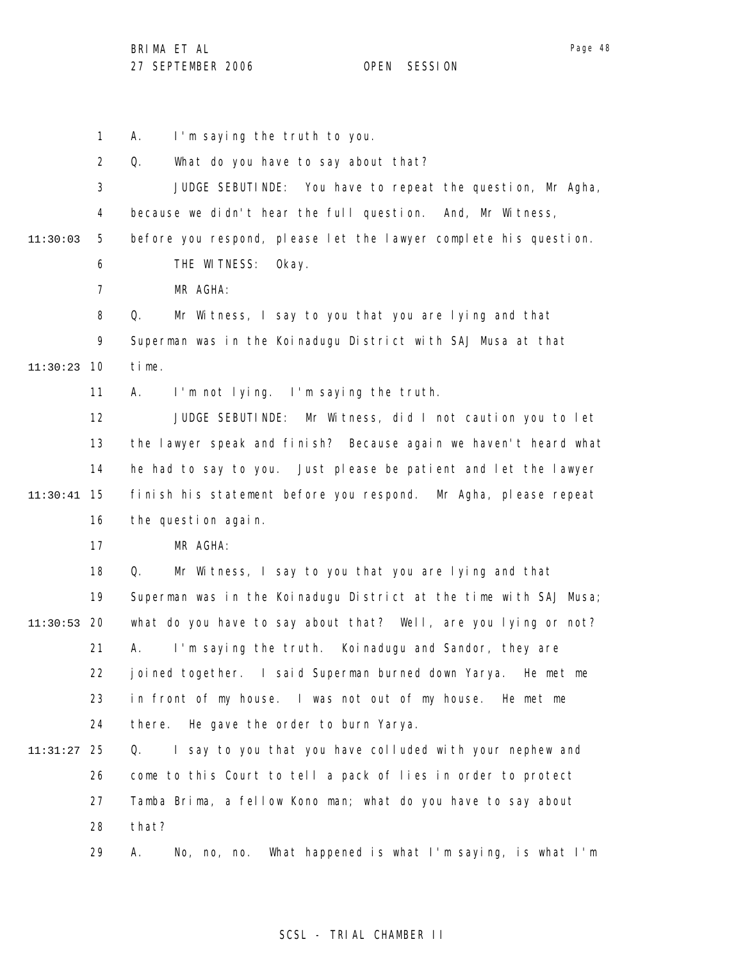1 2 3 4 5 6 7 8 9 10 11:30:23 11 12 13 14 15 11:30:41 16 17 18 19 20 11:30:53 21 22 23 24 25 11:31:27 26 27 28 29 11:30:03 A. I'm saying the truth to you. Q. What do you have to say about that? JUDGE SEBUTINDE: You have to repeat the question, Mr Agha, because we didn't hear the full question. And, Mr Witness, before you respond, please let the lawyer complete his question. THE WITNESS: Okay. MR AGHA: Q. Mr Witness, I say to you that you are lying and that Superman was in the Koinadugu District with SAJ Musa at that time. A. I'm not lying. I'm saying the truth. JUDGE SEBUTINDE: Mr Witness, did I not caution you to let the lawyer speak and finish? Because again we haven't heard what he had to say to you. Just please be patient and let the lawyer finish his statement before you respond. Mr Agha, please repeat the question again. MR AGHA: Q. Mr Witness, I say to you that you are lying and that Superman was in the Koinadugu District at the time with SAJ Musa; what do you have to say about that? Well, are you lying or not? A. I'm saying the truth. Koinadugu and Sandor, they are joined together. I said Superman burned down Yarya. He met me in front of my house. I was not out of my house. He met me there. He gave the order to burn Yarya. Q. I say to you that you have colluded with your nephew and come to this Court to tell a pack of lies in order to protect Tamba Brima, a fellow Kono man; what do you have to say about that? A. No, no, no. What happened is what I'm saying, is what I'm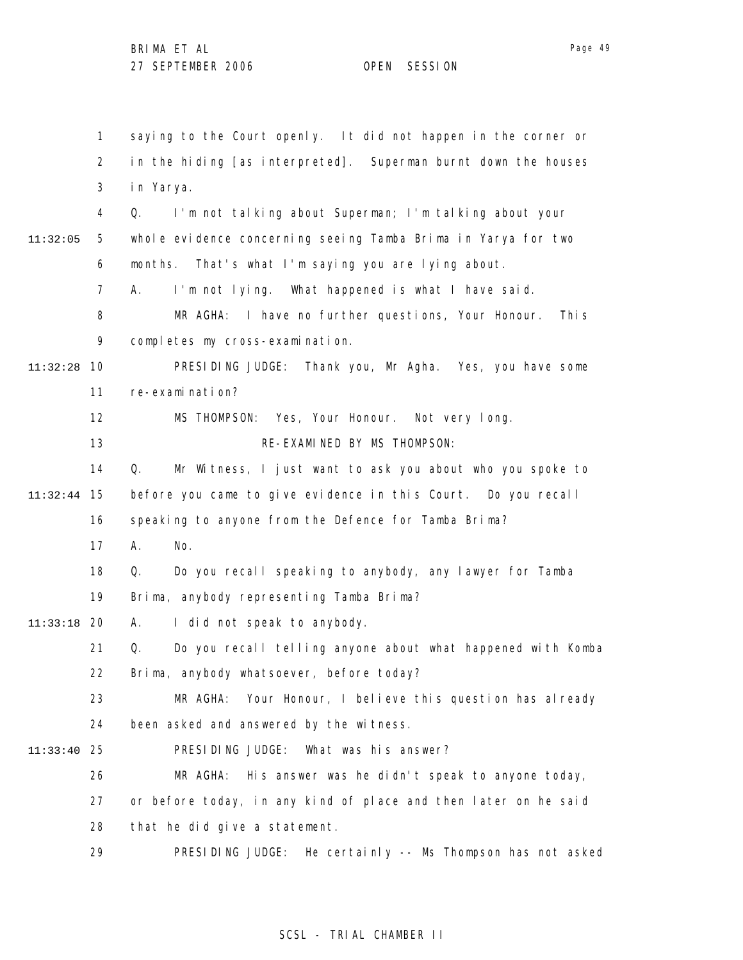1 2 3 4 5 6 7 8 9 10 11:32:28 11 12 13 14 15 11:32:44 16 17 18 19 20 11:33:18 21 22 23 24 25 11:33:40 26 27 28 29 11:32:05 saying to the Court openly. It did not happen in the corner or in the hiding [as interpreted]. Superman burnt down the houses in Yarya. Q. I'm not talking about Superman; I'm talking about your whole evidence concerning seeing Tamba Brima in Yarya for two months. That's what I'm saying you are lying about. A. I'm not lying. What happened is what I have said. MR AGHA: I have no further questions, Your Honour. This completes my cross-examination. PRESIDING JUDGE: Thank you, Mr Agha. Yes, you have some re-examination? MS THOMPSON: Yes, Your Honour. Not very long. RE-EXAMINED BY MS THOMPSON: Q. Mr Witness, I just want to ask you about who you spoke to before you came to give evidence in this Court. Do you recall speaking to anyone from the Defence for Tamba Brima? A. No. Q. Do you recall speaking to anybody, any lawyer for Tamba Brima, anybody representing Tamba Brima? A. I did not speak to anybody. Q. Do you recall telling anyone about what happened with Komba Brima, anybody whatsoever, before today? MR AGHA: Your Honour, I believe this question has already been asked and answered by the witness. PRESIDING JUDGE: What was his answer? MR AGHA: His answer was he didn't speak to anyone today, or before today, in any kind of place and then later on he said that he did give a statement. PRESIDING JUDGE: He certainly -- Ms Thompson has not asked

## SCSL - TRIAL CHAMBER II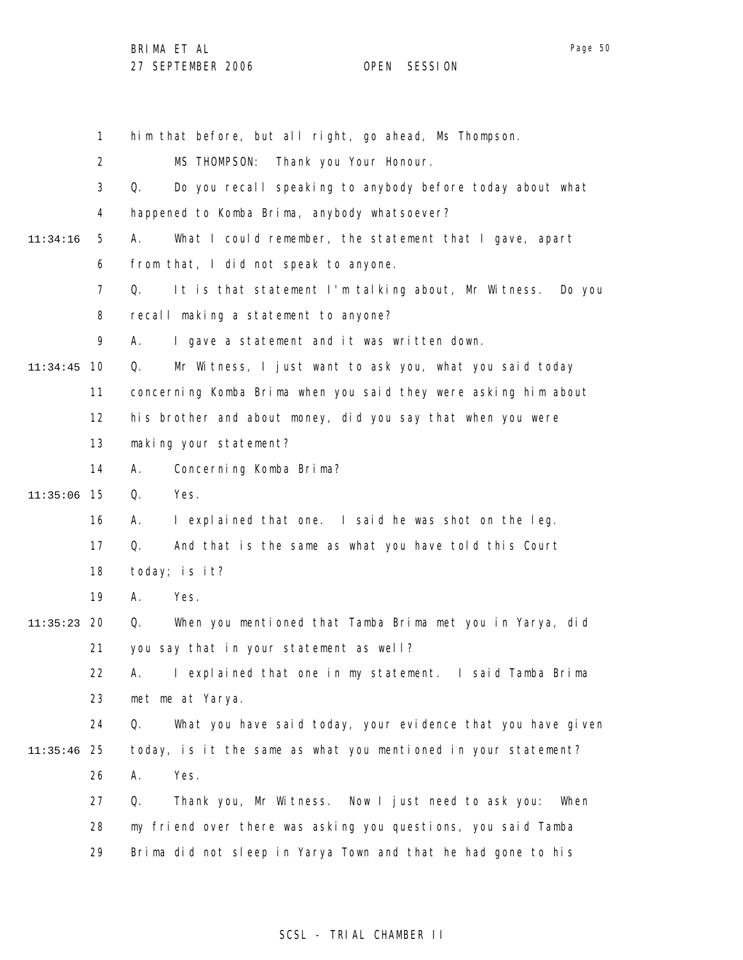| יחרי |  |
|------|--|
|      |  |

1 2 3 4 5 6 7 8 9 10 11:34:45 11 12 13 14 15 11:35:06 16 17 18 19 20 11:35:23 21 22 23 24 25 11:35:46 26 27 28 29 11:34:16 him that before, but all right, go ahead, Ms Thompson. MS THOMPSON: Thank you Your Honour. Q. Do you recall speaking to anybody before today about what happened to Komba Brima, anybody whatsoever? A. What I could remember, the statement that I gave, apart from that, I did not speak to anyone. Q. It is that statement I'm talking about, Mr Witness. Do you recall making a statement to anyone? A. I gave a statement and it was written down. Q. Mr Witness, I just want to ask you, what you said today concerning Komba Brima when you said they were asking him about his brother and about money, did you say that when you were making your statement? A. Concerning Komba Brima? Q. Yes. A. I explained that one. I said he was shot on the leg. Q. And that is the same as what you have told this Court today; is it? A. Yes. Q. When you mentioned that Tamba Brima met you in Yarya, did you say that in your statement as well? A. I explained that one in my statement. I said Tamba Brima met me at Yarya. Q. What you have said today, your evidence that you have given today, is it the same as what you mentioned in your statement? A. Yes. Q. Thank you, Mr Witness. Now I just need to ask you: When my friend over there was asking you questions, you said Tamba Brima did not sleep in Yarya Town and that he had gone to his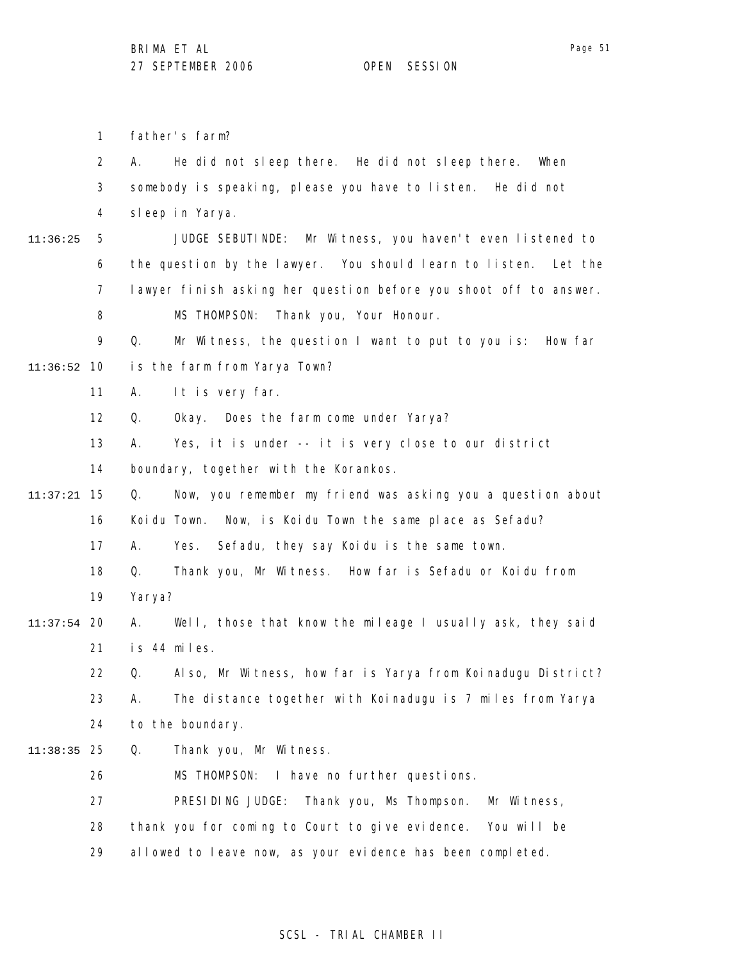1 father's farm?

2 3 4 A. He did not sleep there. He did not sleep there. When somebody is speaking, please you have to listen. He did not sleep in Yarya.

5 6 7 8 11:36:25 JUDGE SEBUTINDE: Mr Witness, you haven't even listened to the question by the lawyer. You should learn to listen. Let the lawyer finish asking her question before you shoot off to answer. MS THOMPSON: Thank you, Your Honour.

9 10 11:36:52 Q. Mr Witness, the question I want to put to you is: How far is the farm from Yarya Town?

- 11 A. It is very far.
- 12 Q. Okay. Does the farm come under Yarya?
- 13 A. Yes, it is under -- it is very close to our district

14 boundary, together with the Korankos.

15 11:37:21 16 Q. Now, you remember my friend was asking you a question about Koidu Town. Now, is Koidu Town the same place as Sefadu?

17 A. Yes. Sefadu, they say Koidu is the same town.

18 19 Q. Thank you, Mr Witness. How far is Sefadu or Koidu from Yarya?

#### 20 11:37:54 21 A. Well, those that know the mileage I usually ask, they said is 44 miles.

22 23 24 Q. Also, Mr Witness, how far is Yarya from Koinadugu District? A. The distance together with Koinadugu is 7 miles from Yarya to the boundary.

25 11:38:35 Q. Thank you, Mr Witness.

> 26 MS THOMPSON: I have no further questions.

27 PRESIDING JUDGE: Thank you, Ms Thompson. Mr Witness,

28 thank you for coming to Court to give evidence. You will be

29 allowed to leave now, as your evidence has been completed.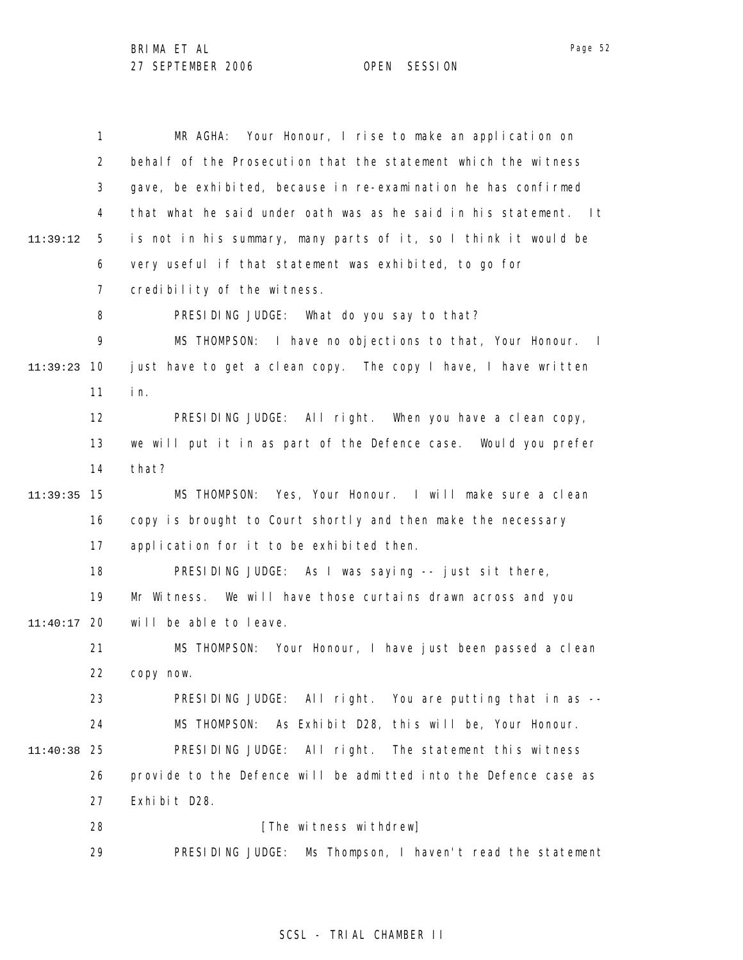|               | $\mathbf{1}$   | Your Honour, I rise to make an application on<br>MR AGHA:               |
|---------------|----------------|-------------------------------------------------------------------------|
|               | $\overline{2}$ | behalf of the Prosecution that the statement which the witness          |
|               | 3              | gave, be exhibited, because in re-examination he has confirmed          |
|               | 4              | that what he said under oath was as he said in his statement. It        |
| 11:39:12      | 5              | is not in his summary, many parts of it, so I think it would be         |
|               | 6              | very useful if that statement was exhibited, to go for                  |
|               | 7              | credibility of the witness.                                             |
|               | 8              | PRESIDING JUDGE: What do you say to that?                               |
|               | 9              | MS THOMPSON: I have no objections to that, Your Honour.<br>$\mathbf{I}$ |
| 11:39:23      | 10             | just have to get a clean copy. The copy I have, I have written          |
|               | 11             | in.                                                                     |
|               | 12             | PRESIDING JUDGE: All right. When you have a clean copy,                 |
|               | 13             | we will put it in as part of the Defence case. Would you prefer         |
|               | 14             | that?                                                                   |
| 11:39:35      | 15             | MS THOMPSON: Yes, Your Honour. I will make sure a clean                 |
|               | 16             | copy is brought to Court shortly and then make the necessary            |
|               | 17             | application for it to be exhibited then.                                |
|               | 18             | PRESIDING JUDGE: As I was saying -- just sit there,                     |
|               | 19             | Mr Witness. We will have those curtains drawn across and you            |
| $11:40:17$ 20 |                | will be able to leave.                                                  |
|               | 21             | MS THOMPSON: Your Honour, I have just been passed a clean               |
|               | 22             | copy now.                                                               |
|               | 23             | PRESIDING JUDGE: All right. You are putting that in as --               |
|               | 24             | MS THOMPSON:<br>As Exhibit D28, this will be, Your Honour.              |
| 11:40:38      | 25             | PRESIDING JUDGE: All right. The statement this witness                  |
|               | 26             | provide to the Defence will be admitted into the Defence case as        |
|               | 27             | Exhibit D28.                                                            |
|               | 28             | [The witness withdrew]                                                  |
|               | 29             | PRESIDING JUDGE: Ms Thompson, I haven't read the statement              |

# SCSL - TRIAL CHAMBER II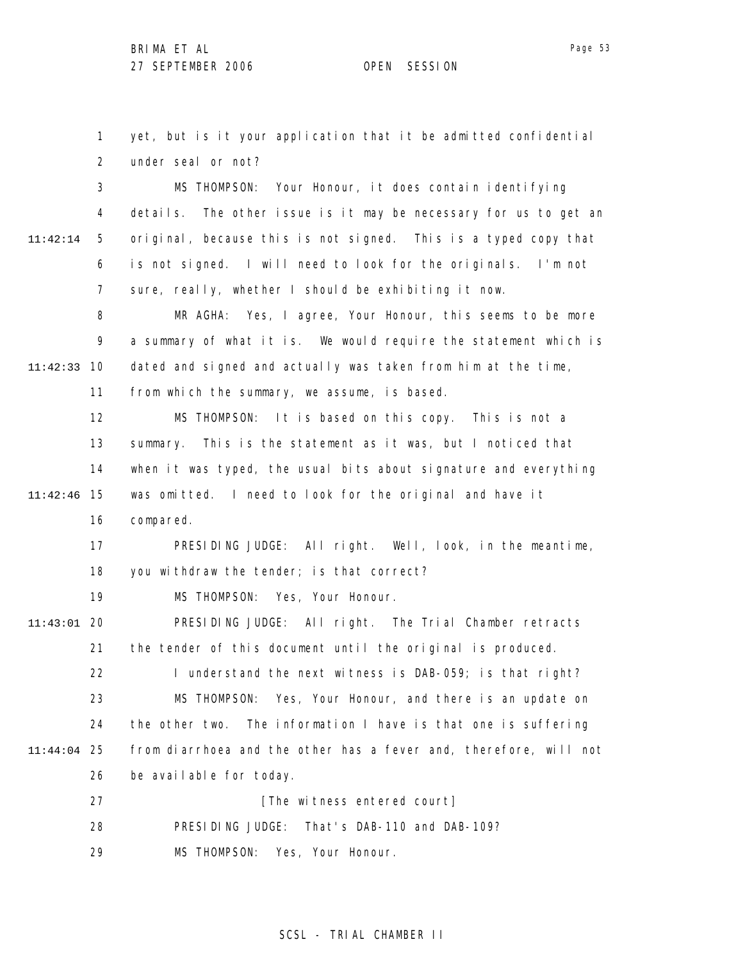1 2 3 4 5 yet, but is it your application that it be admitted confidential under seal or not? MS THOMPSON: Your Honour, it does contain identifying details. The other issue is it may be necessary for us to get an original, because this is not signed. This is a typed copy that

6 7 is not signed. I will need to look for the originals. I'm not sure, really, whether I should be exhibiting it now.

8 9 10 11:42:33 MR AGHA: Yes, I agree, Your Honour, this seems to be more a summary of what it is. We would require the statement which is dated and signed and actually was taken from him at the time,

11 from which the summary, we assume, is based.

12 13 14 15 11:42:46 MS THOMPSON: It is based on this copy. This is not a summary. This is the statement as it was, but I noticed that when it was typed, the usual bits about signature and everything was omitted. I need to look for the original and have it

16 compared.

11:42:14

17 18 PRESIDING JUDGE: All right. Well, look, in the meantime, you withdraw the tender; is that correct?

19 MS THOMPSON: Yes, Your Honour.

20 11:43:01 21 22 23 24 25 11:44:04 26 27 28 PRESIDING JUDGE: All right. The Trial Chamber retracts the tender of this document until the original is produced. I understand the next witness is DAB-059; is that right? MS THOMPSON: Yes, Your Honour, and there is an update on the other two. The information I have is that one is suffering from diarrhoea and the other has a fever and, therefore, will not be available for today. [The witness entered court] PRESIDING JUDGE: That's DAB-110 and DAB-109?

29 MS THOMPSON: Yes, Your Honour.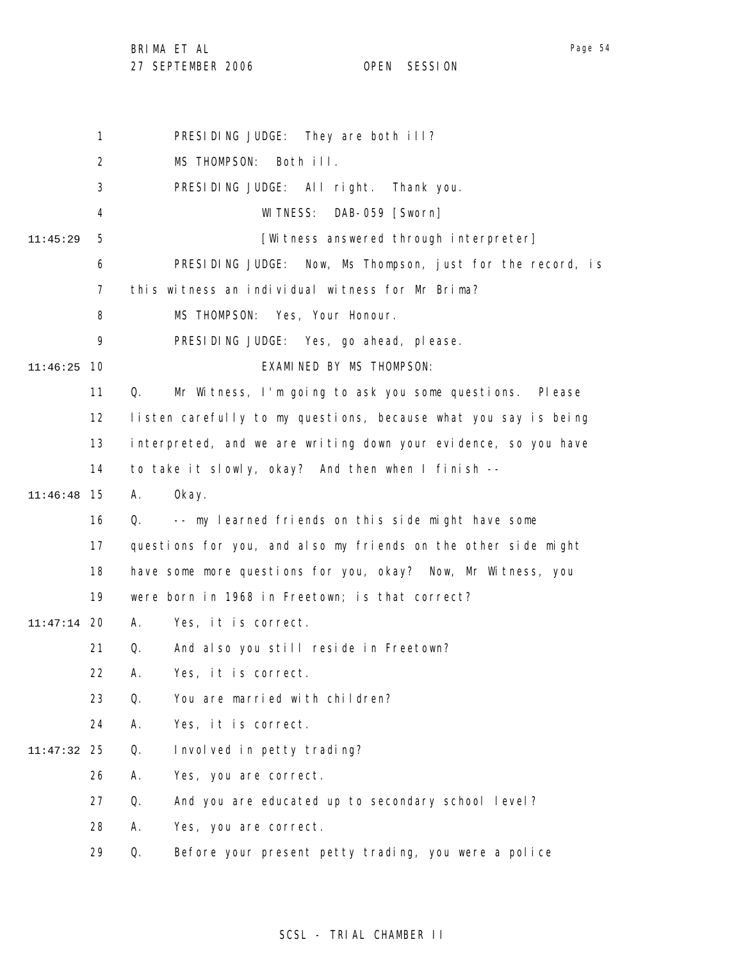BRIMA ET AL

27 SEPTEMBER 2006 OPEN SESSION

1 2 3 4 5 6 7 8 9 10 11:46:25 11 12 13 14 15 11:46:48 16 17 18 19 20 11:47:14 21 22 23 24 25 11:47:32 26 27 28 29 11:45:29 PRESIDING JUDGE: They are both ill? MS THOMPSON: Both ill. PRESIDING JUDGE: All right. Thank you. WITNESS: DAB-059 [Sworn] [Witness answered through interpreter] PRESIDING JUDGE: Now, Ms Thompson, just for the record, is this witness an individual witness for Mr Brima? MS THOMPSON: Yes, Your Honour. PRESIDING JUDGE: Yes, go ahead, please. EXAMINED BY MS THOMPSON: Q. Mr Witness, I'm going to ask you some questions. Please listen carefully to my questions, because what you say is being interpreted, and we are writing down your evidence, so you have to take it slowly, okay? And then when I finish -- A. Okay. Q. -- my learned friends on this side might have some questions for you, and also my friends on the other side might have some more questions for you, okay? Now, Mr Witness, you were born in 1968 in Freetown; is that correct? A. Yes, it is correct. Q. And also you still reside in Freetown? A. Yes, it is correct. Q. You are married with children? A. Yes, it is correct. Q. Involved in petty trading? A. Yes, you are correct. Q. And you are educated up to secondary school level? A. Yes, you are correct. Q. Before your present petty trading, you were a police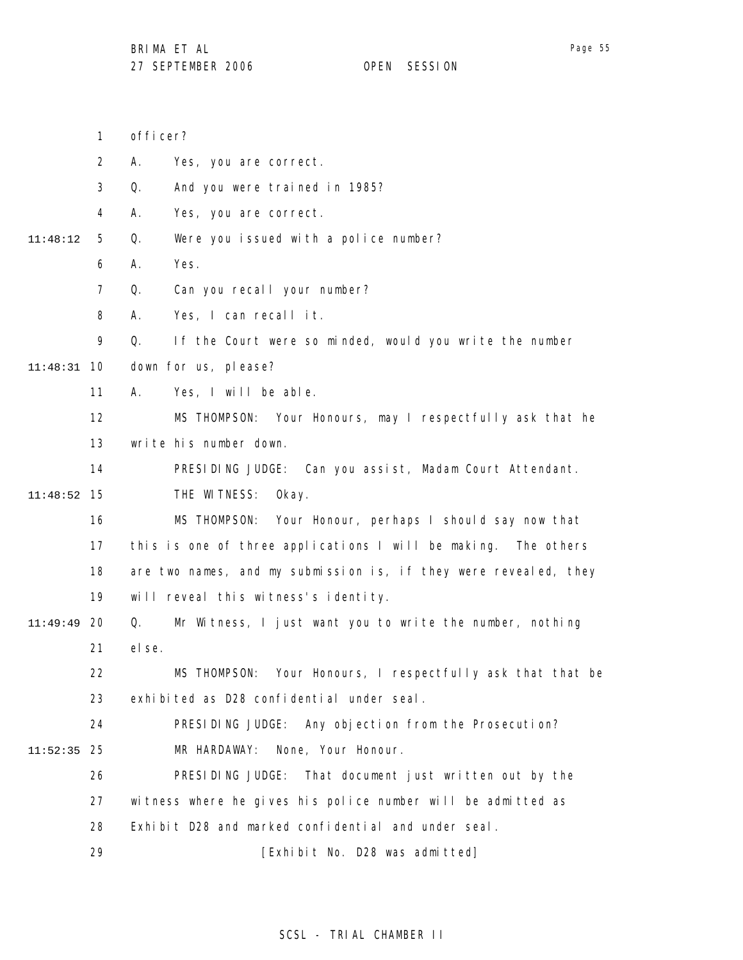- 1 officer?
- 2 A. Yes, you are correct.
- 3 Q. And you were trained in 1985?
- 4 A. Yes, you are correct.
- 5 11:48:12 Q. Were you issued with a police number?
	- 6 A. Yes.
	- 7 Q. Can you recall your number?
	- 8 A. Yes, I can recall it.
	- 9 Q. If the Court were so minded, would you write the number
- 10 11:48:31 down for us, please?
	- 11 A. Yes, I will be able.
	- 12 13 MS THOMPSON: Your Honours, may I respectfully ask that he write his number down.
	- 14 PRESIDING JUDGE: Can you assist, Madam Court Attendant.
- 15 11:48:52 THE WITNESS: Okay.
	- 16 17 18 19 MS THOMPSON: Your Honour, perhaps I should say now that this is one of three applications I will be making. The others are two names, and my submission is, if they were revealed, they will reveal this witness's identity.
- 20 11:49:49 21 Q. Mr Witness, I just want you to write the number, nothing else.
	- 22 23 MS THOMPSON: Your Honours, I respectfully ask that that be exhibited as D28 confidential under seal.
- 24 25 11:52:35 PRESIDING JUDGE: Any objection from the Prosecution? MR HARDAWAY: None, Your Honour.
	- 26 27 28 PRESIDING JUDGE: That document just written out by the witness where he gives his police number will be admitted as Exhibit D28 and marked confidential and under seal.
		- 29 [Exhibit No. D28 was admitted]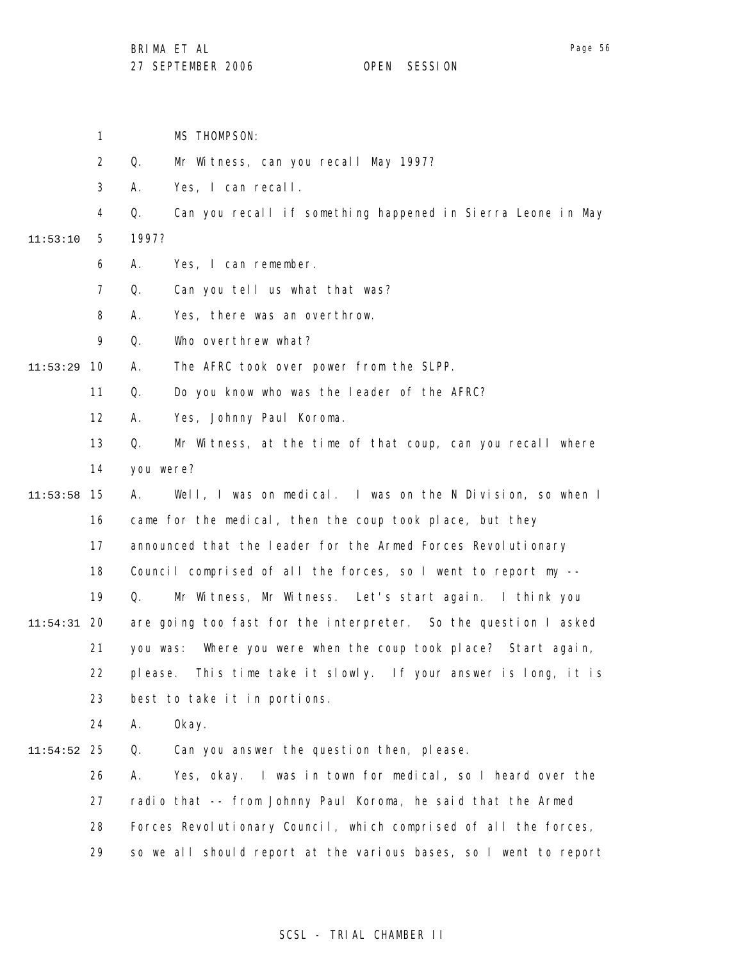1 MS THOMPSON:

2 Q. Mr Witness, can you recall May 1997?

3 A. Yes, I can recall.

4 Q. Can you recall if something happened in Sierra Leone in May

5 11:53:10 1997?

- 6 A. Yes, I can remember.
- 7 Q. Can you tell us what that was?
- 8 A. Yes, there was an overthrow.

9 Q. Who overthrew what?

10 11:53:29 A. The AFRC took over power from the SLPP.

> 11 Q. Do you know who was the leader of the AFRC?

12 A. Yes, Johnny Paul Koroma.

13 14 Q. Mr Witness, at the time of that coup, can you recall where you were?

15 11:53:58 16 17 18 19 20 11:54:31 21 22 23 24 A. Well, I was on medical. I was on the N Division, so when I came for the medical, then the coup took place, but they announced that the leader for the Armed Forces Revolutionary Council comprised of all the forces, so I went to report my -- Q. Mr Witness, Mr Witness. Let's start again. I think you are going too fast for the interpreter. So the question I asked you was: Where you were when the coup took place? Start again, please. This time take it slowly. If your answer is long, it is best to take it in portions. A. Okay.

25 11:54:52 Q. Can you answer the question then, please.

26 27 28 29 A. Yes, okay. I was in town for medical, so I heard over the radio that -- from Johnny Paul Koroma, he said that the Armed Forces Revolutionary Council, which comprised of all the forces, so we all should report at the various bases, so I went to report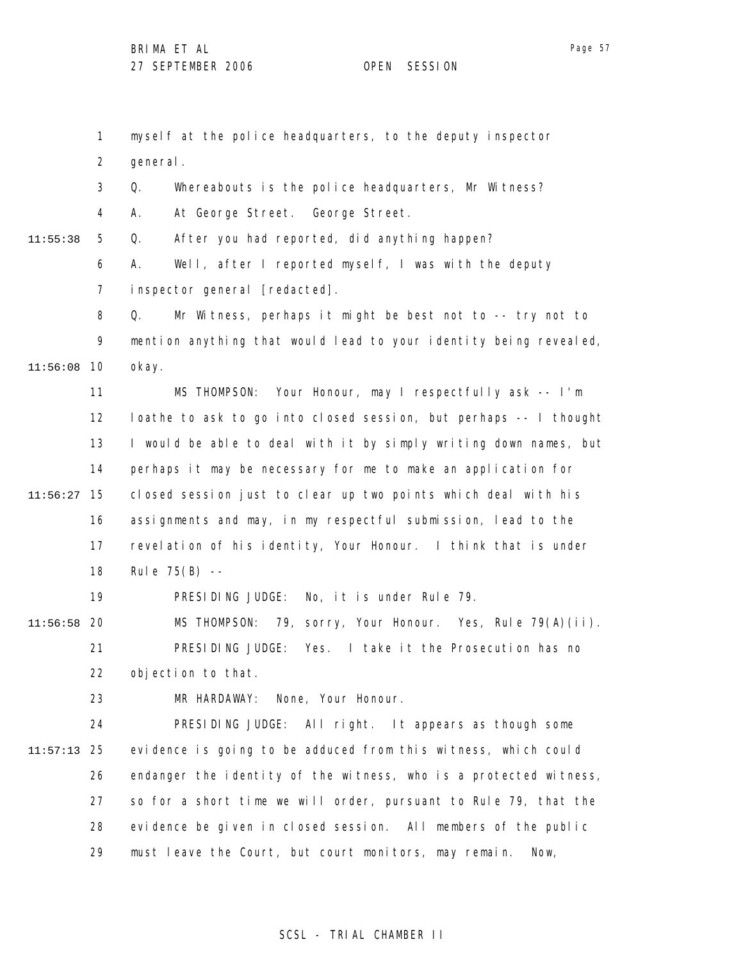11:55:38

1 2 3 4 5 6 7 8 9 10 11:56:08 11 12 13 14 15 11:56:27 16 17 18 19 20 11:56:58 21 22 23 24 25 11:57:13 26 27 28 myself at the police headquarters, to the deputy inspector general. Q. Whereabouts is the police headquarters, Mr Witness? A. At George Street. George Street. Q. After you had reported, did anything happen? A. Well, after I reported myself, I was with the deputy inspector general [redacted]. Q. Mr Witness, perhaps it might be best not to -- try not to mention anything that would lead to your identity being revealed, okay. MS THOMPSON: Your Honour, may I respectfully ask -- I'm loathe to ask to go into closed session, but perhaps -- I thought I would be able to deal with it by simply writing down names, but perhaps it may be necessary for me to make an application for closed session just to clear up two points which deal with his assignments and may, in my respectful submission, lead to the revelation of his identity, Your Honour. I think that is under Rule 75(B) -- PRESIDING JUDGE: No, it is under Rule 79. MS THOMPSON: 79, sorry, Your Honour. Yes, Rule 79(A)(ii). PRESIDING JUDGE: Yes. I take it the Prosecution has no objection to that. MR HARDAWAY: None, Your Honour. PRESIDING JUDGE: All right. It appears as though some evidence is going to be adduced from this witness, which could endanger the identity of the witness, who is a protected witness, so for a short time we will order, pursuant to Rule 79, that the evidence be given in closed session. All members of the public

29 must leave the Court, but court monitors, may remain. Now,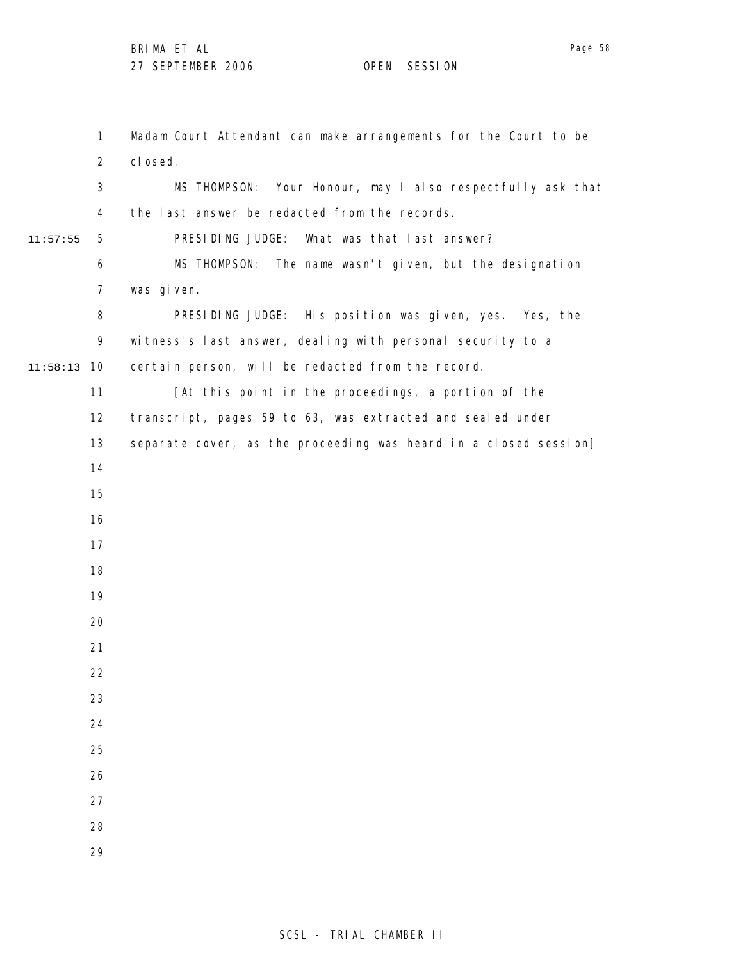10 11:58:13 11:57:55 Madam Court Attendant can make arrangements for the Court to be closed. MS THOMPSON: Your Honour, may I also respectfully ask that the last answer be redacted from the records. PRESIDING JUDGE: What was that last answer? MS THOMPSON: The name wasn't given, but the designation was given. PRESIDING JUDGE: His position was given, yes. Yes, the witness's last answer, dealing with personal security to a certain person, will be redacted from the record. [At this point in the proceedings, a portion of the transcript, pages 59 to 63, was extracted and sealed under separate cover, as the proceeding was heard in a closed session]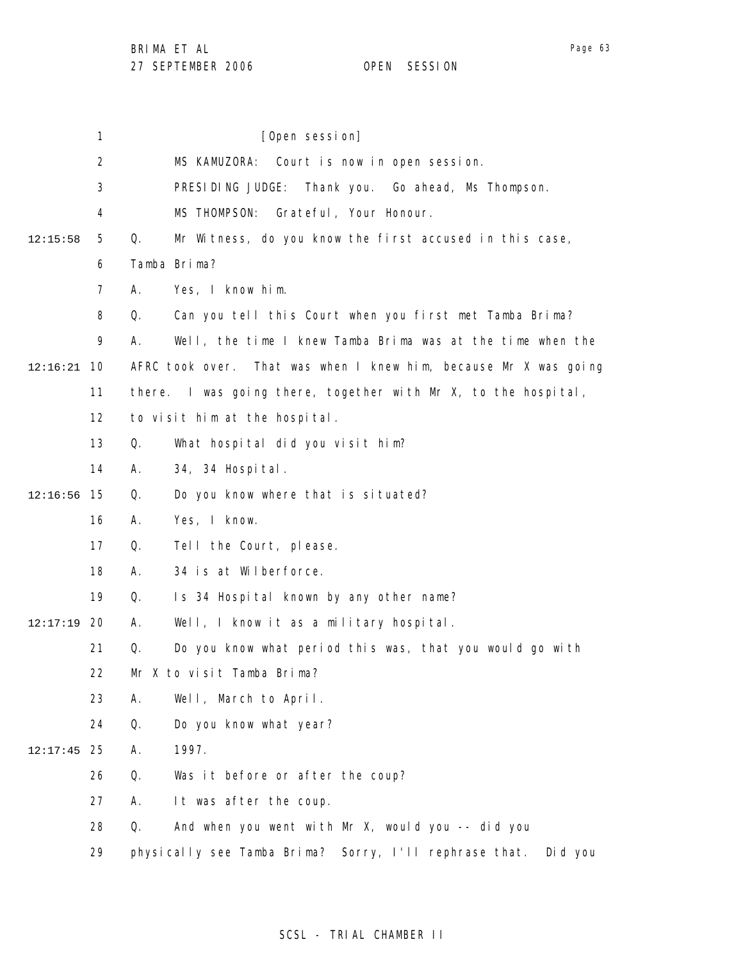1 2 3 4 5 6 7 8 9 10 12:16:21 11 12 13 14 15 12:16:56 16 17 18 19 20 12:17:19 21 22 23 24 25 12:17:45 26 27 28 29 12:15:58 [Open session] MS KAMUZORA: Court is now in open session. PRESIDING JUDGE: Thank you. Go ahead, Ms Thompson. MS THOMPSON: Grateful, Your Honour. Q. Mr Witness, do you know the first accused in this case, Tamba Brima? A. Yes, I know him. Q. Can you tell this Court when you first met Tamba Brima? A. Well, the time I knew Tamba Brima was at the time when the AFRC took over. That was when I knew him, because Mr X was going there. I was going there, together with Mr X, to the hospital, to visit him at the hospital. Q. What hospital did you visit him? A. 34, 34 Hospital. Q. Do you know where that is situated? A. Yes, I know. Q. Tell the Court, please. A. 34 is at Wilberforce. Q. Is 34 Hospital known by any other name? A. Well, I know it as a military hospital. Q. Do you know what period this was, that you would go with Mr X to visit Tamba Brima? A. Well, March to April. Q. Do you know what year? A. 1997. Q. Was it before or after the coup? A. It was after the coup. Q. And when you went with Mr X, would you -- did you physically see Tamba Brima? Sorry, I'll rephrase that. Did you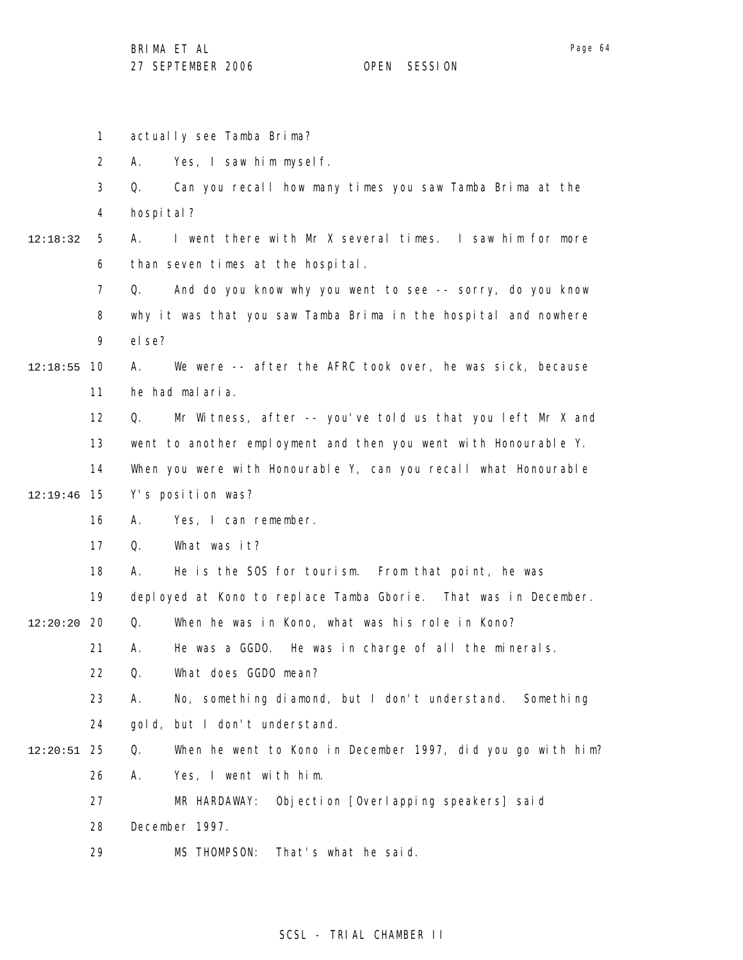1 2 3 4 5 6 7 8 9 10 12:18:55 11 12 13 14 15 12:19:46 16 17 18 19 20 12:20:20 21 22 23 24 25 12:20:51 26 27 28 29 12:18:32 actually see Tamba Brima? A. Yes, I saw him myself. Q. Can you recall how many times you saw Tamba Brima at the hospi tal? A. I went there with Mr X several times. I saw him for more than seven times at the hospital. Q. And do you know why you went to see -- sorry, do you know why it was that you saw Tamba Brima in the hospital and nowhere el se? A. We were -- after the AFRC took over, he was sick, because he had malaria. Q. Mr Witness, after -- you've told us that you left Mr X and went to another employment and then you went with Honourable Y. When you were with Honourable Y, can you recall what Honourable Y's position was? A. Yes, I can remember. Q. What was it? A. He is the SOS for tourism. From that point, he was deployed at Kono to replace Tamba Gborie. That was in December. Q. When he was in Kono, what was his role in Kono? A. He was a GGDO. He was in charge of all the minerals. Q. What does GGDO mean? A. No, something diamond, but I don't understand. Something gold, but I don't understand. Q. When he went to Kono in December 1997, did you go with him? A. Yes, I went with him. MR HARDAWAY: Objection [Overlapping speakers] said December 1997. MS THOMPSON: That's what he said.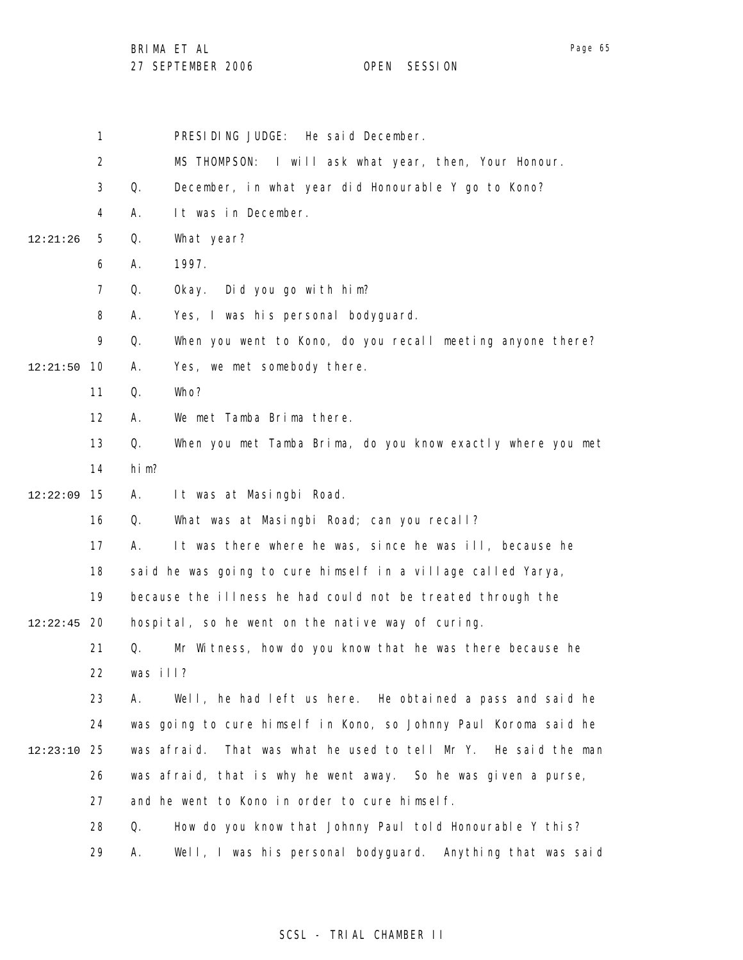1 2 3 4 5 6 7 8 9 10 12:21:50 11 12 13 14 15 12:22:09 16 17 18 19 12:22:45 20 21 22 23 24 25 12:23:10 26 27 28 29 12:21:26 PRESIDING JUDGE: He said December. MS THOMPSON: I will ask what year, then, Your Honour. Q. December, in what year did Honourable Y go to Kono? A. It was in December. Q. What year? A. 1997. Q. Okay. Did you go with him? A. Yes, I was his personal bodyguard. Q. When you went to Kono, do you recall meeting anyone there? A. Yes, we met somebody there. Q. Who? A. We met Tamba Brima there. Q. When you met Tamba Brima, do you know exactly where you met him? A. It was at Masingbi Road. Q. What was at Masingbi Road; can you recall? A. It was there where he was, since he was ill, because he said he was going to cure himself in a village called Yarya, because the illness he had could not be treated through the hospital, so he went on the native way of curing. Q. Mr Witness, how do you know that he was there because he was ill? A. Well, he had left us here. He obtained a pass and said he was going to cure himself in Kono, so Johnny Paul Koroma said he was afraid. That was what he used to tell Mr Y. He said the man was afraid, that is why he went away. So he was given a purse, and he went to Kono in order to cure himself. Q. How do you know that Johnny Paul told Honourable Y this? A. Well, I was his personal bodyguard. Anything that was said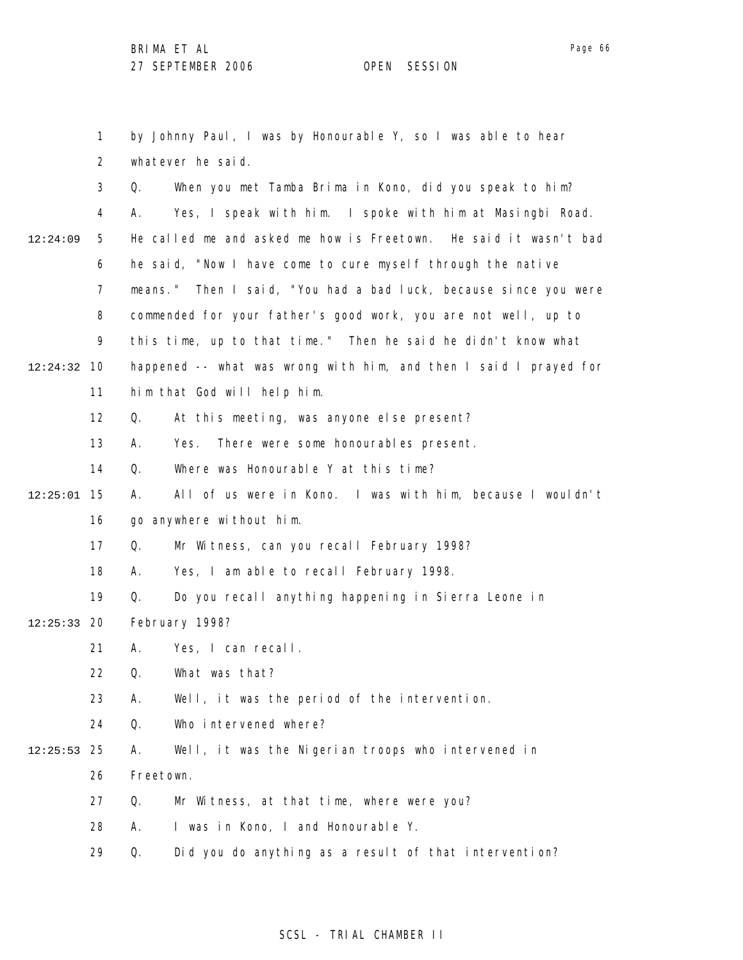1

2 3 4 5 6 7 8 9 10 12:24:32 11 12 13 14 15 12:25:01 16 17 18 19 12:24:09 whatever he said. Q. When you met Tamba Brima in Kono, did you speak to him? A. Yes, I speak with him. I spoke with him at Masingbi Road. He called me and asked me how is Freetown. He said it wasn't bad he said, "Now I have come to cure myself through the native means." Then I said, "You had a bad luck, because since you were commended for your father's good work, you are not well, up to this time, up to that time." Then he said he didn't know what happened -- what was wrong with him, and then I said I prayed for him that God will help him. Q. At this meeting, was anyone else present? A. Yes. There were some honourables present. Q. Where was Honourable Y at this time? A. All of us were in Kono. I was with him, because I wouldn't go anywhere without him. Q. Mr Witness, can you recall February 1998? A. Yes, I am able to recall February 1998. Q. Do you recall anything happening in Sierra Leone in

by Johnny Paul, I was by Honourable Y, so I was able to hear

- 20 12:25:33 February 1998?
	- 21 A. Yes, I can recall.

22 Q. What was that?

- 23 A. Well, it was the period of the intervention.
- 24 Q. Who intervened where?
- 25 12:25:53 26 A. Well, it was the Nigerian troops who intervened in Freetown.
	- 27 Q. Mr Witness, at that time, where were you?
	- 28 A. I was in Kono, I and Honourable Y.
	- 29 Q. Did you do anything as a result of that intervention?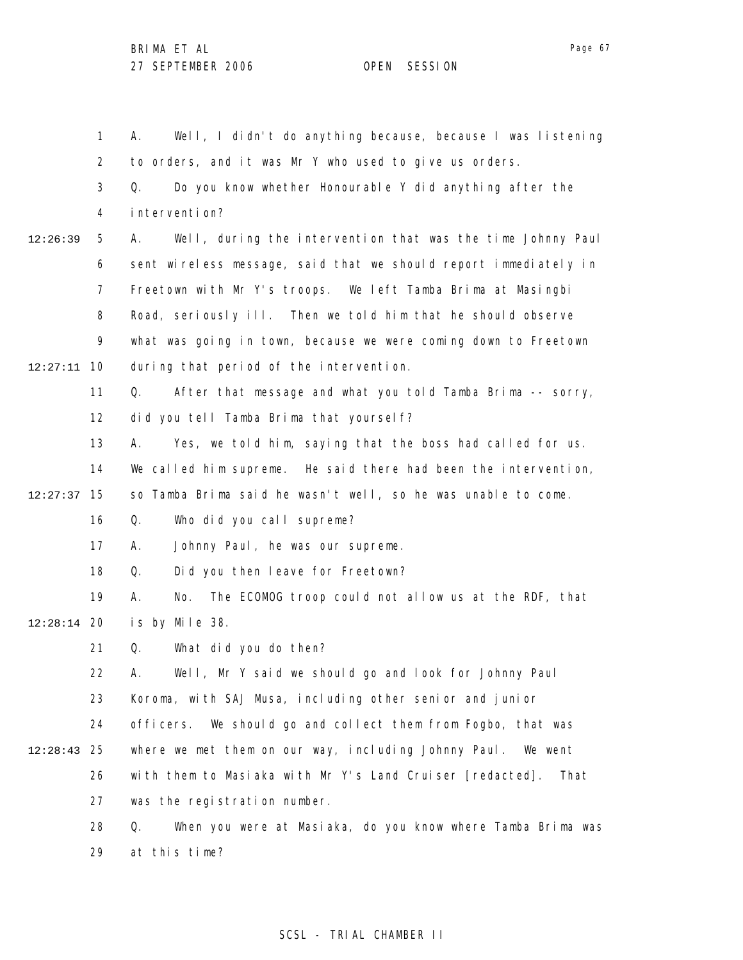1 2 3 4 5 6 7 8 9 10 12:27:11 11 12 13 14 15 12:27:37 16 17 18 19 12:28:14 20 21 22 23 24 25 12:28:43 26 27 28 29 12:26:39 A. Well, I didn't do anything because, because I was listening to orders, and it was Mr Y who used to give us orders. Q. Do you know whether Honourable Y did anything after the intervention? A. Well, during the intervention that was the time Johnny Paul sent wireless message, said that we should report immediately in Freetown with Mr Y's troops. We left Tamba Brima at Masingbi Road, seriously ill. Then we told him that he should observe what was going in town, because we were coming down to Freetown during that period of the intervention. Q. After that message and what you told Tamba Brima -- sorry, did you tell Tamba Brima that yourself? A. Yes, we told him, saying that the boss had called for us. We called him supreme. He said there had been the intervention, so Tamba Brima said he wasn't well, so he was unable to come. Q. Who did you call supreme? A. Johnny Paul, he was our supreme. Q. Did you then leave for Freetown? A. No. The ECOMOG troop could not allow us at the RDF, that is by Mile 38. Q. What did you do then? A. Well, Mr Y said we should go and look for Johnny Paul Koroma, with SAJ Musa, including other senior and junior officers. We should go and collect them from Fogbo, that was where we met them on our way, including Johnny Paul. We went with them to Masiaka with Mr Y's Land Cruiser [redacted]. That was the registration number. Q. When you were at Masiaka, do you know where Tamba Brima was at this time?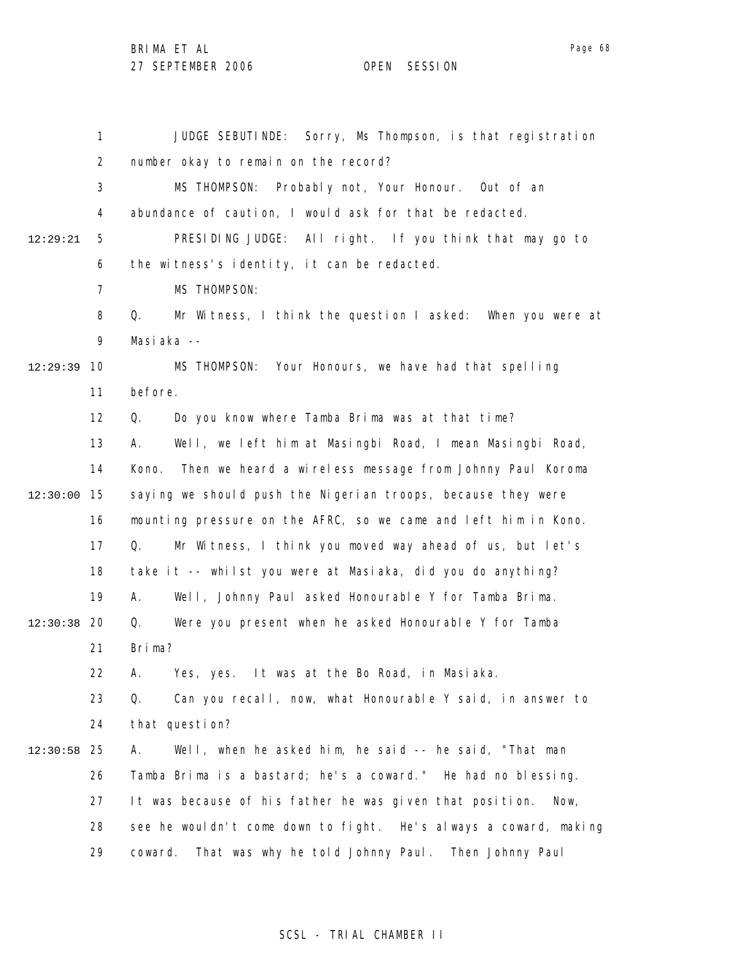BRIMA ET AL

27 SEPTEMBER 2006 OPEN SESSION

1 2 3 4 5 6 7 8 9 10 12:29:39 11 12 13 14 15 12:30:00 16 17 18 19 12:30:38 20 21 22 23 24 25 12:30:58 26 27 28 29 12:29:21 JUDGE SEBUTINDE: Sorry, Ms Thompson, is that registration number okay to remain on the record? MS THOMPSON: Probably not, Your Honour. Out of an abundance of caution, I would ask for that be redacted. PRESIDING JUDGE: All right. If you think that may go to the witness's identity, it can be redacted. MS THOMPSON: Q. Mr Witness, I think the question I asked: When you were at Masiaka -- MS THOMPSON: Your Honours, we have had that spelling before. Q. Do you know where Tamba Brima was at that time? A. Well, we left him at Masingbi Road, I mean Masingbi Road, Kono. Then we heard a wireless message from Johnny Paul Koroma saying we should push the Nigerian troops, because they were mounting pressure on the AFRC, so we came and left him in Kono. Q. Mr Witness, I think you moved way ahead of us, but let's take it -- whilst you were at Masiaka, did you do anything? A. Well, Johnny Paul asked Honourable Y for Tamba Brima. Q. Were you present when he asked Honourable Y for Tamba Brima? A. Yes, yes. It was at the Bo Road, in Masiaka. Q. Can you recall, now, what Honourable Y said, in answer to that question? A. Well, when he asked him, he said -- he said, "That man Tamba Brima is a bastard; he's a coward." He had no blessing. It was because of his father he was given that position. Now, see he wouldn't come down to fight. He's always a coward, making coward. That was why he told Johnny Paul. Then Johnny Paul

#### SCSL - TRIAL CHAMBER II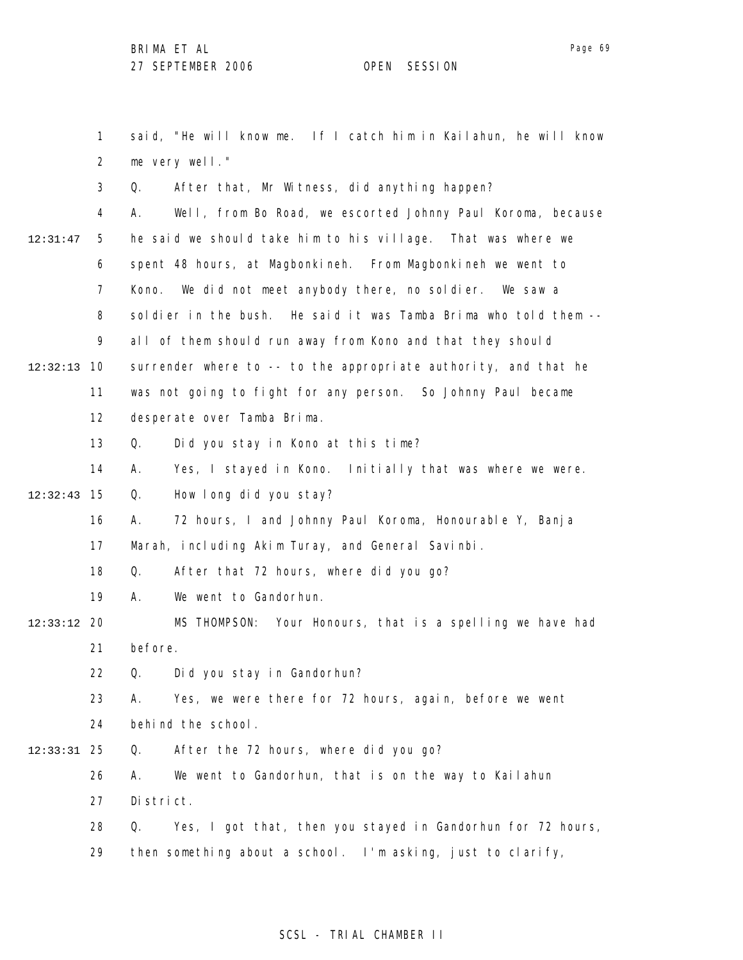Page 69

1 2 3 4 5 6 7 8 9 10 12:32:13 11 12 13 14 15 12:32:43 16 17 18 19 20 12:33:12 21 22 23 24 25 12:33:31 26 27 28 29 12:31:47 said, "He will know me. If I catch him in Kailahun, he will know me very well." Q. After that, Mr Witness, did anything happen? A. Well, from Bo Road, we escorted Johnny Paul Koroma, because he said we should take him to his village. That was where we spent 48 hours, at Magbonkineh. From Magbonkineh we went to Kono. We did not meet anybody there, no soldier. We saw a soldier in the bush. He said it was Tamba Brima who told them - all of them should run away from Kono and that they should surrender where to -- to the appropriate authority, and that he was not going to fight for any person. So Johnny Paul became desperate over Tamba Brima. Q. Did you stay in Kono at this time? A. Yes, I stayed in Kono. Initially that was where we were. Q. How long did you stay? A. 72 hours, I and Johnny Paul Koroma, Honourable Y, Banja Marah, including Akim Turay, and General Savinbi. Q. After that 72 hours, where did you go? A. We went to Gandorhun. MS THOMPSON: Your Honours, that is a spelling we have had before. Q. Did you stay in Gandorhun? A. Yes, we were there for 72 hours, again, before we went behind the school. Q. After the 72 hours, where did you go? A. We went to Gandorhun, that is on the way to Kailahun District. Q. Yes, I got that, then you stayed in Gandorhun for 72 hours, then something about a school. I'm asking, just to clarify,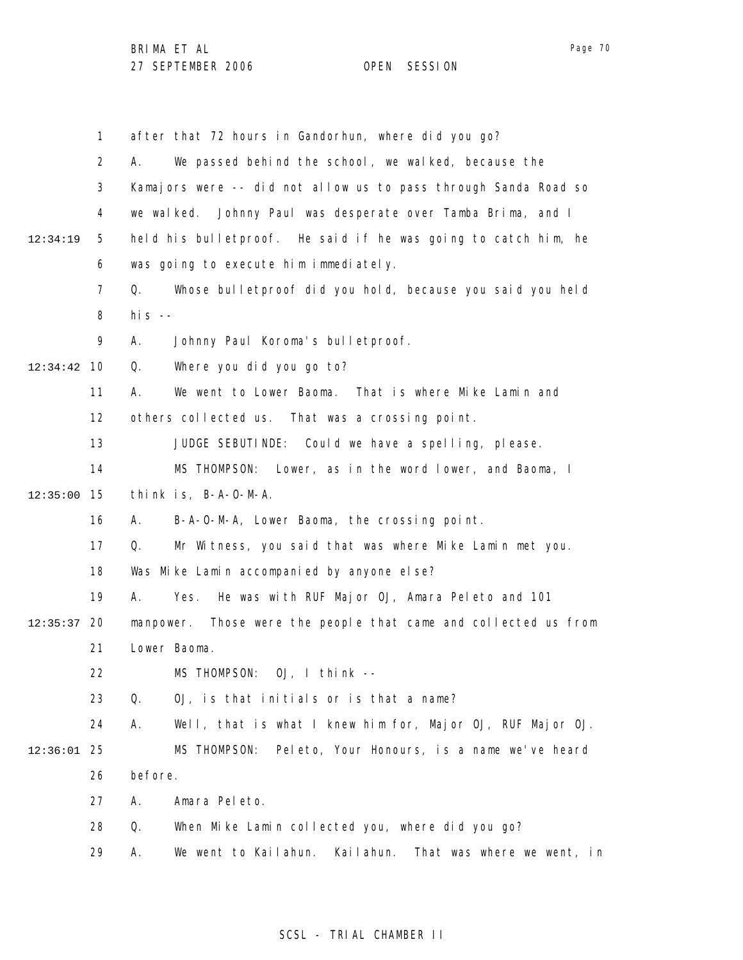|               | $\mathbf{1}$   |              | after that 72 hours in Gandorhun, where did you go?             |
|---------------|----------------|--------------|-----------------------------------------------------------------|
|               | $\overline{2}$ | А.           | We passed behind the school, we walked, because the             |
|               | 3              |              | Kamajors were -- did not allow us to pass through Sanda Road so |
|               | 4              |              | we walked. Johnny Paul was desperate over Tamba Brima, and I    |
| 12:34:19      | 5              |              | held his bulletproof. He said if he was going to catch him, he  |
|               | 6              |              | was going to execute him immediately.                           |
|               | $\overline{7}$ | Q.           | Whose bulletproof did you hold, because you said you held       |
|               | 8              | his $-$      |                                                                 |
|               | 9              | Α.           | Johnny Paul Koroma's bulletproof.                               |
| 12:34:42      | 10             | Q.           | Where you did you go to?                                        |
|               | 11             | А.           | We went to Lower Baoma.<br>That is where Mike Lamin and         |
|               | 12             |              | others collected us. That was a crossing point.                 |
|               | 13             |              | JUDGE SEBUTINDE: Could we have a spelling, please.              |
|               | 14             |              | MS THOMPSON: Lower, as in the word lower, and Baoma, I          |
| 12:35:00      | 15             |              | think is, B-A-O-M-A.                                            |
|               | 16             | А.           | B-A-O-M-A, Lower Baoma, the crossing point.                     |
|               | 17             | Q.           | Mr Witness, you said that was where Mike Lamin met you.         |
|               | 18             |              | Was Mike Lamin accompanied by anyone else?                      |
|               | 19             | А.           | Yes. He was with RUF Major OJ, Amara Peleto and 101             |
| 12:35:37      | 20             |              | manpower. Those were the people that came and collected us from |
|               | 21             | Lower Baoma. |                                                                 |
|               | 22             |              | MS THOMPSON: OJ, I think --                                     |
|               | 23             | Q.           | OJ, is that initials or is that a name?                         |
|               | 24             | А.           | Well, that is what I knew him for, Major OJ, RUF Major OJ.      |
| $12:36:01$ 25 |                |              | Peleto, Your Honours, is a name we've heard<br>MS THOMPSON:     |
|               | 26             | before.      |                                                                 |
|               | 27             | Α.           | Amara Peleto.                                                   |
|               | 28             | Q.           | When Mike Lamin collected you, where did you go?                |
|               | 29             | Α.           | We went to Kailahun.<br>Kailahun.<br>That was where we went, in |

# SCSL - TRIAL CHAMBER II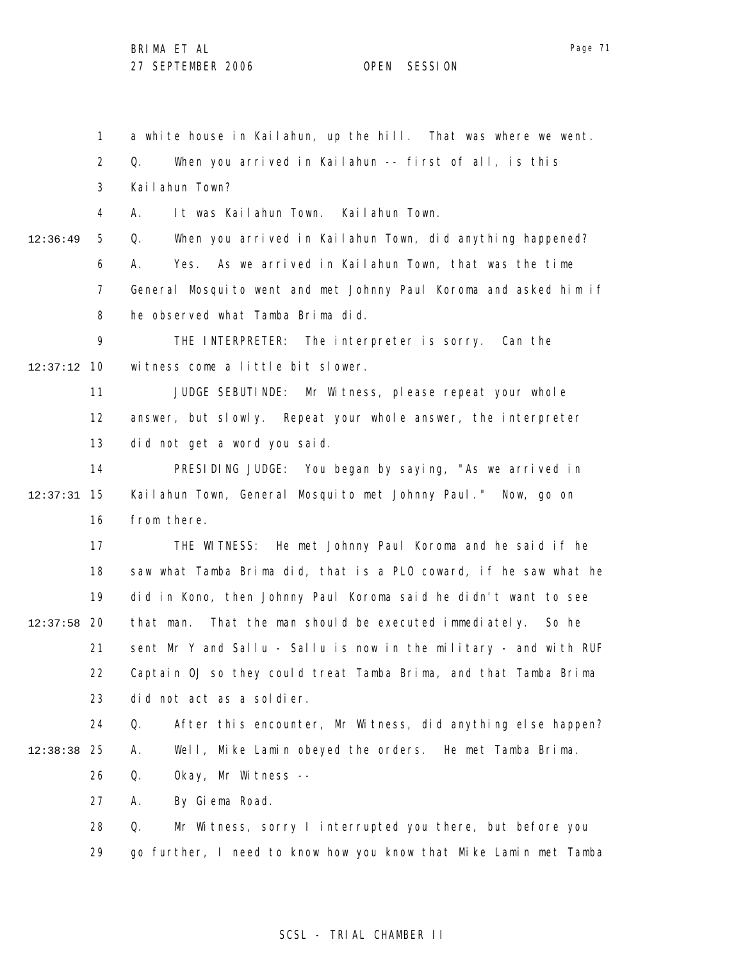1 a white house in Kailahun, up the hill. That was where we went.

2 Q. When you arrived in Kailahun -- first of all, is this

3 Kailahun Town?

4 A. It was Kailahun Town. Kailahun Town.

12:36:49

5

6 7 8 Q. When you arrived in Kailahun Town, did anything happened? A. Yes. As we arrived in Kailahun Town, that was the time General Mosquito went and met Johnny Paul Koroma and asked him if he observed what Tamba Brima did.

9 10 12:37:12 THE INTERPRETER: The interpreter is sorry. Can the witness come a little bit slower.

> 11 12 13 JUDGE SEBUTINDE: Mr Witness, please repeat your whole answer, but slowly. Repeat your whole answer, the interpreter did not get a word you said.

14 15 12:37:31 16 PRESIDING JUDGE: You began by saying, "As we arrived in Kailahun Town, General Mosquito met Johnny Paul." Now, go on from there.

17 18 19 12:37:58 20 21 22 23 THE WITNESS: He met Johnny Paul Koroma and he said if he saw what Tamba Brima did, that is a PLO coward, if he saw what he did in Kono, then Johnny Paul Koroma said he didn't want to see that man. That the man should be executed immediately. So he sent Mr Y and Sallu - Sallu is now in the military - and with RUF Captain OJ so they could treat Tamba Brima, and that Tamba Brima did not act as a soldier.

24 25 12:38:38 26 Q. After this encounter, Mr Witness, did anything else happen? A. Well, Mike Lamin obeyed the orders. He met Tamba Brima. Q. Okay, Mr Witness --

> 27 A. By Giema Road.

28 29 Q. Mr Witness, sorry I interrupted you there, but before you go further, I need to know how you know that Mike Lamin met Tamba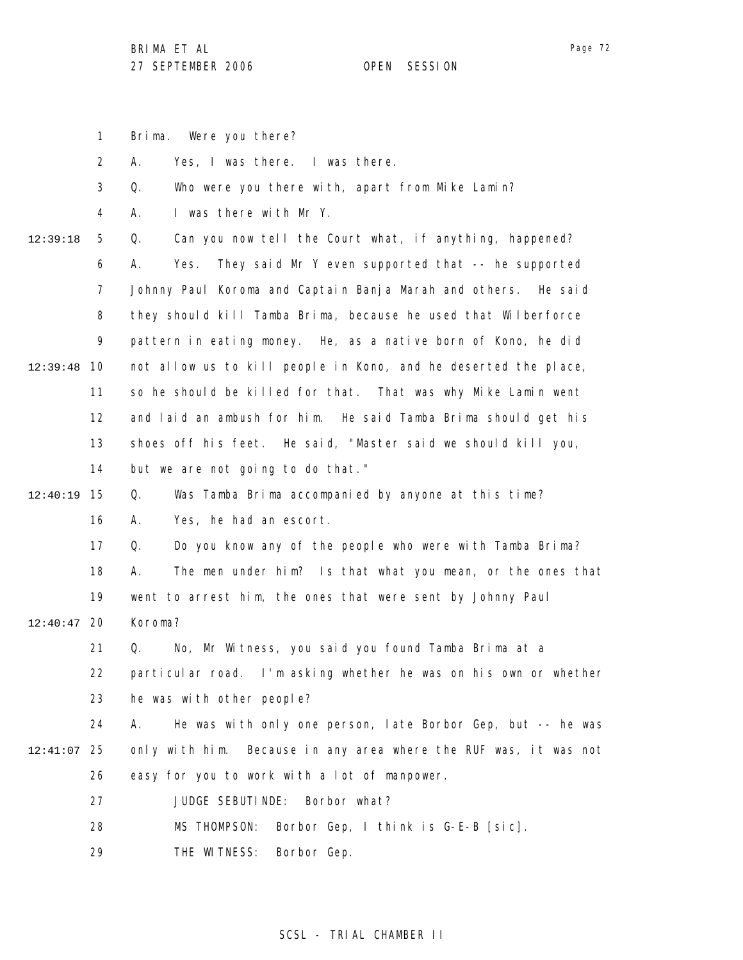Brima. Were you there?

1

Page 72

2 3 4 5 6 7 8 9 10 12:39:48 11 12 13 14 15 12:40:19 16 17 18 19 12:40:47 20 21 22 23 24 25 12:41:07 26 27 28 29 12:39:18 A. Yes, I was there. I was there. Q. Who were you there with, apart from Mike Lamin? A. I was there with Mr Y. Q. Can you now tell the Court what, if anything, happened? A. Yes. They said Mr Y even supported that -- he supported Johnny Paul Koroma and Captain Banja Marah and others. He said they should kill Tamba Brima, because he used that Wilberforce pattern in eating money. He, as a native born of Kono, he did not allow us to kill people in Kono, and he deserted the place, so he should be killed for that. That was why Mike Lamin went and laid an ambush for him. He said Tamba Brima should get his shoes off his feet. He said, "Master said we should kill you, but we are not going to do that." Q. Was Tamba Brima accompanied by anyone at this time? A. Yes, he had an escort. Q. Do you know any of the people who were with Tamba Brima? A. The men under him? Is that what you mean, or the ones that went to arrest him, the ones that were sent by Johnny Paul Koroma? Q. No, Mr Witness, you said you found Tamba Brima at a particular road. I'm asking whether he was on his own or whether he was with other people? A. He was with only one person, late Borbor Gep, but -- he was only with him. Because in any area where the RUF was, it was not easy for you to work with a lot of manpower. JUDGE SEBUTINDE: Borbor what? MS THOMPSON: Borbor Gep, I think is G-E-B [sic]. THE WITNESS: Borbor Gep.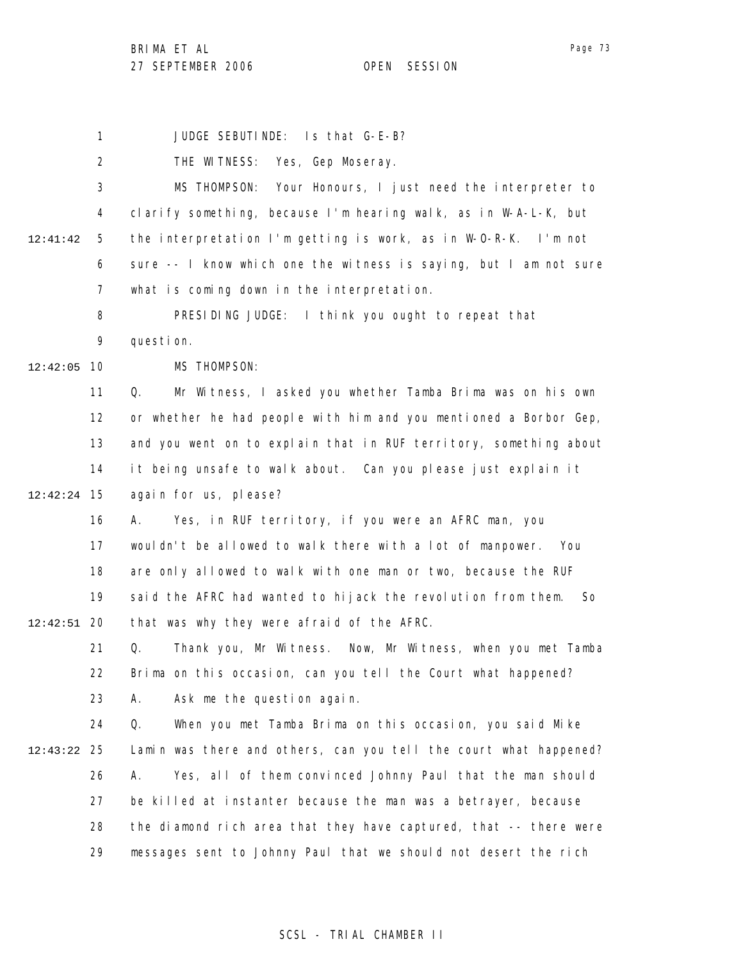BRIMA ET AL

27 SEPTEMBER 2006 OPEN SESSION

Page 73

1 JUDGE SEBUTINDE: Is that G-E-B?

2 3 4 5 6 7 8 9 10 12:42:05 11 12 13 14 15 12:42:24 16 17 18 19 20 12:42:51 21 22 23 24 25 12:43:22 26 27 12:41:42 THE WITNESS: Yes, Gep Moseray. MS THOMPSON: Your Honours, I just need the interpreter to clarify something, because I'm hearing walk, as in W-A-L-K, but the interpretation I'm getting is work, as in W-O-R-K. I'm not sure -- I know which one the witness is saying, but I am not sure what is coming down in the interpretation. PRESIDING JUDGE: I think you ought to repeat that question. MS THOMPSON: Q. Mr Witness, I asked you whether Tamba Brima was on his own or whether he had people with him and you mentioned a Borbor Gep, and you went on to explain that in RUF territory, something about it being unsafe to walk about. Can you please just explain it again for us, please? A. Yes, in RUF territory, if you were an AFRC man, you wouldn't be allowed to walk there with a lot of manpower. You are only allowed to walk with one man or two, because the RUF said the AFRC had wanted to hijack the revolution from them. So that was why they were afraid of the AFRC. Q. Thank you, Mr Witness. Now, Mr Witness, when you met Tamba Brima on this occasion, can you tell the Court what happened? A. Ask me the question again. Q. When you met Tamba Brima on this occasion, you said Mike Lamin was there and others, can you tell the court what happened? A. Yes, all of them convinced Johnny Paul that the man should be killed at instanter because the man was a betrayer, because

28 29 the diamond rich area that they have captured, that -- there were messages sent to Johnny Paul that we should not desert the rich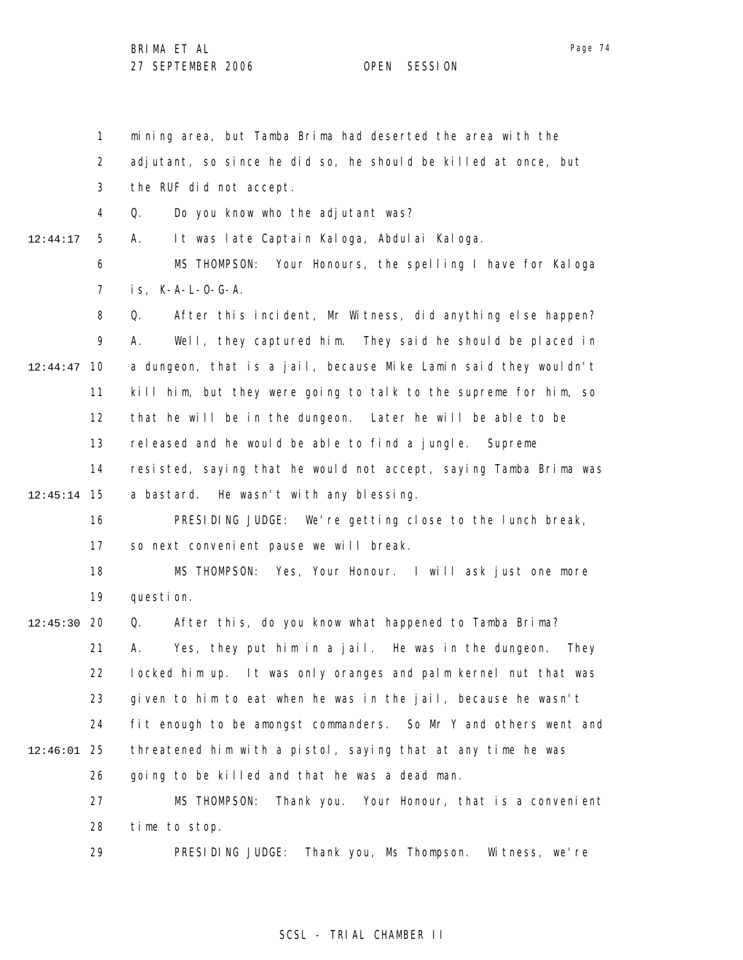1 2 3 4 5 6 7 8 9 10 12:44:47 11 12 13 14 15 12:45:14 16 17 18 19 12:45:30 20 21 22 23 24 25 12:46:01 26 27 28 12:44:17 mining area, but Tamba Brima had deserted the area with the adjutant, so since he did so, he should be killed at once, but the RUF did not accept. Q. Do you know who the adjutant was? A. It was late Captain Kaloga, Abdulai Kaloga. MS THOMPSON: Your Honours, the spelling I have for Kaloga is, K-A-L-O-G-A. Q. After this incident, Mr Witness, did anything else happen? A. Well, they captured him. They said he should be placed in a dungeon, that is a jail, because Mike Lamin said they wouldn't kill him, but they were going to talk to the supreme for him, so that he will be in the dungeon. Later he will be able to be released and he would be able to find a jungle. Supreme resisted, saying that he would not accept, saying Tamba Brima was a bastard. He wasn't with any blessing. PRESIDING JUDGE: We're getting close to the lunch break, so next convenient pause we will break. MS THOMPSON: Yes, Your Honour. I will ask just one more question. Q. After this, do you know what happened to Tamba Brima? A. Yes, they put him in a jail. He was in the dungeon. They locked him up. It was only oranges and palm kernel nut that was given to him to eat when he was in the jail, because he wasn't fit enough to be amongst commanders. So Mr Y and others went and threatened him with a pistol, saying that at any time he was going to be killed and that he was a dead man. MS THOMPSON: Thank you. Your Honour, that is a convenient time to stop.

> 29 PRESIDING JUDGE: Thank you, Ms Thompson. Witness, we're

## SCSL - TRIAL CHAMBER II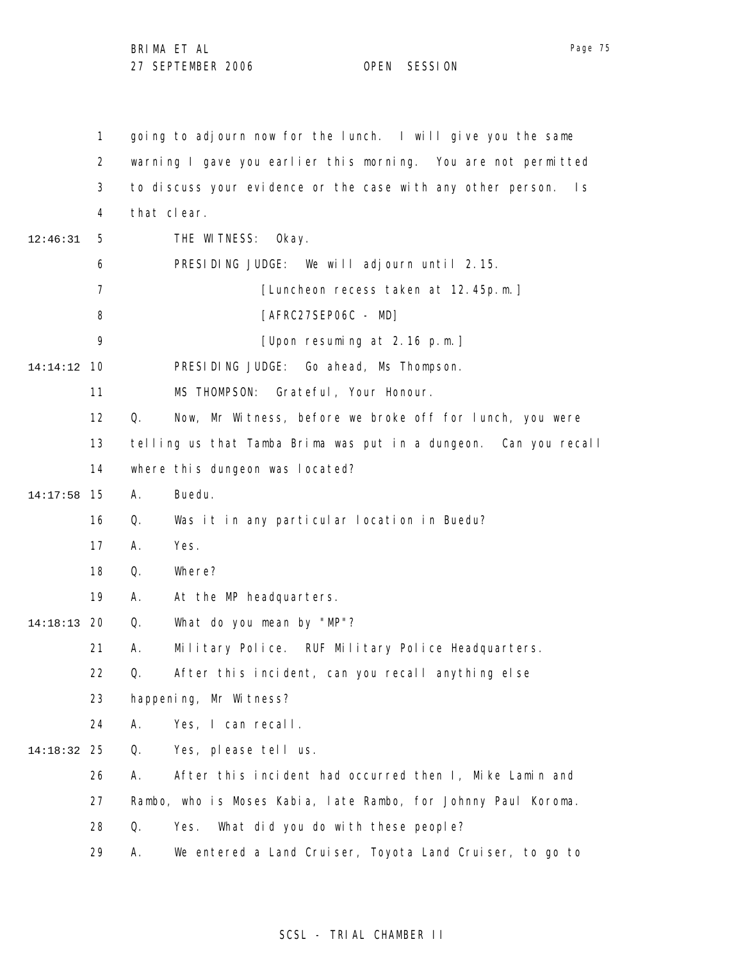|          | $\mathbf{1}$   | going to adjourn now for the lunch. I will give you the same                  |
|----------|----------------|-------------------------------------------------------------------------------|
|          | $\overline{2}$ | warning I gave you earlier this morning. You are not permitted                |
|          | 3              | to discuss your evidence or the case with any other person.<br>$\mathsf{I}$ s |
|          | 4              | that clear.                                                                   |
| 12:46:31 | 5              | THE WITNESS: Okay.                                                            |
|          | 6              | PRESIDING JUDGE: We will adjourn until 2.15.                                  |
|          | 7              | [Luncheon recess taken at 12.45p.m.]                                          |
|          | 8              | [AFRC27SEP06C - MD]                                                           |
|          | 9              | [Upon resuming at 2.16 p.m.]                                                  |
| 14:14:12 | 10             | PRESIDING JUDGE: Go ahead, Ms Thompson.                                       |
|          | 11             | MS THOMPSON:<br>Grateful, Your Honour.                                        |
|          | 12             | Q.<br>Now, Mr Witness, before we broke off for lunch, you were                |
|          | 13             | telling us that Tamba Brima was put in a dungeon. Can you recall              |
|          | 14             | where this dungeon was located?                                               |
| 14:17:58 | 15             | Buedu.<br>Α.                                                                  |
|          | 16             | Q.<br>Was it in any particular location in Buedu?                             |
|          | 17             | Yes.<br>Α.                                                                    |
|          | 18             | Where?<br>Q.                                                                  |
|          | 19             | Α.<br>At the MP headquarters.                                                 |
| 14:18:13 | 20             | What do you mean by "MP"?<br>Q.                                               |
|          | 21             | Military Police. RUF Military Police Headquarters.<br>Α.                      |
|          | 22             | After this incident, can you recall anything else<br>Q.                       |
|          | 23             | happening, Mr Witness?                                                        |
|          | 24             | Yes, I can recall.<br>Α.                                                      |
| 14:18:32 | 25             | Yes, please tell us.<br>Q.                                                    |
|          | 26             | After this incident had occurred then I, Mike Lamin and<br>А.                 |
|          | 27             | Rambo, who is Moses Kabia, late Rambo, for Johnny Paul Koroma.                |
|          | 28             | Q.<br>Yes.<br>What did you do with these people?                              |
|          | 29             | We entered a Land Cruiser, Toyota Land Cruiser, to go to<br>Α.                |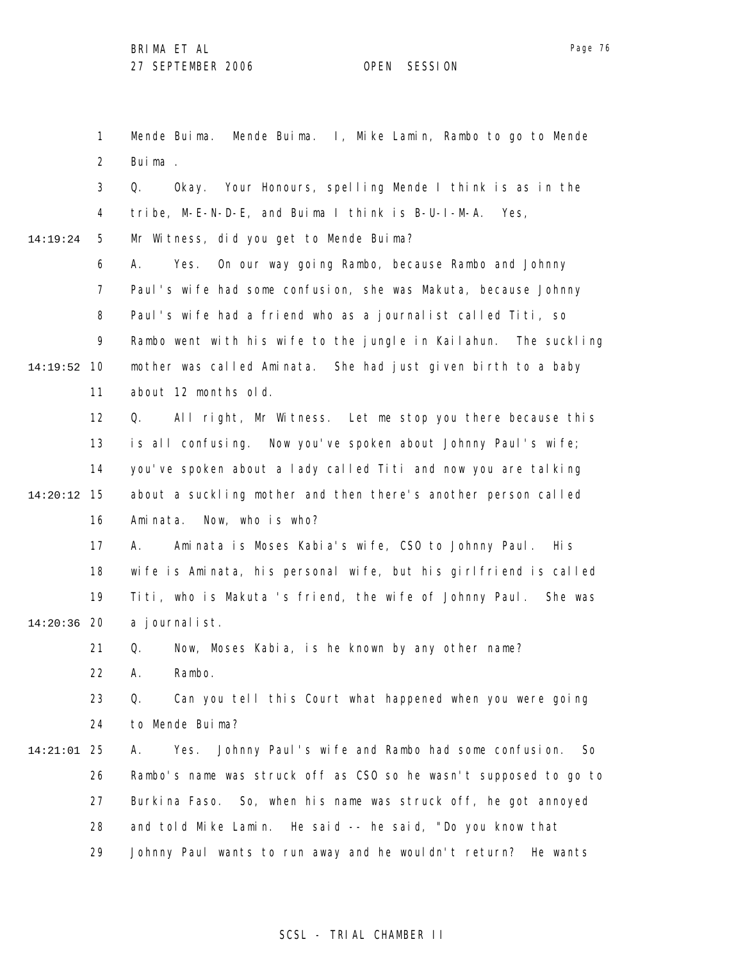Page 76

1 2 3 4 5 6 7 8 9 10 14:19:52 11 12 13 14 15 14:20:12 16 17 18 19 20 14:20:36 21 22 23 24 25 14:21:01 26 27 28 29 14:19:24 Mende Buima. Mende Buima. I, Mike Lamin, Rambo to go to Mende Buima . Q. Okay. Your Honours, spelling Mende I think is as in the tribe, M-E-N-D-E, and Buima I think is B-U-I-M-A. Yes, Mr Witness, did you get to Mende Buima? A. Yes. On our way going Rambo, because Rambo and Johnny Paul's wife had some confusion, she was Makuta, because Johnny Paul's wife had a friend who as a journalist called Titi, so Rambo went with his wife to the jungle in Kailahun. The suckling mother was called Aminata. She had just given birth to a baby about 12 months old. Q. All right, Mr Witness. Let me stop you there because this is all confusing. Now you've spoken about Johnny Paul's wife; you've spoken about a lady called Titi and now you are talking about a suckling mother and then there's another person called Aminata. Now, who is who? A. Aminata is Moses Kabia's wife, CSO to Johnny Paul. His wife is Aminata, his personal wife, but his girlfriend is called Titi, who is Makuta 's friend, the wife of Johnny Paul. She was a journalist. Q. Now, Moses Kabia, is he known by any other name? A. Rambo. Q. Can you tell this Court what happened when you were going to Mende Buima? A. Yes. Johnny Paul's wife and Rambo had some confusion. So Rambo's name was struck off as CSO so he wasn't supposed to go to Burkina Faso. So, when his name was struck off, he got annoyed and told Mike Lamin. He said -- he said, "Do you know that Johnny Paul wants to run away and he wouldn't return? He wants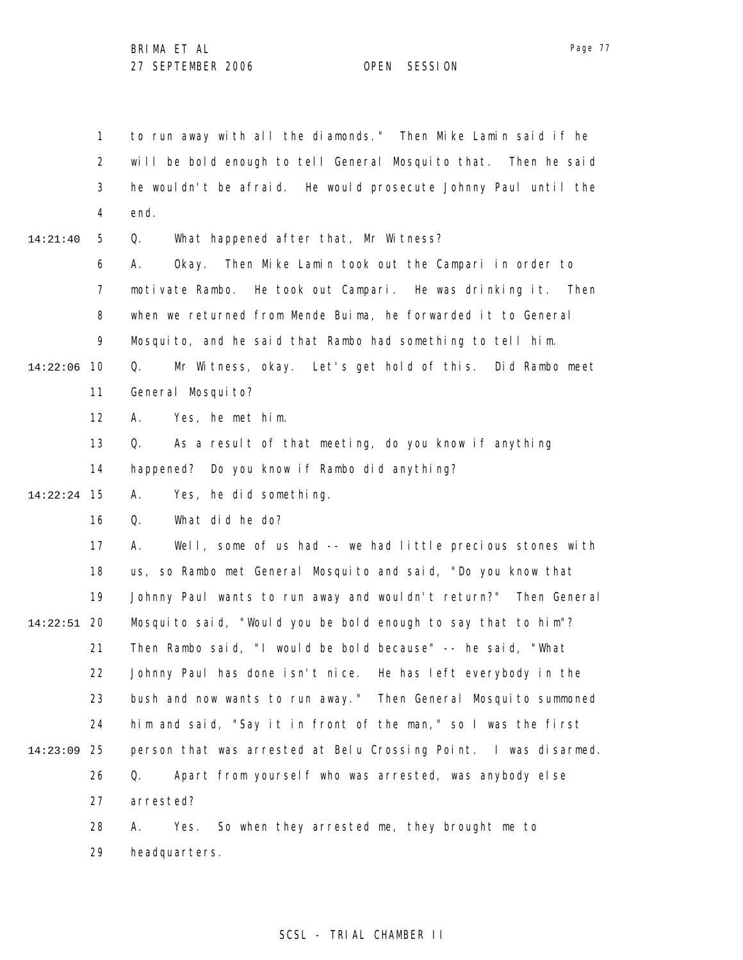1 2 3 4 5 6 7 8 9 14:22:06 10 11 12 13 14 15 14:22:24 16 17 18 19 20 14:22:51 21 22 23 24 25 14:23:09 26 27 28 29 14:21:40 to run away with all the diamonds." Then Mike Lamin said if he will be bold enough to tell General Mosquito that. Then he said he wouldn't be afraid. He would prosecute Johnny Paul until the end. Q. What happened after that, Mr Witness? A. Okay. Then Mike Lamin took out the Campari in order to motivate Rambo. He took out Campari. He was drinking it. Then when we returned from Mende Buima, he forwarded it to General Mosquito, and he said that Rambo had something to tell him. Q. Mr Witness, okay. Let's get hold of this. Did Rambo meet General Mosquito? A. Yes, he met him. Q. As a result of that meeting, do you know if anything happened? Do you know if Rambo did anything? A. Yes, he did something. Q. What did he do? A. Well, some of us had -- we had little precious stones with us, so Rambo met General Mosquito and said, "Do you know that Johnny Paul wants to run away and wouldn't return?" Then General Mosquito said, "Would you be bold enough to say that to him"? Then Rambo said, "I would be bold because" -- he said, "What Johnny Paul has done isn't nice. He has left everybody in the bush and now wants to run away." Then General Mosquito summoned him and said, "Say it in front of the man," so I was the first person that was arrested at Belu Crossing Point. I was disarmed. Q. Apart from yourself who was arrested, was anybody else arrested? A. Yes. So when they arrested me, they brought me to headquarters.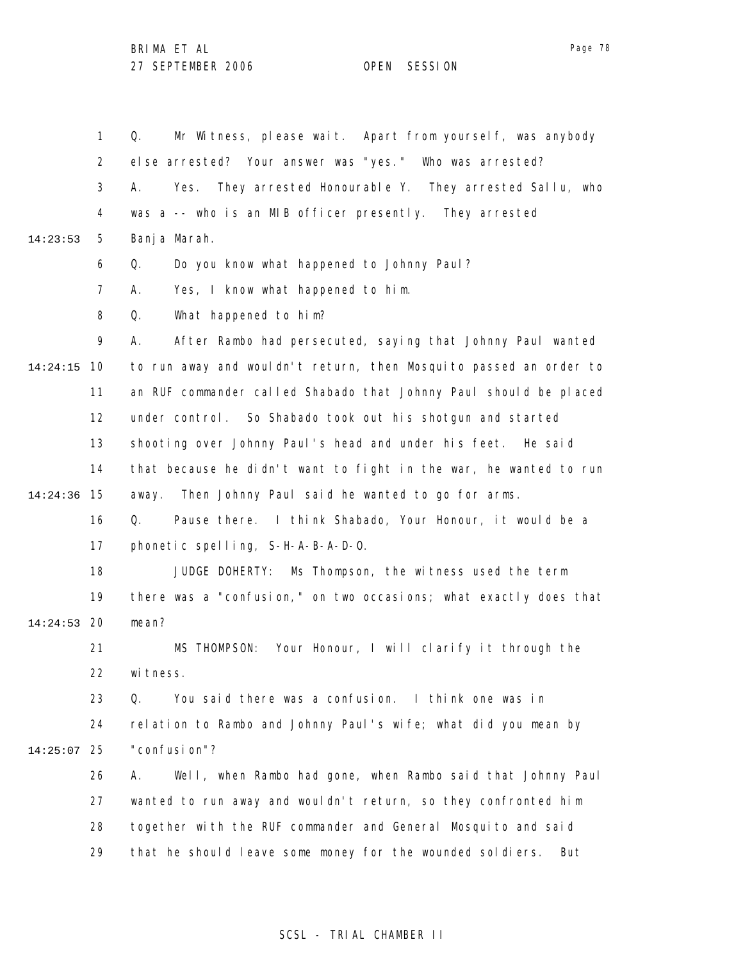1 2 3 4 5 6 7 8 9 10 14:24:15 11 12 13 14 15 14:24:36 16 17 18 19 20 14:24:53 21 22 23 24 25 14:25:07 26 27 28 29 14:23:53 Q. Mr Witness, please wait. Apart from yourself, was anybody else arrested? Your answer was "yes." Who was arrested? A. Yes. They arrested Honourable Y. They arrested Sallu, who was a -- who is an MIB officer presently. They arrested Banja Marah. Q. Do you know what happened to Johnny Paul? A. Yes, I know what happened to him. Q. What happened to him? A. After Rambo had persecuted, saying that Johnny Paul wanted to run away and wouldn't return, then Mosquito passed an order to an RUF commander called Shabado that Johnny Paul should be placed under control. So Shabado took out his shotgun and started shooting over Johnny Paul's head and under his feet. He said that because he didn't want to fight in the war, he wanted to run away. Then Johnny Paul said he wanted to go for arms. Q. Pause there. I think Shabado, Your Honour, it would be a phonetic spelling, S-H-A-B-A-D-O. JUDGE DOHERTY: Ms Thompson, the witness used the term there was a "confusion," on two occasions; what exactly does that mean? MS THOMPSON: Your Honour, I will clarify it through the wi tness. Q. You said there was a confusion. I think one was in relation to Rambo and Johnny Paul's wife; what did you mean by "confusion"? A. Well, when Rambo had gone, when Rambo said that Johnny Paul wanted to run away and wouldn't return, so they confronted him together with the RUF commander and General Mosquito and said that he should leave some money for the wounded soldiers. But

## SCSL - TRIAL CHAMBER II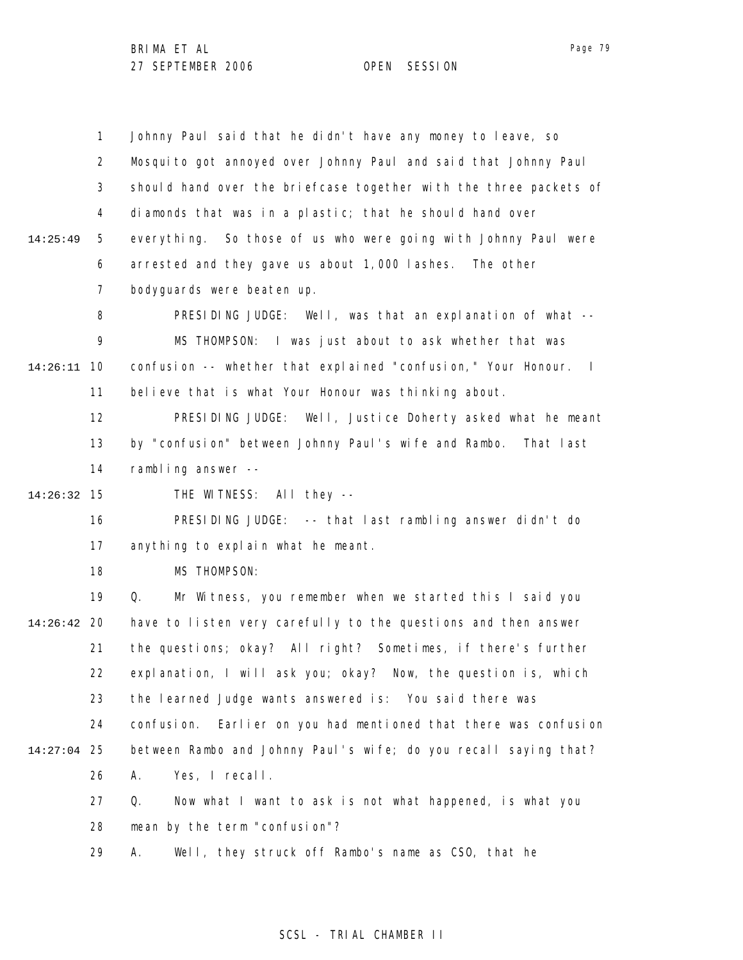1 2 3 4 5 6 7 8 9 10 14:26:11 11 12 13 14 15 14:26:32 16 17 18 19 20 14:26:42 21 22 23 24 25 14:27:04 26 27 28 29 14:25:49 Johnny Paul said that he didn't have any money to leave, so Mosquito got annoyed over Johnny Paul and said that Johnny Paul should hand over the briefcase together with the three packets of diamonds that was in a plastic; that he should hand over everything. So those of us who were going with Johnny Paul were arrested and they gave us about 1,000 lashes. The other bodyguards were beaten up. PRESIDING JUDGE: Well, was that an explanation of what -- MS THOMPSON: I was just about to ask whether that was confusion -- whether that explained "confusion," Your Honour. I believe that is what Your Honour was thinking about. PRESIDING JUDGE: Well, Justice Doherty asked what he meant by "confusion" between Johnny Paul's wife and Rambo. That last rambling answer -- THE WITNESS: All they -- PRESIDING JUDGE: -- that last rambling answer didn't do anything to explain what he meant. MS THOMPSON: Q. Mr Witness, you remember when we started this I said you have to listen very carefully to the questions and then answer the questions; okay? All right? Sometimes, if there's further explanation, I will ask you; okay? Now, the question is, which the learned Judge wants answered is: You said there was confusion. Earlier on you had mentioned that there was confusion between Rambo and Johnny Paul's wife; do you recall saying that? A. Yes, I recall. Q. Now what I want to ask is not what happened, is what you mean by the term "confusion"? A. Well, they struck off Rambo's name as CSO, that he

#### SCSL - TRIAL CHAMBER II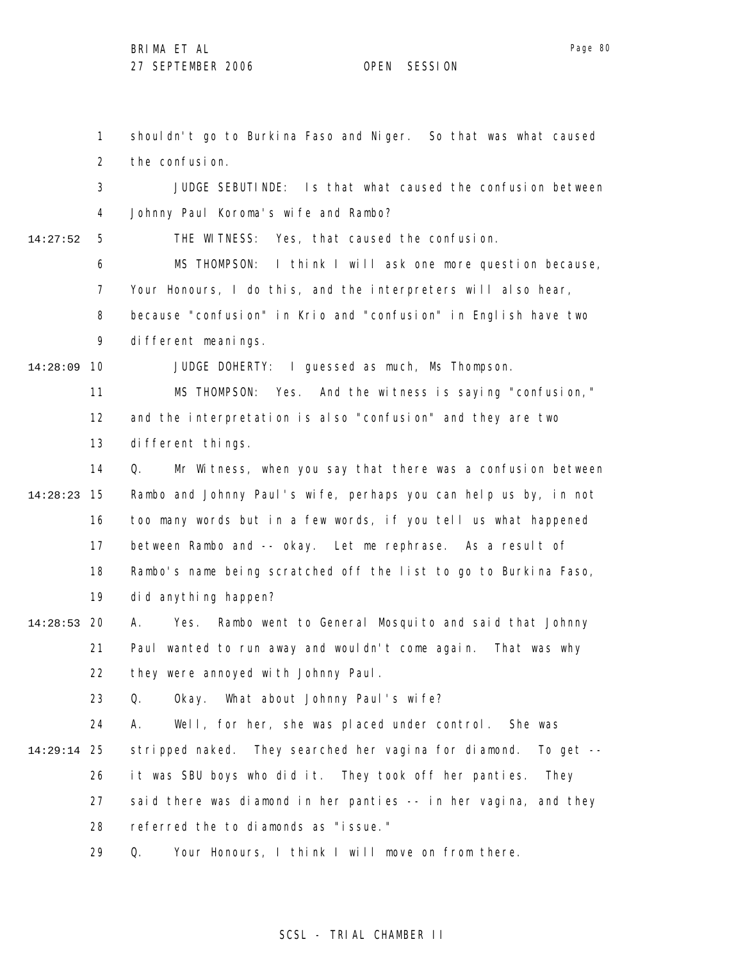1 2 3 4 5 6 7 8 9 10 14:28:09 11 12 13 14 15 14:28:23 16 17 18 19 20 14:28:53 21 22 23 24 25 14:29:14 26 27 28 14:27:52 shouldn't go to Burkina Faso and Niger. So that was what caused the confusion. JUDGE SEBUTINDE: Is that what caused the confusion between Johnny Paul Koroma's wife and Rambo? THE WITNESS: Yes, that caused the confusion. MS THOMPSON: I think I will ask one more question because, Your Honours, I do this, and the interpreters will also hear, because "confusion" in Krio and "confusion" in English have two different meanings. JUDGE DOHERTY: I guessed as much, Ms Thompson. MS THOMPSON: Yes. And the witness is saying "confusion," and the interpretation is also "confusion" and they are two different things. Q. Mr Witness, when you say that there was a confusion between Rambo and Johnny Paul's wife, perhaps you can help us by, in not too many words but in a few words, if you tell us what happened between Rambo and -- okay. Let me rephrase. As a result of Rambo's name being scratched off the list to go to Burkina Faso, did anything happen? A. Yes. Rambo went to General Mosquito and said that Johnny Paul wanted to run away and wouldn't come again. That was why they were annoyed with Johnny Paul. Q. Okay. What about Johnny Paul's wife? A. Well, for her, she was placed under control. She was stripped naked. They searched her vagina for diamond. To get - it was SBU boys who did it. They took off her panties. They said there was diamond in her panties -- in her vagina, and they referred the to diamonds as "issue."

> 29 Q. Your Honours, I think I will move on from there.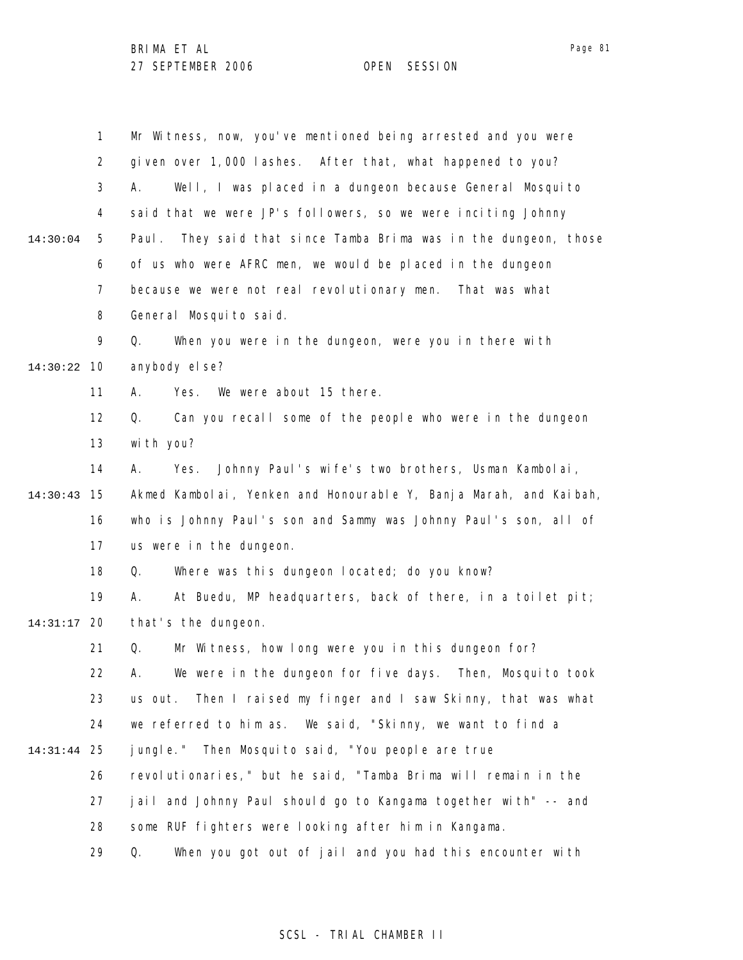|                                                                        | 1              | Mr Witness, now, you've mentioned being arrested and you were       |  |
|------------------------------------------------------------------------|----------------|---------------------------------------------------------------------|--|
|                                                                        | $\overline{2}$ | given over 1,000 lashes. After that, what happened to you?          |  |
|                                                                        | 3              | Well, I was placed in a dungeon because General Mosquito<br>А.      |  |
|                                                                        | 4              | said that we were JP's followers, so we were inciting Johnny        |  |
| 14:30:04                                                               | 5              | They said that since Tamba Brima was in the dungeon, those<br>Paul. |  |
|                                                                        | 6              | of us who were AFRC men, we would be placed in the dungeon          |  |
|                                                                        | $\overline{7}$ | because we were not real revolutionary men. That was what           |  |
|                                                                        | 8              | General Mosquito said.                                              |  |
|                                                                        | 9              | When you were in the dungeon, were you in there with<br>Q.          |  |
| 14:30:22                                                               | 10             | anybody el se?                                                      |  |
|                                                                        | 11             | We were about 15 there.<br>А.<br>Yes.                               |  |
|                                                                        | 12             | Can you recall some of the people who were in the dungeon<br>Q.     |  |
|                                                                        | 13             | with you?                                                           |  |
|                                                                        | 14             | Johnny Paul's wife's two brothers, Usman Kambolai,<br>А.<br>Yes.    |  |
| 14:30:43                                                               | 15             | Akmed Kambolai, Yenken and Honourable Y, Banja Marah, and Kaibah,   |  |
| who is Johnny Paul's son and Sammy was Johnny Paul's son, all of<br>16 |                |                                                                     |  |
|                                                                        | 17             | us were in the dungeon.                                             |  |
|                                                                        | 18             | Where was this dungeon located; do you know?<br>Q.                  |  |
|                                                                        | 19             | At Buedu, MP headquarters, back of there, in a toilet pit;<br>А.    |  |
| 14:31:17                                                               | 20             | that's the dungeon.                                                 |  |
|                                                                        | 21             | Mr Witness, how long were you in this dungeon for?<br>Q.            |  |
|                                                                        | 22             | We were in the dungeon for five days. Then, Mosquito took<br>А.     |  |
|                                                                        | 23             | Then I raised my finger and I saw Skinny, that was what<br>us out.  |  |
|                                                                        | 24             | we referred to him as. We said, "Skinny, we want to find a          |  |
| 14:31:44                                                               | 25             | jungle." Then Mosquito said, "You people are true                   |  |
|                                                                        | 26             | revolutionaries," but he said, "Tamba Brima will remain in the      |  |
|                                                                        | 27             | jail and Johnny Paul should go to Kangama together with" -- and     |  |
|                                                                        | 28             | some RUF fighters were looking after him in Kangama.                |  |
|                                                                        | 29             | Q.<br>When you got out of jail and you had this encounter with      |  |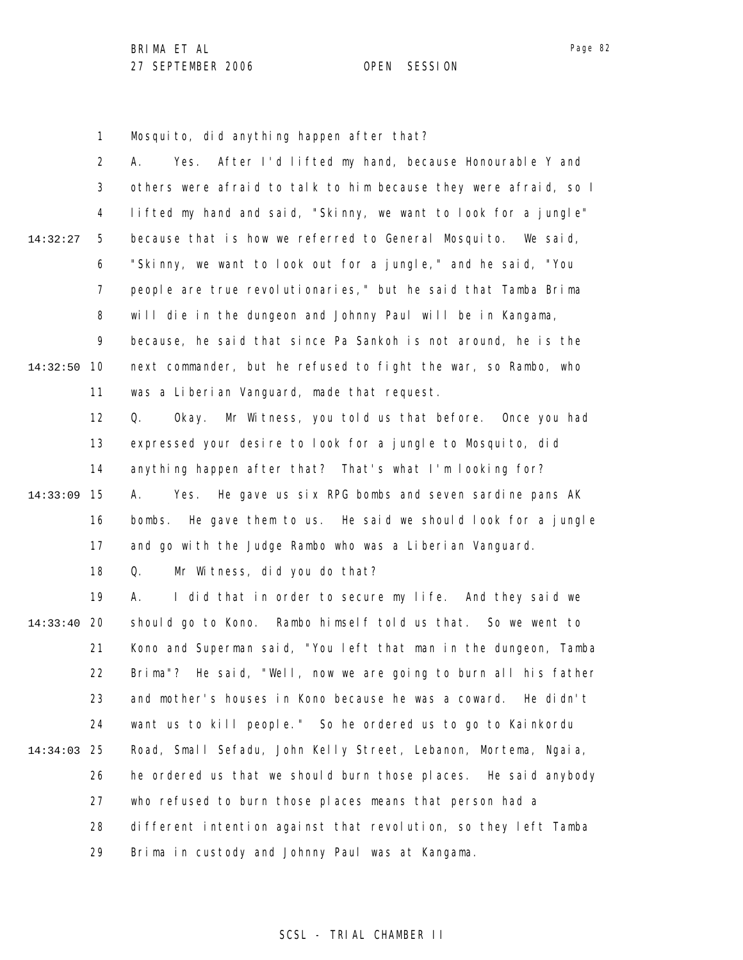1 Mosquito, did anything happen after that?

|          | 2              | After I'd lifted my hand, because Honourable Y and<br>А.<br>Yes. |
|----------|----------------|------------------------------------------------------------------|
|          | 3              | others were afraid to talk to him because they were afraid, so I |
|          | 4              | lifted my hand and said, "Skinny, we want to look for a jungle"  |
| 14:32:27 | 5              | because that is how we referred to General Mosquito. We said,    |
|          | 6              | "Skinny, we want to look out for a jungle," and he said, "You    |
|          | $\overline{7}$ | people are true revolutionaries," but he said that Tamba Brima   |
|          | 8              | will die in the dungeon and Johnny Paul will be in Kangama,      |
|          | 9              | because, he said that since Pa Sankoh is not around, he is the   |
| 14:32:50 | 10             | next commander, but he refused to fight the war, so Rambo, who   |
|          | 11             | was a Liberian Vanguard, made that request.                      |
|          | 12             | Mr Witness, you told us that before. Once you had<br>Q.<br>0kay. |
|          | 13             | expressed your desire to look for a jungle to Mosquito, did      |
|          | 14             | anything happen after that? That's what I'm looking for?         |
| 14:33:09 | 15             | Yes. He gave us six RPG bombs and seven sardine pans AK<br>А.    |
|          | 16             | bombs. He gave them to us. He said we should look for a jungle   |
|          | 17             | and go with the Judge Rambo who was a Liberian Vanguard.         |
|          | 18             | Mr Witness, did you do that?<br>Q.                               |
|          | 19             | I did that in order to secure my life. And they said we<br>А.    |
| 14:33:40 | <b>20</b>      | should go to Kono. Rambo himself told us that. So we went to     |
|          | 21             | Kono and Superman said, "You left that man in the dungeon, Tamba |
|          | 22             | Brima"? He said, "Well, now we are going to burn all his father  |
|          | 23.            | and mother's houses in Kono because he was a coward. He didn't   |
|          | 24             | want us to kill people." So he ordered us to go to Kainkordu     |
| 14:34:03 | 25             | Road, Small Sefadu, John Kelly Street, Lebanon, Mortema, Ngaia,  |
|          | 26             | he ordered us that we should burn those places. He said anybody  |
|          | 27             | who refused to burn those places means that person had a         |
|          | 28             | different intention against that revolution, so they left Tamba  |
|          | 29             | Brima in custody and Johnny Paul was at Kangama.                 |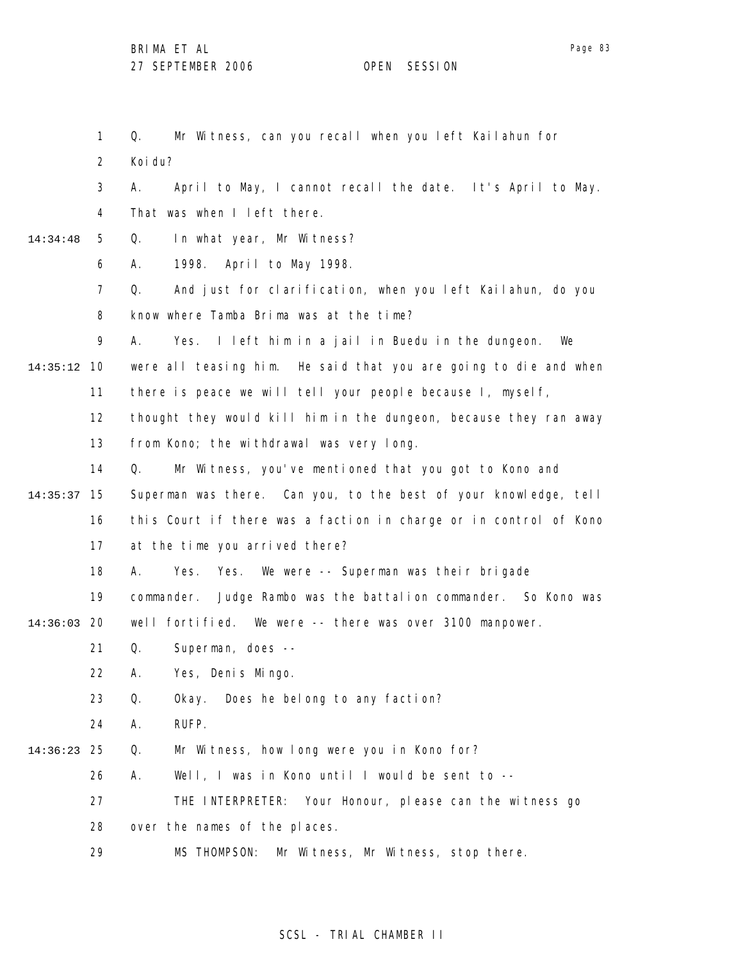1 2 3 4 5 6 7 8 9 10 14:35:12 11 12 13 14 15 14:35:37 16 17 18 19 20 14:36:03 21 22 23 24 25 14:36:23 26 27 28 29 14:34:48 Q. Mr Witness, can you recall when you left Kailahun for Koi du? A. April to May, I cannot recall the date. It's April to May. That was when I left there. Q. In what year, Mr Witness? A. 1998. April to May 1998. Q. And just for clarification, when you left Kailahun, do you know where Tamba Brima was at the time? A. Yes. I left him in a jail in Buedu in the dungeon. We were all teasing him. He said that you are going to die and when there is peace we will tell your people because I, myself, thought they would kill him in the dungeon, because they ran away from Kono; the withdrawal was very long. Q. Mr Witness, you've mentioned that you got to Kono and Superman was there. Can you, to the best of your knowledge, tell this Court if there was a faction in charge or in control of Kono at the time you arrived there? A. Yes. Yes. We were -- Superman was their brigade commander. Judge Rambo was the battalion commander. So Kono was well fortified. We were -- there was over 3100 manpower. Q. Superman, does -- A. Yes, Denis Mingo. Q. Okay. Does he belong to any faction? A. RUFP. Q. Mr Witness, how long were you in Kono for? A. Well, I was in Kono until I would be sent to -- THE INTERPRETER: Your Honour, please can the witness go over the names of the places. MS THOMPSON: Mr Witness, Mr Witness, stop there.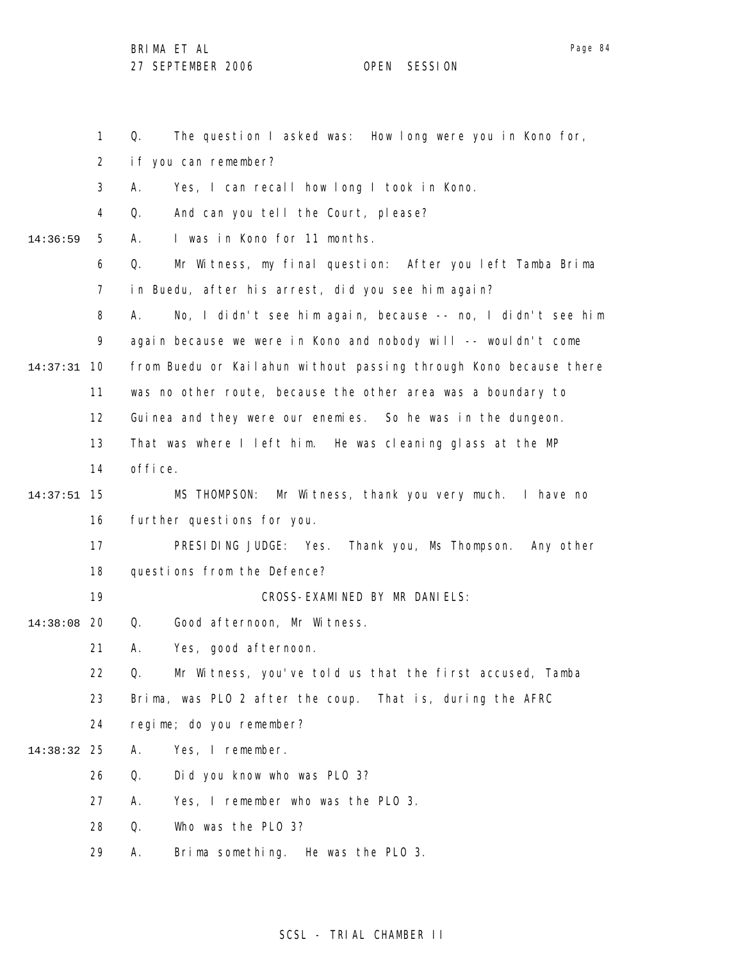Page 84

|             | 1              | The question I asked was: How I ong were you in Kono for,<br>Q.   |  |  |  |
|-------------|----------------|-------------------------------------------------------------------|--|--|--|
|             | $\overline{2}$ | if you can remember?                                              |  |  |  |
|             | 3              | Yes, I can recall how long I took in Kono.<br>А.                  |  |  |  |
|             | 4              | And can you tell the Court, please?<br>Q.                         |  |  |  |
| 14:36:59    | 5              | I was in Kono for 11 months.<br>А.                                |  |  |  |
|             | 6              | Q.<br>Mr Witness, my final question: After you left Tamba Brima   |  |  |  |
|             | $\overline{7}$ | in Buedu, after his arrest, did you see him again?                |  |  |  |
|             | 8              | No, I didn't see him again, because -- no, I didn't see him<br>А. |  |  |  |
|             | 9              | again because we were in Kono and nobody will -- wouldn't come    |  |  |  |
| 14:37:31    | 10             | from Buedu or Kailahun without passing through Kono because there |  |  |  |
|             | 11             | was no other route, because the other area was a boundary to      |  |  |  |
|             | 12             | Guinea and they were our enemies. So he was in the dungeon.       |  |  |  |
|             | 13             | That was where I left him. He was cleaning glass at the MP        |  |  |  |
|             | 14             | office.                                                           |  |  |  |
| 14:37:51    | 15             | MS THOMPSON: Mr Witness, thank you very much. I have no           |  |  |  |
|             | 16             | further questions for you.                                        |  |  |  |
|             | 17             | PRESIDING JUDGE: Yes. Thank you, Ms Thompson.<br>Any other        |  |  |  |
|             | 18             | questions from the Defence?                                       |  |  |  |
|             | 19             | CROSS-EXAMINED BY MR DANIELS:                                     |  |  |  |
| 14:38:08    | -20            | Good afternoon, Mr Witness.<br>Q.                                 |  |  |  |
|             | 21             | Yes, good afternoon.<br>А.                                        |  |  |  |
|             | 22             | Q.<br>Mr Witness, you've told us that the first accused, Tamba    |  |  |  |
|             | 23             | Brima, was PLO 2 after the coup. That is, during the AFRC         |  |  |  |
|             | 24             | regime; do you remember?                                          |  |  |  |
| 14:38:32 25 |                | Yes, I remember.<br>Α.                                            |  |  |  |
|             | 26             | Q.<br>Did you know who was PLO 3?                                 |  |  |  |
|             | 27             | Yes, I remember who was the PLO 3.<br>А.                          |  |  |  |
|             | 28             | Who was the PLO 3?<br>Q.                                          |  |  |  |
|             | 29             | Brima something. He was the PLO 3.<br>Α.                          |  |  |  |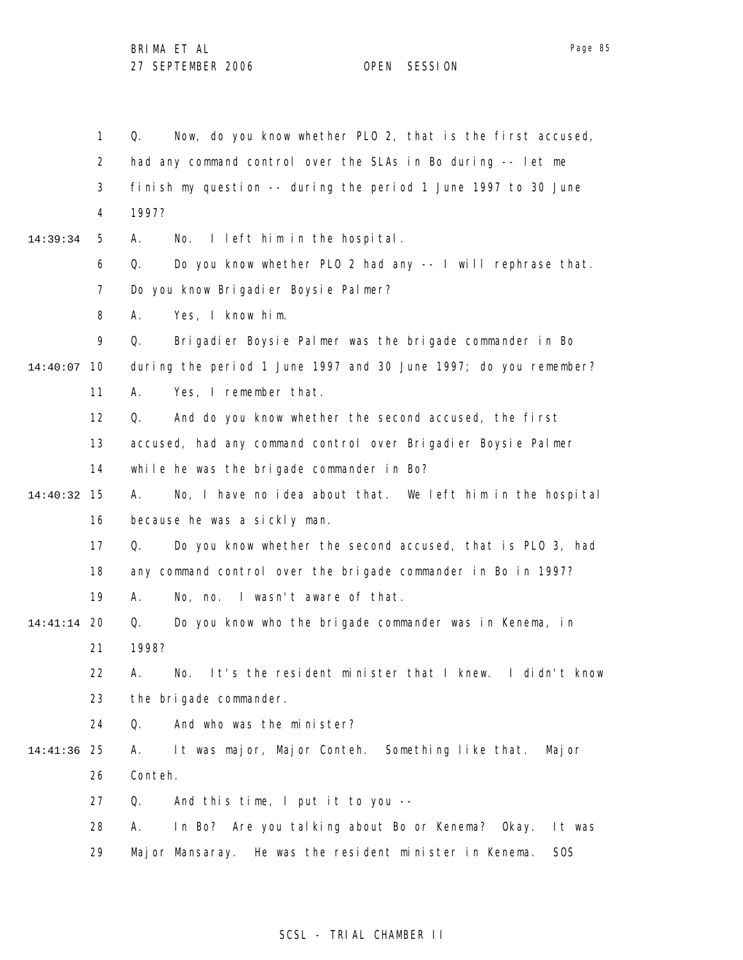1 2 3 4 5 6 7 8 9 14:40:07 10 11 12 13 14 15 14:40:32 16 17 18 19 20 14:41:14 21 22 23 24 25 14:41:36 26 27 28 29 14:39:34 Q. Now, do you know whether PLO 2, that is the first accused, had any command control over the SLAs in Bo during -- let me finish my question -- during the period 1 June 1997 to 30 June 1997? A. No. I left him in the hospital. Q. Do you know whether PLO 2 had any -- I will rephrase that. Do you know Brigadier Boysie Palmer? A. Yes, I know him. Q. Brigadier Boysie Palmer was the brigade commander in Bo during the period 1 June 1997 and 30 June 1997; do you remember? A. Yes, I remember that. Q. And do you know whether the second accused, the first accused, had any command control over Brigadier Boysie Palmer while he was the brigade commander in Bo? A. No, I have no idea about that. We left him in the hospital because he was a sickly man. Q. Do you know whether the second accused, that is PLO 3, had any command control over the brigade commander in Bo in 1997? A. No, no. I wasn't aware of that. Q. Do you know who the brigade commander was in Kenema, in 1998? A. No. It's the resident minister that I knew. I didn't know the brigade commander. Q. And who was the minister? A. It was major, Major Conteh. Something like that. Major Conteh. Q. And this time, I put it to you -- A. In Bo? Are you talking about Bo or Kenema? Okay. It was Major Mansaray. He was the resident minister in Kenema. SOS

## SCSL - TRIAL CHAMBER II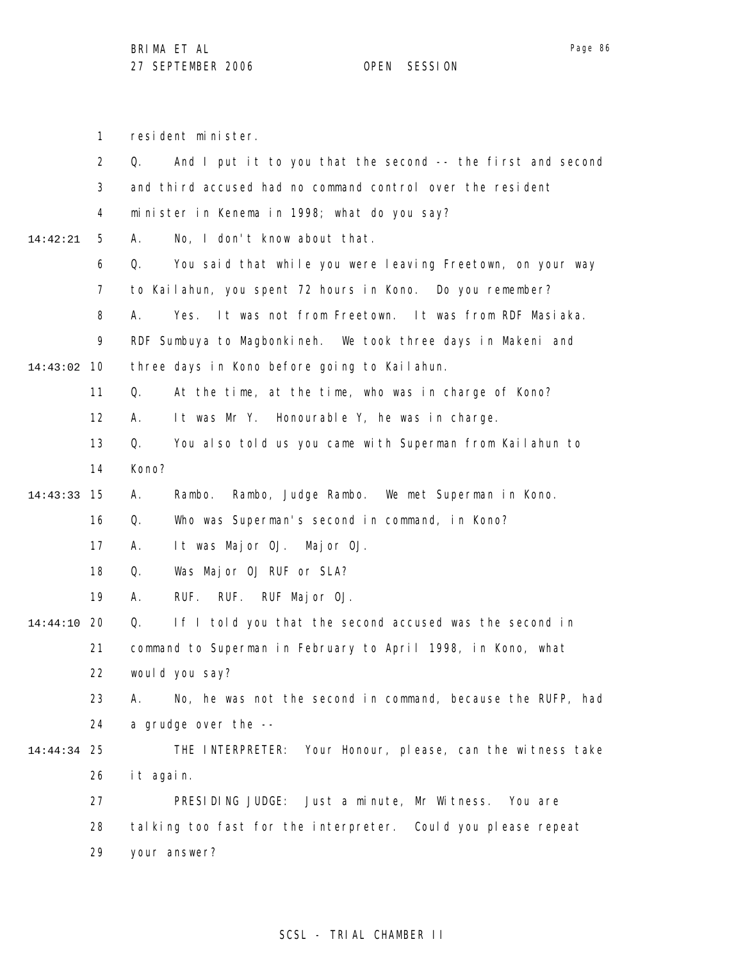Page 86

|                                                                    | 1         | resident minister.                                                |  |  |
|--------------------------------------------------------------------|-----------|-------------------------------------------------------------------|--|--|
|                                                                    | 2         | And I put it to you that the second -- the first and second<br>Q. |  |  |
|                                                                    | 3         | and third accused had no command control over the resident        |  |  |
|                                                                    | 4         | minister in Kenema in 1998; what do you say?                      |  |  |
| 14:42:21                                                           | 5         | No, I don't know about that.<br>А.                                |  |  |
|                                                                    | 6         | You said that while you were leaving Freetown, on your way<br>Q.  |  |  |
|                                                                    | 7         | to Kailahun, you spent 72 hours in Kono. Do you remember?         |  |  |
|                                                                    | 8         | Yes. It was not from Freetown. It was from RDF Masiaka.<br>А.     |  |  |
|                                                                    | 9         | RDF Sumbuya to Magbonkineh. We took three days in Makeni and      |  |  |
| 14:43:02                                                           | 10        | three days in Kono before going to Kailahun.                      |  |  |
|                                                                    | 11        | At the time, at the time, who was in charge of Kono?<br>Q.        |  |  |
|                                                                    | 12        | It was Mr Y. Honourable Y, he was in charge.<br>А.                |  |  |
|                                                                    | 13        | You also told us you came with Superman from Kailahun to<br>Q.    |  |  |
|                                                                    | 14        | Kono?                                                             |  |  |
| 14:43:33                                                           | 15        | Rambo, Judge Rambo. We met Superman in Kono.<br>Α.<br>Rambo.      |  |  |
|                                                                    | 16        | Q.<br>Who was Superman's second in command, in Kono?              |  |  |
|                                                                    | 17        | It was Major OJ. Major OJ.<br>А.                                  |  |  |
|                                                                    | 18        | Was Major OJ RUF or SLA?<br>Q.                                    |  |  |
|                                                                    | 19        | RUF.<br>RUF Major OJ.<br>А.<br>RUF.                               |  |  |
| 14:44:10                                                           | -20       | If I told you that the second accused was the second in<br>Q.     |  |  |
| 21<br>command to Superman in February to April 1998, in Kono, what |           |                                                                   |  |  |
|                                                                    | 22        | would you say?                                                    |  |  |
|                                                                    | 23        | No, he was not the second in command, because the RUFP, had<br>А. |  |  |
|                                                                    | 24        | a grudge over the --                                              |  |  |
| 14:44:34                                                           | 25        | THE INTERPRETER: Your Honour, please, can the witness take        |  |  |
|                                                                    | it again. |                                                                   |  |  |
|                                                                    | 27        | PRESIDING JUDGE:<br>Just a minute, Mr Witness.<br>You are         |  |  |
|                                                                    | 28        | talking too fast for the interpreter. Could you please repeat     |  |  |
|                                                                    | 29        | your answer?                                                      |  |  |
|                                                                    |           |                                                                   |  |  |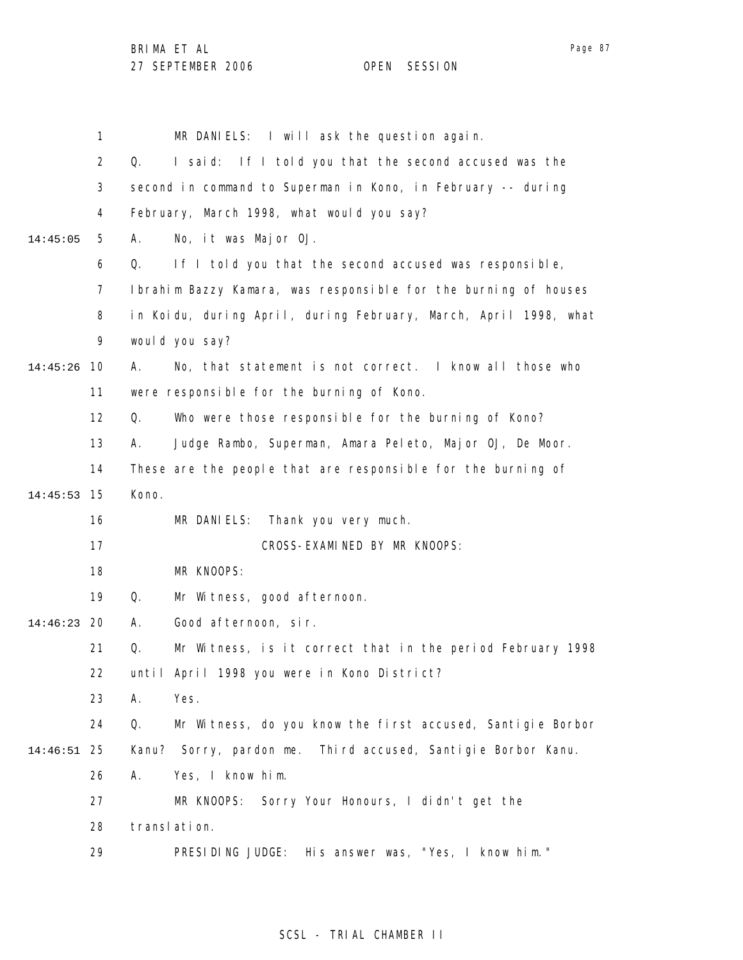1 2 3 4 5 6 7 8 9 10 14:45:26 11 12 13 14 15 14:45:53 16 17 18 19 20 14:46:23 21 22 23 24 25 14:46:51 26 27 28 29 14:45:05 MR DANIELS: I will ask the question again. Q. I said: If I told you that the second accused was the second in command to Superman in Kono, in February -- during February, March 1998, what would you say? A. No, it was Major OJ. Q. If I told you that the second accused was responsible, Ibrahim Bazzy Kamara, was responsible for the burning of houses in Koidu, during April, during February, March, April 1998, what would you say? A. No, that statement is not correct. I know all those who were responsible for the burning of Kono. Q. Who were those responsible for the burning of Kono? A. Judge Rambo, Superman, Amara Peleto, Major OJ, De Moor. These are the people that are responsible for the burning of Kono. MR DANIELS: Thank you very much. CROSS-EXAMINED BY MR KNOOPS: MR KNOOPS: Q. Mr Witness, good afternoon. A. Good afternoon, sir. Q. Mr Witness, is it correct that in the period February 1998 until April 1998 you were in Kono District? A. Yes. Q. Mr Witness, do you know the first accused, Santigie Borbor Kanu? Sorry, pardon me. Third accused, Santigie Borbor Kanu. A. Yes, I know him. MR KNOOPS: Sorry Your Honours, I didn't get the translation. PRESIDING JUDGE: His answer was, "Yes, I know him."

## SCSL - TRIAL CHAMBER II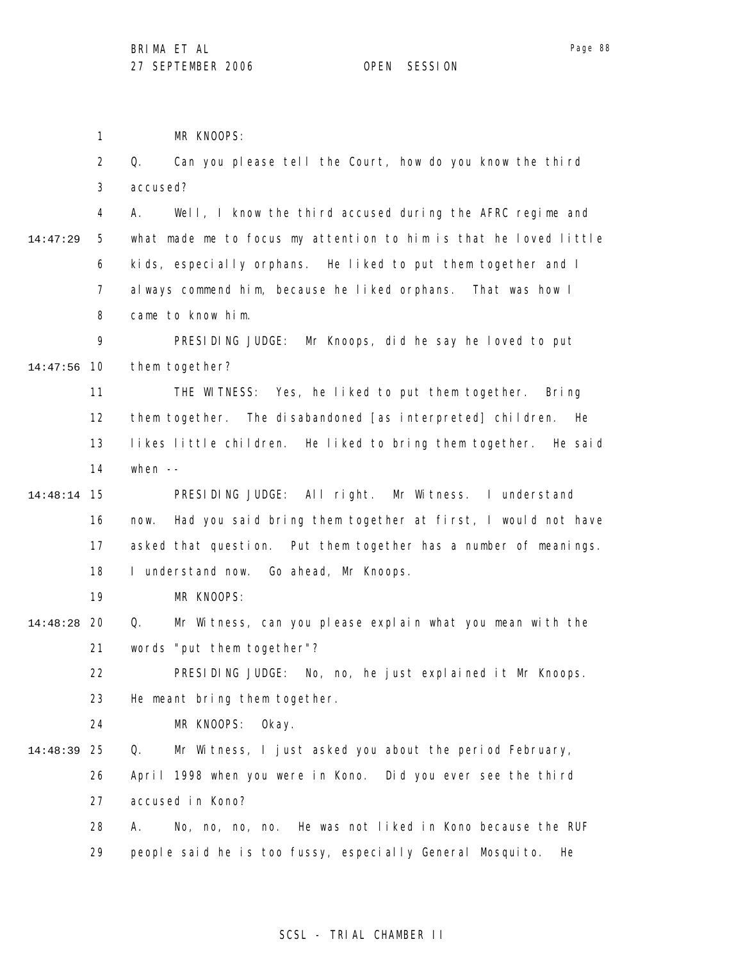1 MR KNOOPS:

|          | $\overline{2}$ | Can you please tell the Court, how do you know the third<br>Q.      |
|----------|----------------|---------------------------------------------------------------------|
|          | 3              | accused?                                                            |
|          | 4              | Well, I know the third accused during the AFRC regime and<br>А.     |
| 14:47:29 | 5              | what made me to focus my attention to him is that he loved little   |
|          | 6              | kids, especially orphans. He liked to put them together and I       |
|          | 7              | always commend him, because he liked orphans. That was how I        |
|          | 8              | came to know him.                                                   |
|          | 9              | PRESIDING JUDGE: Mr Knoops, did he say he loved to put              |
| 14:47:56 | 10             | them together?                                                      |
|          | 11             | THE WITNESS: Yes, he liked to put them together. Bring              |
|          | 12             | them together. The disabandoned [as interpreted] children.<br>He    |
|          | 13             | likes little children. He liked to bring them together. He said     |
|          | 14             | when $--$                                                           |
| 14:48:14 | 15             | PRESIDING JUDGE: All right. Mr Witness. I understand                |
|          | 16             | Had you said bring them together at first, I would not have<br>now. |
|          | 17             | asked that question. Put them together has a number of meanings.    |
|          | 18             | I understand now. Go ahead, Mr Knoops.                              |
|          | 19             | MR KNOOPS:                                                          |
| 14:48:28 | 20             | Mr Witness, can you please explain what you mean with the<br>Q.     |
|          | 21             | words "put them together"?                                          |
|          | 22             | PRESIDING JUDGE: No, no, he just explained it Mr Knoops.            |
|          | 23             | He meant bring them together.                                       |
|          | 24             | MR KNOOPS:<br>0kay.                                                 |
| 14:48:39 | 25             | Mr Witness, I just asked you about the period February,<br>Q.       |
|          | 26             | April 1998 when you were in Kono. Did you ever see the third        |
|          | 27             | accused in Kono?                                                    |
|          | 28             | No, no, no, no. He was not liked in Kono because the RUF<br>Α.      |
|          | 29             | people said he is too fussy, especially General Mosquito.<br>He     |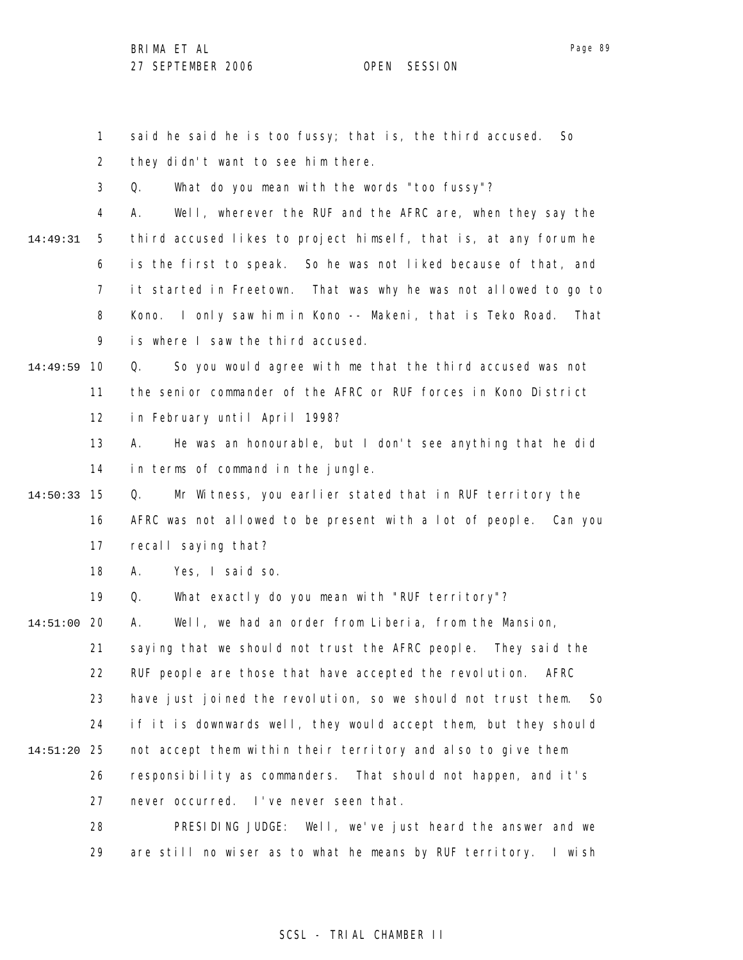1 2 3 4 5 6 7 8 9 10 14:49:59 11 12 13 14 15 14:50:33 16 17 18 19 20 14:51:00 21 22 23 24 25 14:51:20 26 27 28 29 14:49:31 said he said he is too fussy; that is, the third accused. So they didn't want to see him there. Q. What do you mean with the words "too fussy"? A. Well, wherever the RUF and the AFRC are, when they say the third accused likes to project himself, that is, at any forum he is the first to speak. So he was not liked because of that, and it started in Freetown. That was why he was not allowed to go to Kono. I only saw him in Kono -- Makeni, that is Teko Road. That is where I saw the third accused. Q. So you would agree with me that the third accused was not the senior commander of the AFRC or RUF forces in Kono District in February until April 1998? A. He was an honourable, but I don't see anything that he did in terms of command in the jungle. Q. Mr Witness, you earlier stated that in RUF territory the AFRC was not allowed to be present with a lot of people. Can you recall saying that? A. Yes, I said so. Q. What exactly do you mean with "RUF territory"? A. Well, we had an order from Liberia, from the Mansion, saying that we should not trust the AFRC people. They said the RUF people are those that have accepted the revolution. AFRC have just joined the revolution, so we should not trust them. So if it is downwards well, they would accept them, but they should not accept them within their territory and also to give them responsibility as commanders. That should not happen, and it's never occurred. I've never seen that. PRESIDING JUDGE: Well, we've just heard the answer and we are still no wiser as to what he means by RUF territory. I wish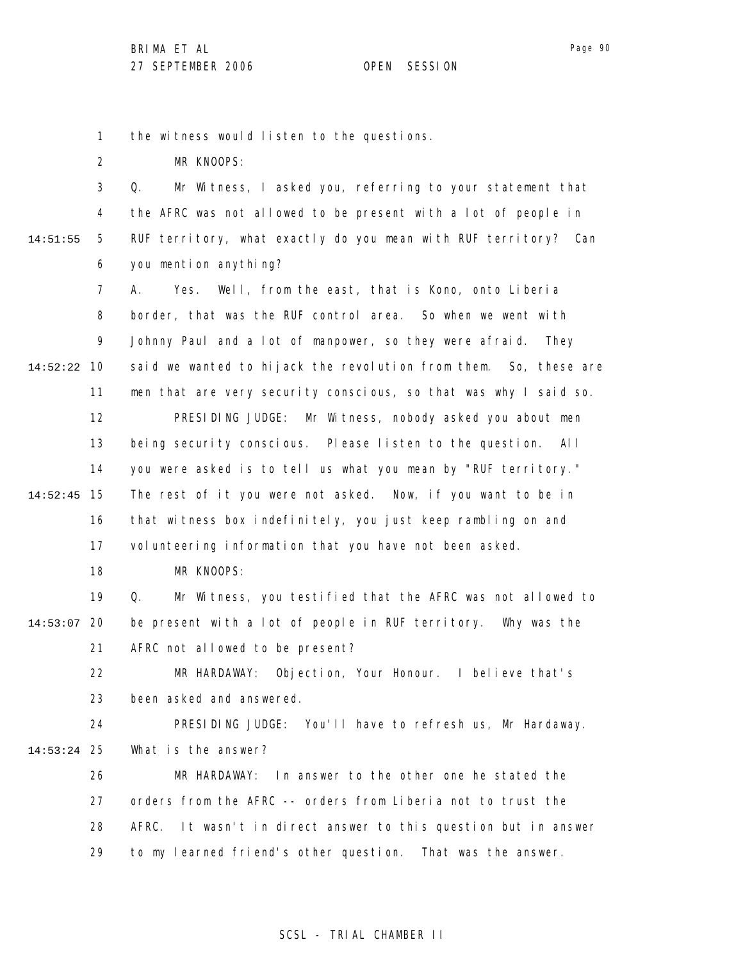1 the witness would listen to the questions.

2 MR KNOOPS:

3 4 5 6 14:51:55 Q. Mr Witness, I asked you, referring to your statement that the AFRC was not allowed to be present with a lot of people in RUF territory, what exactly do you mean with RUF territory? Can you mention anything?

7 8 9 10 14:52:22 11 12 13 14 15 14:52:45 16 17 18 19 A. Yes. Well, from the east, that is Kono, onto Liberia border, that was the RUF control area. So when we went with Johnny Paul and a lot of manpower, so they were afraid. They said we wanted to hijack the revolution from them. So, these are men that are very security conscious, so that was why I said so. PRESIDING JUDGE: Mr Witness, nobody asked you about men being security conscious. Please listen to the question. All you were asked is to tell us what you mean by "RUF territory." The rest of it you were not asked. Now, if you want to be in that witness box indefinitely, you just keep rambling on and volunteering information that you have not been asked. MR KNOOPS: Q. Mr Witness, you testified that the AFRC was not allowed to

20 14:53:07 21 be present with a lot of people in RUF territory. Why was the AFRC not allowed to be present?

22 23 MR HARDAWAY: Objection, Your Honour. I believe that's been asked and answered.

24 25 14:53:24 PRESIDING JUDGE: You'll have to refresh us, Mr Hardaway. What is the answer?

26 27 28 29 MR HARDAWAY: In answer to the other one he stated the orders from the AFRC -- orders from Liberia not to trust the AFRC. It wasn't in direct answer to this question but in answer to my learned friend's other question. That was the answer.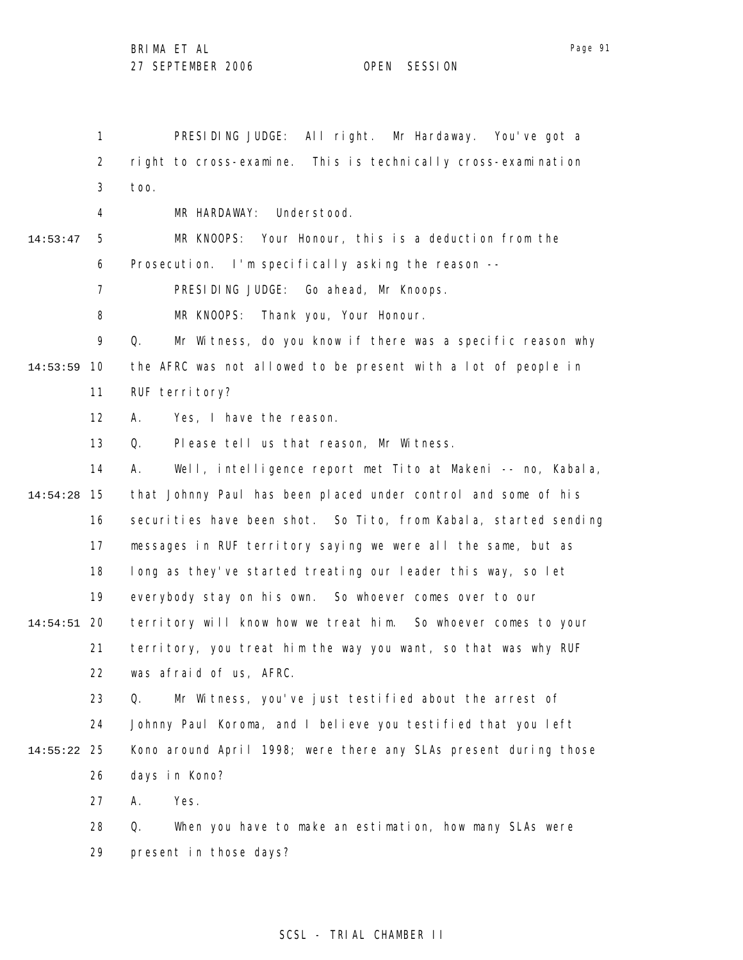Page 91

1 2 3 4 5 6 7 8 9 10 14:53:59 11 12 13 14 15 14:54:28 16 17 18 19 20 14:54:51 21 22 23 24 25 14:55:22 26 27 28 29 14:53:47 PRESIDING JUDGE: All right. Mr Hardaway. You've got a right to cross-examine. This is technically cross-examination too. MR HARDAWAY: Understood. MR KNOOPS: Your Honour, this is a deduction from the Prosecution. I'm specifically asking the reason --PRESIDING JUDGE: Go ahead, Mr Knoops. MR KNOOPS: Thank you, Your Honour. Q. Mr Witness, do you know if there was a specific reason why the AFRC was not allowed to be present with a lot of people in RUF territory? A. Yes, I have the reason. Q. Please tell us that reason, Mr Witness. A. Well, intelligence report met Tito at Makeni -- no, Kabala, that Johnny Paul has been placed under control and some of his securities have been shot. So Tito, from Kabala, started sending messages in RUF territory saying we were all the same, but as long as they've started treating our leader this way, so let everybody stay on his own. So whoever comes over to our territory will know how we treat him. So whoever comes to your territory, you treat him the way you want, so that was why RUF was afraid of us, AFRC. Q. Mr Witness, you've just testified about the arrest of Johnny Paul Koroma, and I believe you testified that you left Kono around April 1998; were there any SLAs present during those days in Kono? A. Yes. Q. When you have to make an estimation, how many SLAs were present in those days?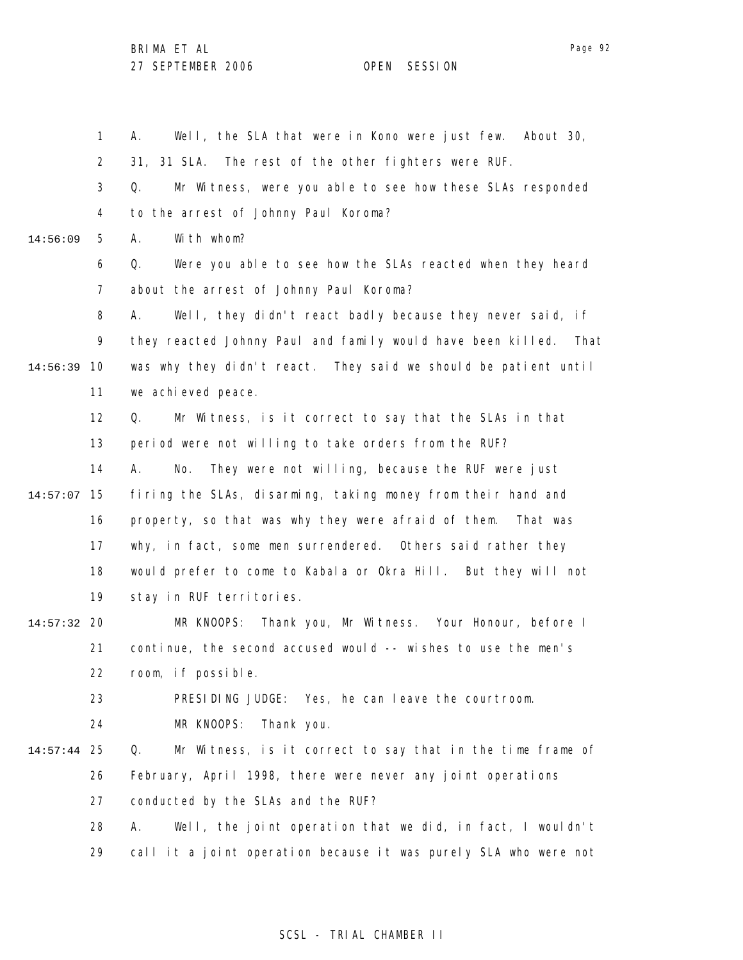1 2 3 4 5 6 7 8 9 10 14:56:39 11 12 13 14 15 14:57:07 16 17 18 19 20 14:57:32 21 22 23 24 25 14:57:44 26 27 28 29 14:56:09 A. Well, the SLA that were in Kono were just few. About 30, 31, 31 SLA. The rest of the other fighters were RUF. Q. Mr Witness, were you able to see how these SLAs responded to the arrest of Johnny Paul Koroma? A. With whom? Q. Were you able to see how the SLAs reacted when they heard about the arrest of Johnny Paul Koroma? A. Well, they didn't react badly because they never said, if they reacted Johnny Paul and family would have been killed. That was why they didn't react. They said we should be patient until we achieved peace. Q. Mr Witness, is it correct to say that the SLAs in that period were not willing to take orders from the RUF? A. No. They were not willing, because the RUF were just firing the SLAs, disarming, taking money from their hand and property, so that was why they were afraid of them. That was why, in fact, some men surrendered. Others said rather they would prefer to come to Kabala or Okra Hill. But they will not stay in RUF territories. MR KNOOPS: Thank you, Mr Witness. Your Honour, before I continue, the second accused would -- wishes to use the men's room, if possible. PRESIDING JUDGE: Yes, he can leave the courtroom. MR KNOOPS: Thank you. Q. Mr Witness, is it correct to say that in the time frame of February, April 1998, there were never any joint operations conducted by the SLAs and the RUF? A. Well, the joint operation that we did, in fact, I wouldn't call it a joint operation because it was purely SLA who were not

## SCSL - TRIAL CHAMBER II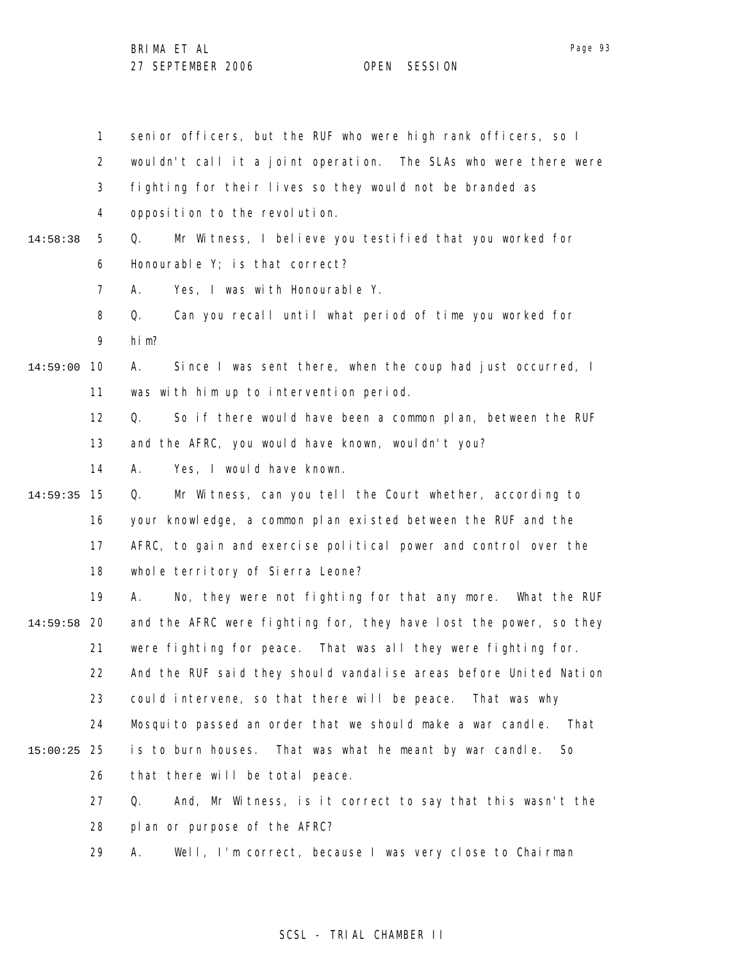1 2 3 4 5 6 7 8 9 10 14:59:00 11 12 13 14 15 14:59:35 16 17 18 19 20 14:59:58 21 22 23 24 25 15:00:25 26 27 28 29 14:58:38 senior officers, but the RUF who were high rank officers, so I wouldn't call it a joint operation. The SLAs who were there were fighting for their lives so they would not be branded as opposition to the revolution. Q. Mr Witness, I believe you testified that you worked for Honourable Y; is that correct? A. Yes, I was with Honourable Y. Q. Can you recall until what period of time you worked for him? A. Since I was sent there, when the coup had just occurred, I was with him up to intervention period. Q. So if there would have been a common plan, between the RUF and the AFRC, you would have known, wouldn't you? A. Yes, I would have known. Q. Mr Witness, can you tell the Court whether, according to your knowledge, a common plan existed between the RUF and the AFRC, to gain and exercise political power and control over the whole territory of Sierra Leone? A. No, they were not fighting for that any more. What the RUF and the AFRC were fighting for, they have lost the power, so they were fighting for peace. That was all they were fighting for. And the RUF said they should vandalise areas before United Nation could intervene, so that there will be peace. That was why Mosquito passed an order that we should make a war candle. That is to burn houses. That was what he meant by war candle. So that there will be total peace. Q. And, Mr Witness, is it correct to say that this wasn't the plan or purpose of the AFRC? A. Well, I'm correct, because I was very close to Chairman

## SCSL - TRIAL CHAMBER II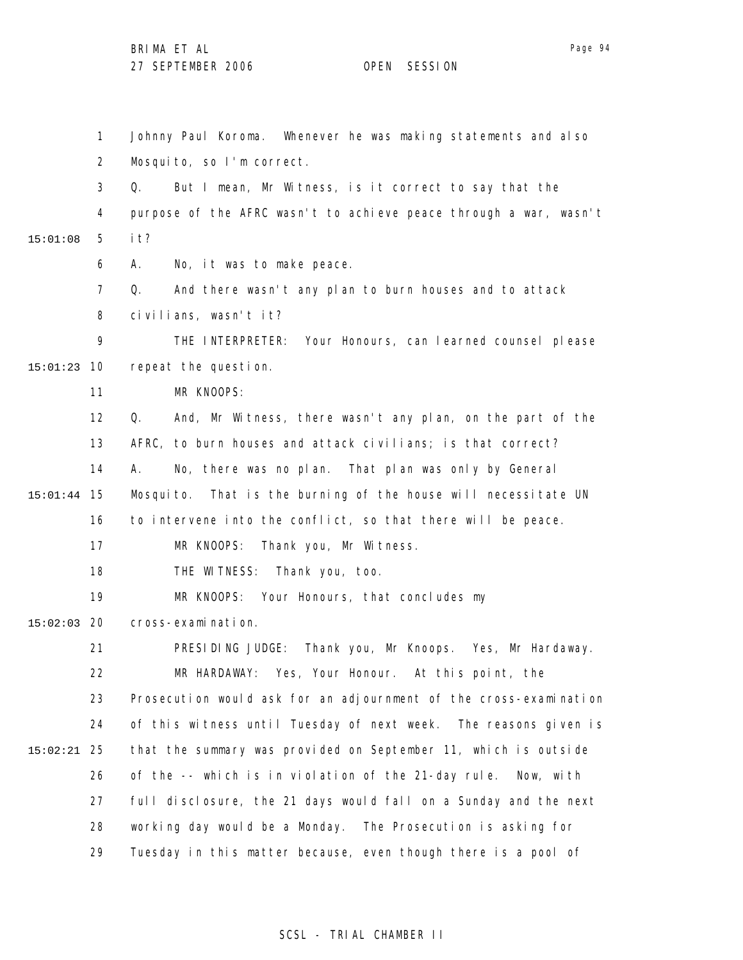1 2 3 4 5 6 7 8 9 10 15:01:23 11 12 13 14 15 15:01:44 16 17 18 19 20 15:02:03 21 22 23 24 25 15:02:21 26 27 28 29 15:01:08 Johnny Paul Koroma. Whenever he was making statements and also Mosquito, so I'm correct. Q. But I mean, Mr Witness, is it correct to say that the purpose of the AFRC wasn't to achieve peace through a war, wasn't it? A. No, it was to make peace. Q. And there wasn't any plan to burn houses and to attack civilians, wasn't it? THE INTERPRETER: Your Honours, can learned counsel please repeat the question. MR KNOOPS: Q. And, Mr Witness, there wasn't any plan, on the part of the AFRC, to burn houses and attack civilians; is that correct? A. No, there was no plan. That plan was only by General Mosquito. That is the burning of the house will necessitate UN to intervene into the conflict, so that there will be peace. MR KNOOPS: Thank you, Mr Witness. THE WITNESS: Thank you, too. MR KNOOPS: Your Honours, that concludes my cross-examination. PRESIDING JUDGE: Thank you, Mr Knoops. Yes, Mr Hardaway. MR HARDAWAY: Yes, Your Honour. At this point, the Prosecution would ask for an adjournment of the cross-examination of this witness until Tuesday of next week. The reasons given is that the summary was provided on September 11, which is outside of the -- which is in violation of the 21-day rule. Now, with full disclosure, the 21 days would fall on a Sunday and the next working day would be a Monday. The Prosecution is asking for Tuesday in this matter because, even though there is a pool of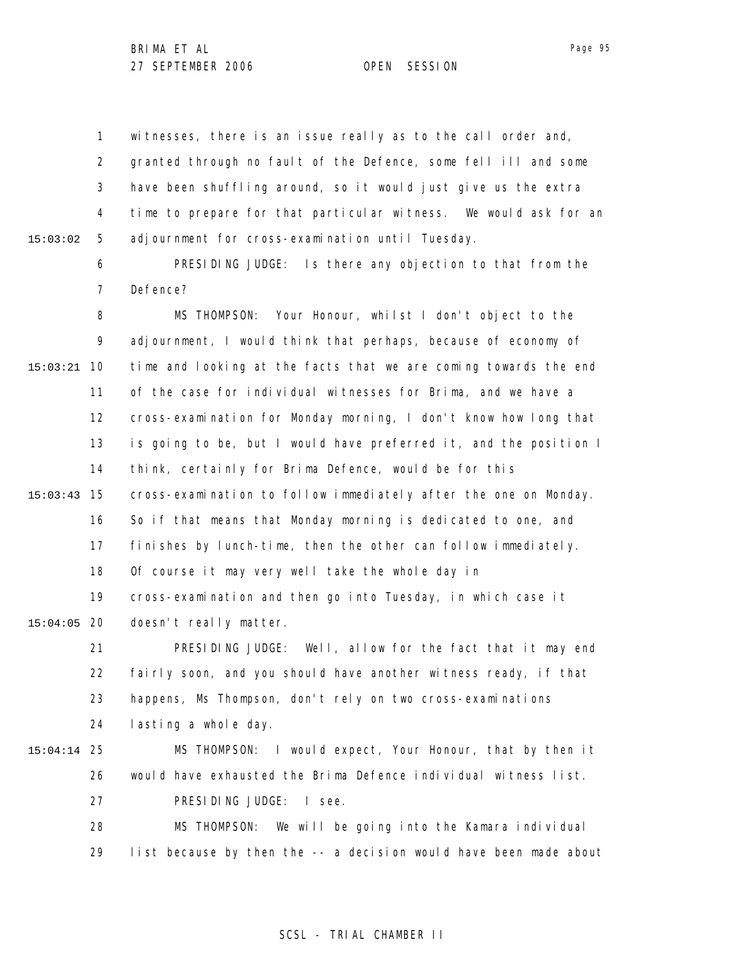1 2 3 4 5 15:03:02 witnesses, there is an issue really as to the call order and, granted through no fault of the Defence, some fell ill and some have been shuffling around, so it would just give us the extra time to prepare for that particular witness. We would ask for an adjournment for cross-examination until Tuesday.

> 6 7 PRESIDING JUDGE: Is there any objection to that from the Defence?

8 9 10 15:03:21 11 12 13 14 15 15:03:43 16 17 18 19 20 15:04:05 21 22 23 24 25 15:04:14 26 27 28 29 MS THOMPSON: Your Honour, whilst I don't object to the adjournment, I would think that perhaps, because of economy of time and looking at the facts that we are coming towards the end of the case for individual witnesses for Brima, and we have a cross-examination for Monday morning, I don't know how long that is going to be, but I would have preferred it, and the position I think, certainly for Brima Defence, would be for this cross-examination to follow immediately after the one on Monday. So if that means that Monday morning is dedicated to one, and finishes by lunch-time, then the other can follow immediately. Of course it may very well take the whole day in cross-examination and then go into Tuesday, in which case it doesn't really matter. PRESIDING JUDGE: Well, allow for the fact that it may end fairly soon, and you should have another witness ready, if that happens, Ms Thompson, don't rely on two cross-examinations lasting a whole day. MS THOMPSON: I would expect, Your Honour, that by then it would have exhausted the Brima Defence individual witness list. PRESIDING JUDGE: I see. MS THOMPSON: We will be going into the Kamara individual list because by then the -- a decision would have been made about

## SCSL - TRIAL CHAMBER II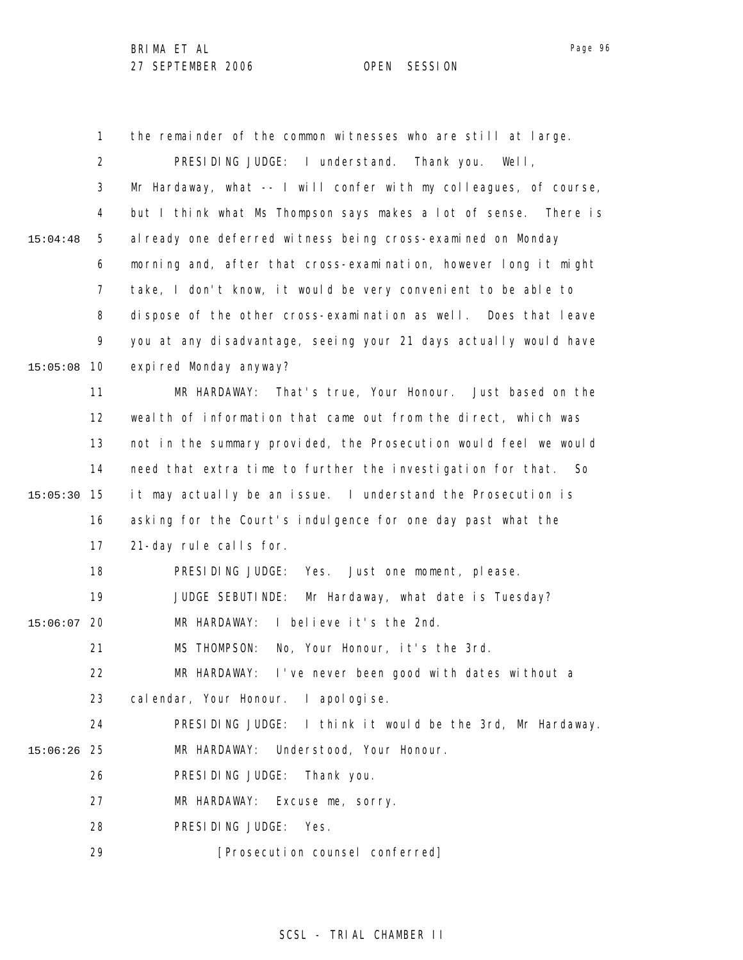1 2 3 4 5 6 7 8 9 10 15:05:08 11 12 13 14 15 15:05:30 16 17 18 19 20 15:06:07 21 22 23 24 25 15:06:26 26 27 28 29 15:04:48 the remainder of the common witnesses who are still at large. PRESIDING JUDGE: I understand. Thank you. Well, Mr Hardaway, what -- I will confer with my colleagues, of course, but I think what Ms Thompson says makes a lot of sense. There is al ready one deferred witness being cross-examined on Monday morning and, after that cross-examination, however long it might take, I don't know, it would be very convenient to be able to dispose of the other cross-examination as well. Does that leave you at any disadvantage, seeing your 21 days actually would have expired Monday anyway? MR HARDAWAY: That's true, Your Honour. Just based on the wealth of information that came out from the direct, which was not in the summary provided, the Prosecution would feel we would need that extra time to further the investigation for that. So it may actually be an issue. I understand the Prosecution is asking for the Court's indulgence for one day past what the 21-day rule calls for. PRESIDING JUDGE: Yes. Just one moment, please. JUDGE SEBUTINDE: Mr Hardaway, what date is Tuesday? MR HARDAWAY: I believe it's the 2nd. MS THOMPSON: No, Your Honour, it's the 3rd. MR HARDAWAY: I've never been good with dates without a cal endar, Your Honour. I apol ogi se. PRESIDING JUDGE: I think it would be the 3rd, Mr Hardaway. MR HARDAWAY: Understood, Your Honour. PRESIDING JUDGE: Thank you. MR HARDAWAY: Excuse me, sorry. PRESIDING JUDGE: Yes. [Prosecution counsel conferred]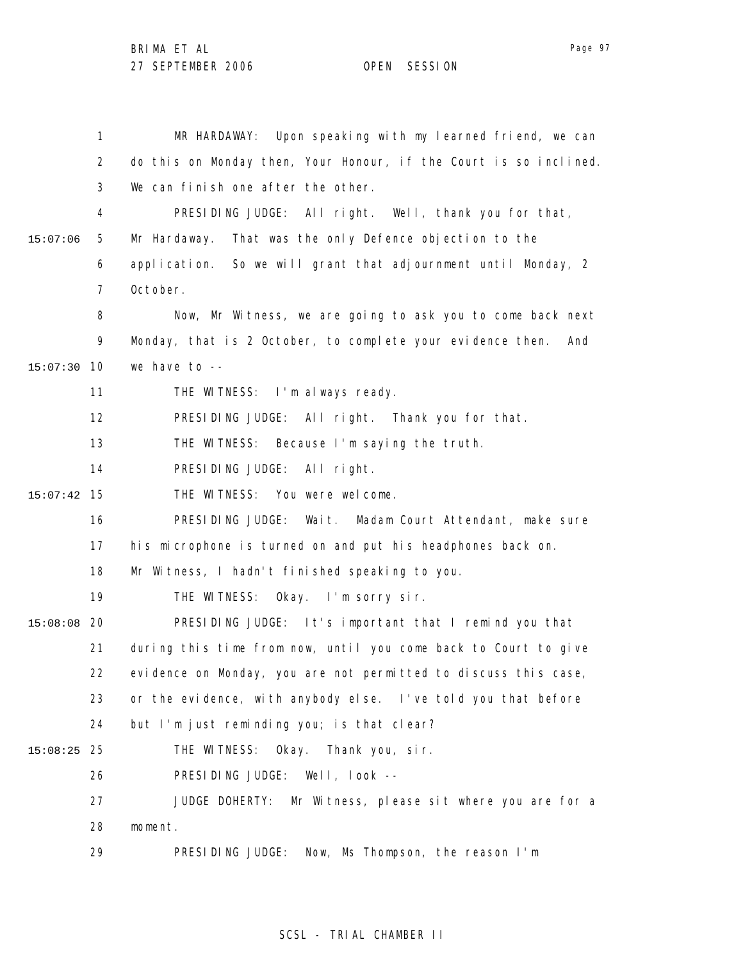Page 97

1 2 3 4 5 6 7 8 9 10 15:07:30 11 12 13 14 15 15:07:42 16 17 18 19 20 15:08:08 21 22 23 24 25 15:08:25 26 27 28 29 15:07:06 MR HARDAWAY: Upon speaking with my learned friend, we can do this on Monday then, Your Honour, if the Court is so inclined. We can finish one after the other. PRESIDING JUDGE: All right. Well, thank you for that, Mr Hardaway. That was the only Defence objection to the application. So we will grant that adjournment until Monday, 2 October. Now, Mr Witness, we are going to ask you to come back next Monday, that is 2 October, to complete your evidence then. And we have to -- THE WITNESS: I'm always ready. PRESIDING JUDGE: All right. Thank you for that. THE WITNESS: Because I'm saying the truth. PRESIDING JUDGE: All right. THE WITNESS: You were welcome. PRESIDING JUDGE: Wait. Madam Court Attendant, make sure his microphone is turned on and put his headphones back on. Mr Witness, I hadn't finished speaking to you. THE WITNESS: Okay. I'm sorry sir. PRESIDING JUDGE: It's important that I remind you that during this time from now, until you come back to Court to give evidence on Monday, you are not permitted to discuss this case, or the evidence, with anybody else. I've told you that before but I'm just reminding you; is that clear? THE WITNESS: Okay. Thank you, sir. PRESIDING JUDGE: Well, look -- JUDGE DOHERTY: Mr Witness, please sit where you are for a moment. PRESIDING JUDGE: Now, Ms Thompson, the reason I'm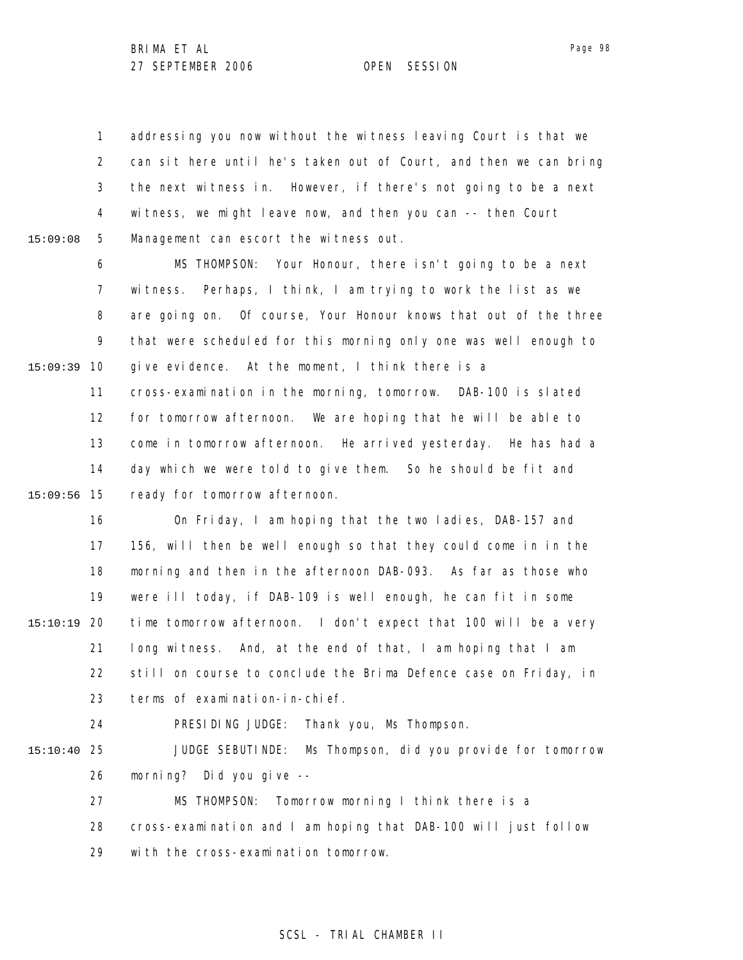1 2 3 4 5 addressing you now without the witness leaving Court is that we can sit here until he's taken out of Court, and then we can bring the next witness in. However, if there's not going to be a next witness, we might leave now, and then you can -- then Court Management can escort the witness out.

6 7 8 9 10 15:09:39 11 12 MS THOMPSON: Your Honour, there isn't going to be a next witness. Perhaps, I think, I am trying to work the list as we are going on. Of course, Your Honour knows that out of the three that were scheduled for this morning only one was well enough to give evidence. At the moment, I think there is a cross-examination in the morning, tomorrow. DAB-100 is slated for tomorrow afternoon. We are hoping that he will be able to

13 14 15 15:09:56 come in tomorrow afternoon. He arrived yesterday. He has had a day which we were told to give them. So he should be fit and ready for tomorrow afternoon.

16 17 18 19 20 15:10:19 21 22 23 On Friday, I am hoping that the two ladies, DAB-157 and 156, will then be well enough so that they could come in in the morning and then in the afternoon DAB-093. As far as those who were ill today, if DAB-109 is well enough, he can fit in some time tomorrow afternoon. I don't expect that 100 will be a very long witness. And, at the end of that, I am hoping that I am still on course to conclude the Brima Defence case on Friday, in terms of examination-in-chief.

24

15:09:08

PRESIDING JUDGE: Thank you, Ms Thompson.

25 15:10:40 26 JUDGE SEBUTINDE: Ms Thompson, did you provide for tomorrow morning? Did you give --

27 MS THOMPSON: Tomorrow morning I think there is a

28 cross-examination and I am hoping that DAB-100 will just follow

29 with the cross-examination tomorrow.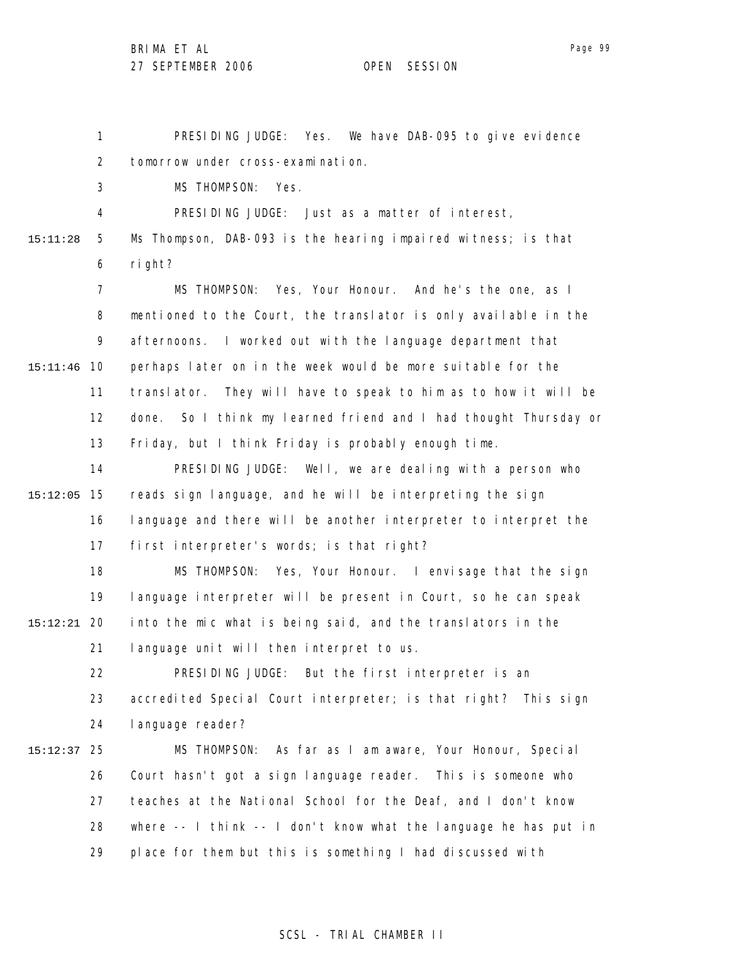Page 99

1 2 3 4 5 6 7 8 9 10 15:11:46 11 12 13 14 15 15:12:05 16 17 18 19 20 15:12:21 21 22 23 24 25 15:12:37 26 27 28 29 15:11:28 PRESIDING JUDGE: Yes. We have DAB-095 to give evidence tomorrow under cross-examination. MS THOMPSON: Yes. PRESIDING JUDGE: Just as a matter of interest, Ms Thompson, DAB-093 is the hearing impaired witness; is that right? MS THOMPSON: Yes, Your Honour. And he's the one, as I mentioned to the Court, the translator is only available in the afternoons. I worked out with the language department that perhaps later on in the week would be more suitable for the translator. They will have to speak to him as to how it will be done. So I think my learned friend and I had thought Thursday or Friday, but I think Friday is probably enough time. PRESIDING JUDGE: Well, we are dealing with a person who reads sign language, and he will be interpreting the sign language and there will be another interpreter to interpret the first interpreter's words; is that right? MS THOMPSON: Yes, Your Honour. I envisage that the sign language interpreter will be present in Court, so he can speak into the mic what is being said, and the translators in the language unit will then interpret to us. PRESIDING JUDGE: But the first interpreter is an accredited Special Court interpreter; is that right? This sign language reader? MS THOMPSON: As far as I am aware, Your Honour, Special Court hasn't got a sign language reader. This is someone who teaches at the National School for the Deaf, and I don't know where -- I think -- I don't know what the language he has put in place for them but this is something I had discussed with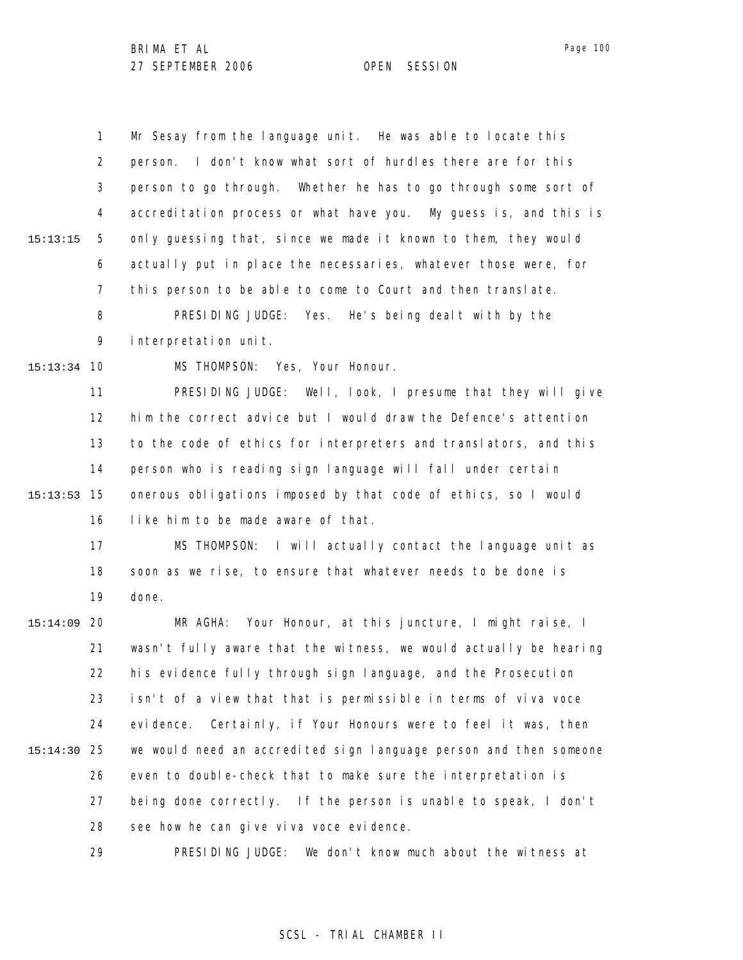1 2 3 4 5 6 7 8 9 10 15:13:34 11 12 13 15:13:15 Mr Sesay from the language unit. He was able to locate this person. I don't know what sort of hurdles there are for this person to go through. Whether he has to go through some sort of accreditation process or what have you. My guess is, and this is only guessing that, since we made it known to them, they would actually put in place the necessaries, whatever those were, for this person to be able to come to Court and then translate. PRESIDING JUDGE: Yes. He's being dealt with by the interpretation unit. MS THOMPSON: Yes, Your Honour. PRESIDING JUDGE: Well, look, I presume that they will give him the correct advice but I would draw the Defence's attention to the code of ethics for interpreters and translators, and this

14 15 15:13:53 16 person who is reading sign language will fall under certain onerous obligations imposed by that code of ethics, so I would like him to be made aware of that.

17 18 19 MS THOMPSON: I will actually contact the language unit as soon as we rise, to ensure that whatever needs to be done is done.

20 15:14:09 21 22 23 24 25 15:14:30 26 27 28 MR AGHA: Your Honour, at this juncture, I might raise, I wasn't fully aware that the witness, we would actually be hearing his evidence fully through sign language, and the Prosecution isn't of a view that that is permissible in terms of viva voce evidence. Certainly, if Your Honours were to feel it was, then we would need an accredited sign language person and then someone even to double-check that to make sure the interpretation is being done correctly. If the person is unable to speak, I don't see how he can give viva voce evidence.

> 29 PRESIDING JUDGE: We don't know much about the witness at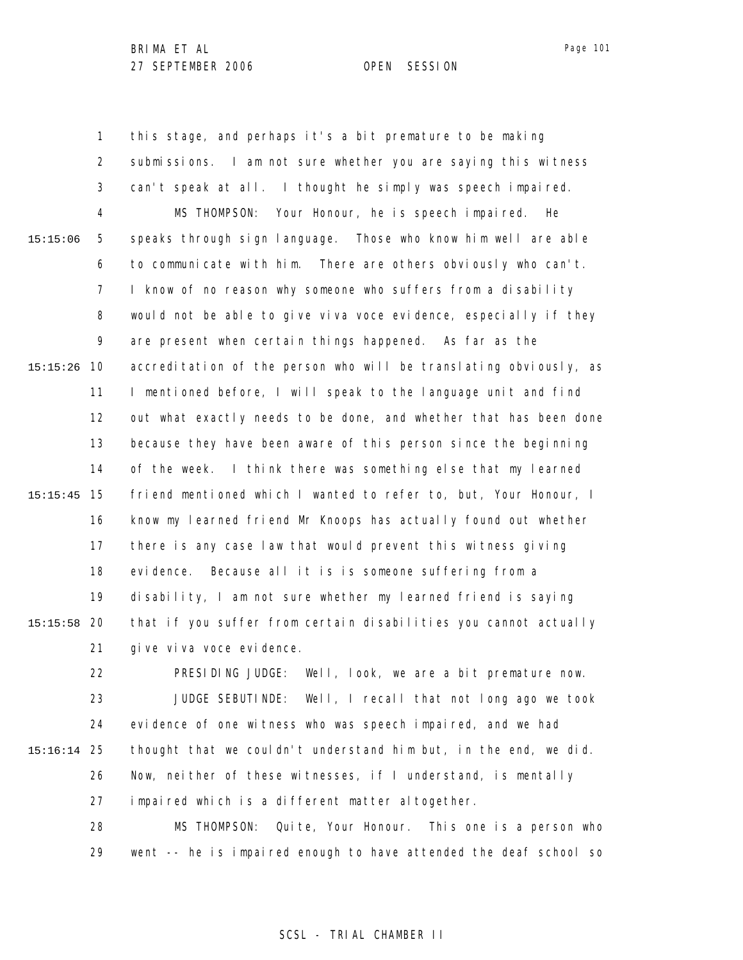1 2 3 4 5 6 7 8 9 10 15:15:26 11 12 13 14 15 15:15:45 16 17 18 19 20 15:15:58 21 22 23 24 25 15:16:14 26 27 15:15:06 this stage, and perhaps it's a bit premature to be making submissions. I am not sure whether you are saying this witness can't speak at all. I thought he simply was speech impaired. MS THOMPSON: Your Honour, he is speech impaired. He speaks through sign language. Those who know him well are able to communicate with him. There are others obviously who can't. I know of no reason why someone who suffers from a disability would not be able to give viva voce evidence, especially if they are present when certain things happened. As far as the accreditation of the person who will be translating obviously, as I mentioned before, I will speak to the language unit and find out what exactly needs to be done, and whether that has been done because they have been aware of this person since the beginning of the week. I think there was something else that my learned friend mentioned which I wanted to refer to, but, Your Honour, I know my learned friend Mr Knoops has actually found out whether there is any case law that would prevent this witness giving evidence. Because all it is is someone suffering from a disability, I am not sure whether my learned friend is saying that if you suffer from certain disabilities you cannot actually give viva voce evidence. PRESIDING JUDGE: Well, look, we are a bit premature now. JUDGE SEBUTINDE: Well, I recall that not long ago we took evidence of one witness who was speech impaired, and we had thought that we couldn't understand him but, in the end, we did. Now, neither of these witnesses, if I understand, is mentally impaired which is a different matter altogether.

> 28 29 MS THOMPSON: Quite, Your Honour. This one is a person who went -- he is impaired enough to have attended the deaf school so

## SCSL - TRIAL CHAMBER II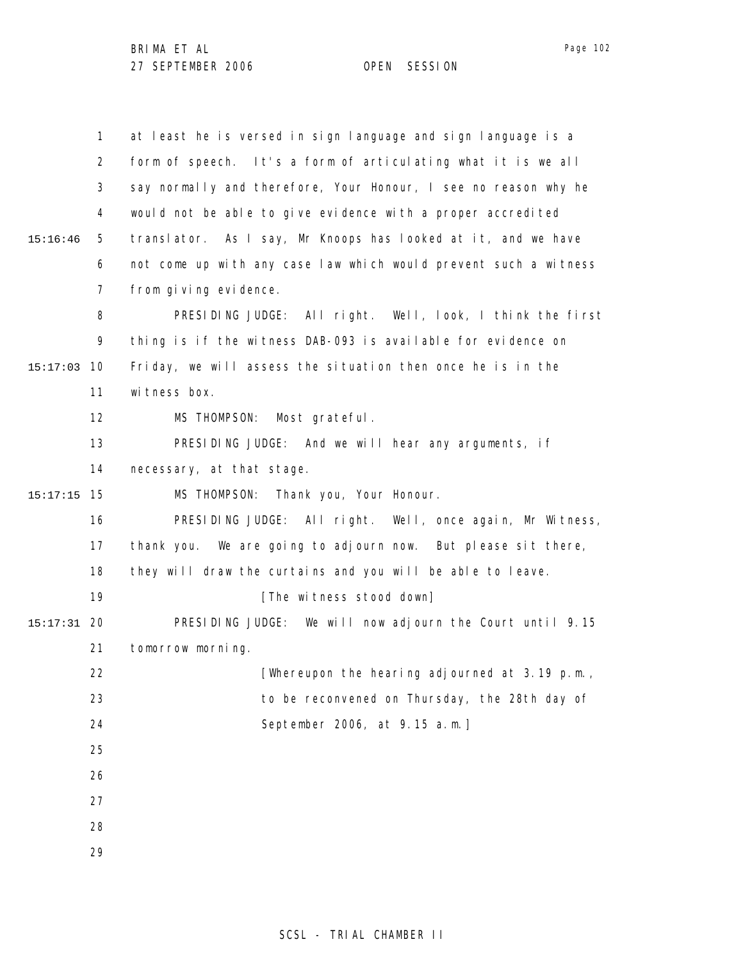1 2 3 4 5 6 7 8 9 10 15:17:03 11 12 13 14 15 15:17:15 16 17 18 19 20 15:17:31 21 22 23 24 25 26 27 28 29 15:16:46 at least he is versed in sign language and sign language is a form of speech. It's a form of articulating what it is we all say normally and therefore, Your Honour, I see no reason why he would not be able to give evidence with a proper accredited translator. As I say, Mr Knoops has looked at it, and we have not come up with any case law which would prevent such a witness from giving evidence. PRESIDING JUDGE: All right. Well, look, I think the first thing is if the witness DAB-093 is available for evidence on Friday, we will assess the situation then once he is in the witness box. MS THOMPSON: Most grateful. PRESIDING JUDGE: And we will hear any arguments, if necessary, at that stage. MS THOMPSON: Thank you, Your Honour. PRESIDING JUDGE: All right. Well, once again, Mr Witness, thank you. We are going to adjourn now. But please sit there, they will draw the curtains and you will be able to leave. [The witness stood down] PRESIDING JUDGE: We will now adjourn the Court until 9.15 tomorrow morning. [Whereupon the hearing adjourned at 3.19 p.m., to be reconvened on Thursday, the 28th day of September 2006, at 9.15 a.m.]